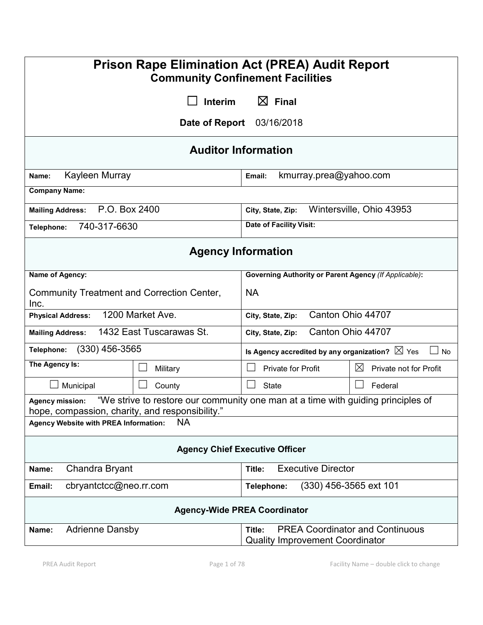| <b>Prison Rape Elimination Act (PREA) Audit Report</b><br><b>Community Confinement Facilities</b>                                                             |                              |                                                                                            |                                |                                                                 |  |
|---------------------------------------------------------------------------------------------------------------------------------------------------------------|------------------------------|--------------------------------------------------------------------------------------------|--------------------------------|-----------------------------------------------------------------|--|
| $\boxtimes$ Final<br><b>Interim</b>                                                                                                                           |                              |                                                                                            |                                |                                                                 |  |
|                                                                                                                                                               | Date of Report<br>03/16/2018 |                                                                                            |                                |                                                                 |  |
| <b>Auditor Information</b>                                                                                                                                    |                              |                                                                                            |                                |                                                                 |  |
| Kayleen Murray<br>Name:                                                                                                                                       |                              | kmurray.prea@yahoo.com<br>Email:                                                           |                                |                                                                 |  |
| <b>Company Name:</b>                                                                                                                                          |                              |                                                                                            |                                |                                                                 |  |
| P.O. Box 2400<br><b>Mailing Address:</b>                                                                                                                      |                              | Wintersville, Ohio 43953<br>City, State, Zip:                                              |                                |                                                                 |  |
| 740-317-6630<br>Telephone:                                                                                                                                    |                              |                                                                                            | <b>Date of Facility Visit:</b> |                                                                 |  |
| <b>Agency Information</b>                                                                                                                                     |                              |                                                                                            |                                |                                                                 |  |
| Name of Agency:                                                                                                                                               |                              | <b>Governing Authority or Parent Agency (If Applicable):</b>                               |                                |                                                                 |  |
| Community Treatment and Correction Center,<br>Inc.                                                                                                            |                              | <b>NA</b>                                                                                  |                                |                                                                 |  |
| 1200 Market Ave.<br><b>Physical Address:</b>                                                                                                                  |                              | Canton Ohio 44707<br>City, State, Zip:                                                     |                                |                                                                 |  |
| 1432 East Tuscarawas St.<br><b>Mailing Address:</b>                                                                                                           |                              | City, State, Zip:                                                                          | Canton Ohio 44707              |                                                                 |  |
| $(330)$ 456-3565<br>Telephone:                                                                                                                                |                              |                                                                                            |                                | Is Agency accredited by any organization? $\boxtimes$ Yes<br>No |  |
| The Agency Is:<br>Military                                                                                                                                    |                              | <b>Private for Profit</b>                                                                  |                                | $\boxtimes$<br>Private not for Profit                           |  |
| Municipal<br>County                                                                                                                                           |                              | <b>State</b>                                                                               |                                | Federal                                                         |  |
| "We strive to restore our community one man at a time with guiding principles of<br><b>Agency mission:</b><br>hope, compassion, charity, and responsibility." |                              |                                                                                            |                                |                                                                 |  |
| <b>NA</b><br><b>Agency Website with PREA Information:</b>                                                                                                     |                              |                                                                                            |                                |                                                                 |  |
| <b>Agency Chief Executive Officer</b>                                                                                                                         |                              |                                                                                            |                                |                                                                 |  |
| Chandra Bryant<br>Name:                                                                                                                                       |                              | <b>Executive Director</b><br>Title:                                                        |                                |                                                                 |  |
| cbryantctcc@neo.rr.com<br>Email:                                                                                                                              |                              | (330) 456-3565 ext 101<br>Telephone:                                                       |                                |                                                                 |  |
| <b>Agency-Wide PREA Coordinator</b>                                                                                                                           |                              |                                                                                            |                                |                                                                 |  |
| <b>Adrienne Dansby</b><br>Name:                                                                                                                               |                              | <b>PREA Coordinator and Continuous</b><br>Title:<br><b>Quality Improvement Coordinator</b> |                                |                                                                 |  |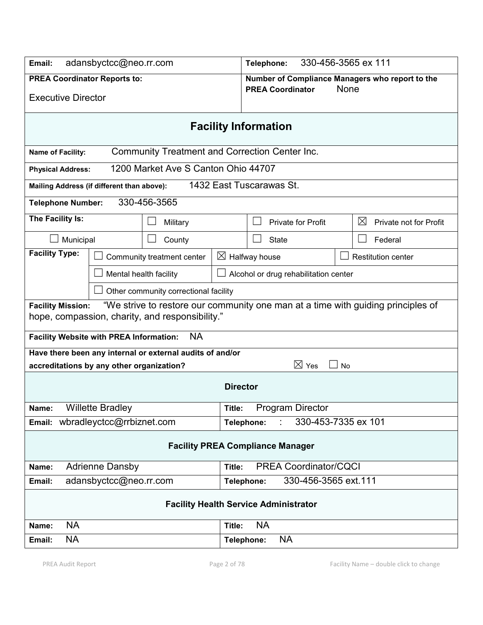| adansbyctcc@neo.rr.com<br>Email:                                                                                                                                |                                                              |                                                       | 330-456-3565 ex 111<br>Telephone:                       |                                       |                           |                                       |  |
|-----------------------------------------------------------------------------------------------------------------------------------------------------------------|--------------------------------------------------------------|-------------------------------------------------------|---------------------------------------------------------|---------------------------------------|---------------------------|---------------------------------------|--|
| <b>PREA Coordinator Reports to:</b>                                                                                                                             |                                                              |                                                       | Number of Compliance Managers who report to the<br>None |                                       |                           |                                       |  |
| <b>Executive Director</b>                                                                                                                                       |                                                              |                                                       | <b>PREA Coordinator</b>                                 |                                       |                           |                                       |  |
| <b>Facility Information</b>                                                                                                                                     |                                                              |                                                       |                                                         |                                       |                           |                                       |  |
| Name of Facility:                                                                                                                                               |                                                              | <b>Community Treatment and Correction Center Inc.</b> |                                                         |                                       |                           |                                       |  |
| <b>Physical Address:</b>                                                                                                                                        |                                                              | 1200 Market Ave S Canton Ohio 44707                   |                                                         |                                       |                           |                                       |  |
| Mailing Address (if different than above):                                                                                                                      |                                                              |                                                       |                                                         | 1432 East Tuscarawas St.              |                           |                                       |  |
| <b>Telephone Number:</b>                                                                                                                                        | 330-456-3565                                                 |                                                       |                                                         |                                       |                           |                                       |  |
| The Facility Is:                                                                                                                                                |                                                              | Military                                              |                                                         |                                       | <b>Private for Profit</b> | $\boxtimes$<br>Private not for Profit |  |
| Municipal                                                                                                                                                       |                                                              | County                                                |                                                         | <b>State</b>                          |                           | Federal                               |  |
| <b>Facility Type:</b>                                                                                                                                           |                                                              | Community treatment center                            |                                                         | $\boxtimes$ Halfway house             |                           | <b>Restitution center</b>             |  |
| Mental health facility                                                                                                                                          |                                                              |                                                       |                                                         | Alcohol or drug rehabilitation center |                           |                                       |  |
|                                                                                                                                                                 |                                                              | Other community correctional facility                 |                                                         |                                       |                           |                                       |  |
| "We strive to restore our community one man at a time with guiding principles of<br><b>Facility Mission:</b><br>hope, compassion, charity, and responsibility." |                                                              |                                                       |                                                         |                                       |                           |                                       |  |
| <b>NA</b><br><b>Facility Website with PREA Information:</b>                                                                                                     |                                                              |                                                       |                                                         |                                       |                           |                                       |  |
| Have there been any internal or external audits of and/or<br>$\boxtimes$ Yes<br>accreditations by any other organization?<br>$\blacksquare$<br><b>No</b>        |                                                              |                                                       |                                                         |                                       |                           |                                       |  |
| <b>Director</b>                                                                                                                                                 |                                                              |                                                       |                                                         |                                       |                           |                                       |  |
| Name:                                                                                                                                                           | <b>Willette Bradley</b><br><b>Program Director</b><br>Title: |                                                       |                                                         |                                       |                           |                                       |  |
| Email: wbradleyctcc@rrbiznet.com<br>330-453-7335 ex 101<br>÷.<br>Telephone:                                                                                     |                                                              |                                                       |                                                         |                                       |                           |                                       |  |
| <b>Facility PREA Compliance Manager</b>                                                                                                                         |                                                              |                                                       |                                                         |                                       |                           |                                       |  |
| <b>PREA Coordinator/CQCI</b><br><b>Adrienne Dansby</b><br>Title:<br>Name:                                                                                       |                                                              |                                                       |                                                         |                                       |                           |                                       |  |
| Email:                                                                                                                                                          | 330-456-3565 ext.111<br>adansbyctcc@neo.rr.com<br>Telephone: |                                                       |                                                         |                                       |                           |                                       |  |
| <b>Facility Health Service Administrator</b>                                                                                                                    |                                                              |                                                       |                                                         |                                       |                           |                                       |  |
| <b>NA</b><br>Name:                                                                                                                                              |                                                              |                                                       | Title:                                                  | <b>NA</b>                             |                           |                                       |  |
| <b>NA</b><br>Email:                                                                                                                                             |                                                              |                                                       | Telephone:                                              | <b>NA</b>                             |                           |                                       |  |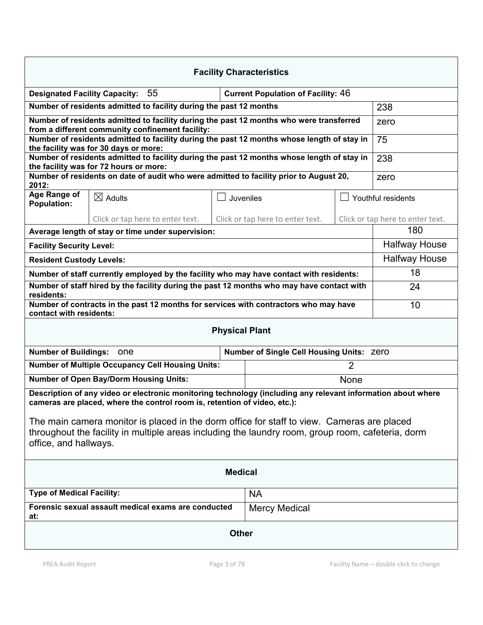| <b>Facility Characteristics</b>                                                                                                                                                                                          |                                                                                                                                             |  |                                  |  |                                  |  |
|--------------------------------------------------------------------------------------------------------------------------------------------------------------------------------------------------------------------------|---------------------------------------------------------------------------------------------------------------------------------------------|--|----------------------------------|--|----------------------------------|--|
|                                                                                                                                                                                                                          | 55<br><b>Current Population of Facility: 46</b><br><b>Designated Facility Capacity:</b>                                                     |  |                                  |  |                                  |  |
|                                                                                                                                                                                                                          | Number of residents admitted to facility during the past 12 months                                                                          |  |                                  |  | 238                              |  |
|                                                                                                                                                                                                                          | Number of residents admitted to facility during the past 12 months who were transferred<br>from a different community confinement facility: |  |                                  |  | zero                             |  |
|                                                                                                                                                                                                                          | Number of residents admitted to facility during the past 12 months whose length of stay in<br>the facility was for 30 days or more:         |  |                                  |  | 75                               |  |
| Number of residents admitted to facility during the past 12 months whose length of stay in<br>the facility was for 72 hours or more:                                                                                     |                                                                                                                                             |  |                                  |  | 238                              |  |
|                                                                                                                                                                                                                          | Number of residents on date of audit who were admitted to facility prior to August 20,                                                      |  |                                  |  | zero                             |  |
| 2012:<br>Age Range of                                                                                                                                                                                                    | $\boxtimes$ Adults                                                                                                                          |  |                                  |  |                                  |  |
| <b>Population:</b>                                                                                                                                                                                                       |                                                                                                                                             |  | Juveniles                        |  | Youthful residents               |  |
|                                                                                                                                                                                                                          | Click or tap here to enter text.                                                                                                            |  | Click or tap here to enter text. |  | Click or tap here to enter text. |  |
|                                                                                                                                                                                                                          | Average length of stay or time under supervision:                                                                                           |  |                                  |  | 180                              |  |
| <b>Facility Security Level:</b>                                                                                                                                                                                          |                                                                                                                                             |  |                                  |  | <b>Halfway House</b>             |  |
| <b>Resident Custody Levels:</b>                                                                                                                                                                                          |                                                                                                                                             |  |                                  |  | <b>Halfway House</b>             |  |
| Number of staff currently employed by the facility who may have contact with residents:                                                                                                                                  |                                                                                                                                             |  |                                  |  | 18                               |  |
| Number of staff hired by the facility during the past 12 months who may have contact with<br>residents:                                                                                                                  |                                                                                                                                             |  |                                  |  | 24                               |  |
| Number of contracts in the past 12 months for services with contractors who may have<br>contact with residents:                                                                                                          |                                                                                                                                             |  |                                  |  | 10                               |  |
| <b>Physical Plant</b>                                                                                                                                                                                                    |                                                                                                                                             |  |                                  |  |                                  |  |
| Number of Buildings: One<br>Number of Single Cell Housing Units: Zero                                                                                                                                                    |                                                                                                                                             |  |                                  |  |                                  |  |
| <b>Number of Multiple Occupancy Cell Housing Units:</b><br>2                                                                                                                                                             |                                                                                                                                             |  |                                  |  |                                  |  |
|                                                                                                                                                                                                                          | <b>Number of Open Bay/Dorm Housing Units:</b><br>None                                                                                       |  |                                  |  |                                  |  |
| Description of any video or electronic monitoring technology (including any relevant information about where<br>cameras are placed, where the control room is, retention of video, etc.):                                |                                                                                                                                             |  |                                  |  |                                  |  |
| The main camera monitor is placed in the dorm office for staff to view. Cameras are placed<br>throughout the facility in multiple areas including the laundry room, group room, cafeteria, dorm<br>office, and hallways. |                                                                                                                                             |  |                                  |  |                                  |  |
| <b>Medical</b>                                                                                                                                                                                                           |                                                                                                                                             |  |                                  |  |                                  |  |
| <b>Type of Medical Facility:</b>                                                                                                                                                                                         |                                                                                                                                             |  | <b>NA</b>                        |  |                                  |  |
| Forensic sexual assault medical exams are conducted<br>at:                                                                                                                                                               |                                                                                                                                             |  | <b>Mercy Medical</b>             |  |                                  |  |
| <b>Other</b>                                                                                                                                                                                                             |                                                                                                                                             |  |                                  |  |                                  |  |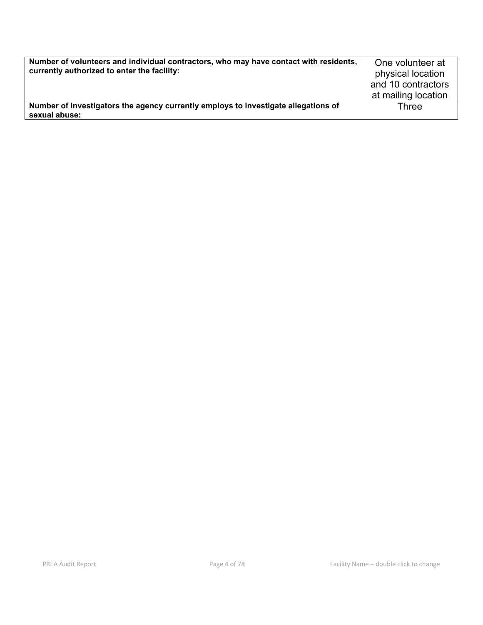| Number of volunteers and individual contractors, who may have contact with residents,<br>currently authorized to enter the facility: | One volunteer at<br>physical location<br>and 10 contractors<br>at mailing location |
|--------------------------------------------------------------------------------------------------------------------------------------|------------------------------------------------------------------------------------|
| Number of investigators the agency currently employs to investigate allegations of                                                   | Three                                                                              |
| sexual abuse:                                                                                                                        |                                                                                    |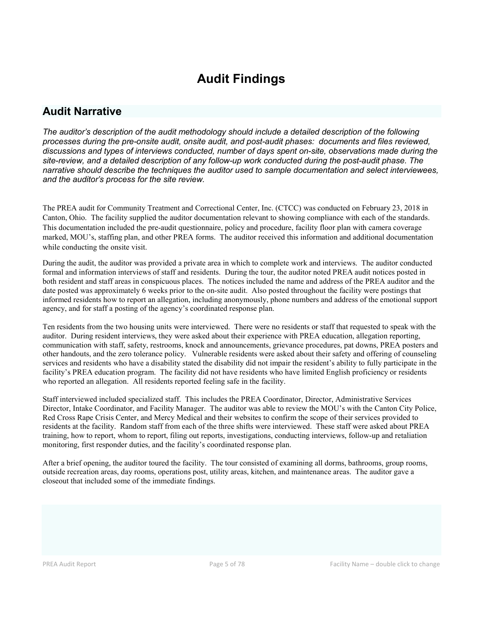# Audit Findings

# Audit Narrative

*The auditor's description of the audit methodology should include a detailed description of the following processes during the pre-onsite audit, onsite audit, and post-audit phases: documents and files reviewed, discussions and types of interviews conducted, number of days spent on-site, observations made during the site-review, and a detailed description of any follow-up work conducted during the post-audit phase. The narrative should describe the techniques the auditor used to sample documentation and select interviewees, and the auditor's process for the site review.*

The PREA audit for Community Treatment and Correctional Center, Inc. (CTCC) was conducted on February 23, 2018 in Canton, Ohio. The facility supplied the auditor documentation relevant to showing compliance with each of the standards. This documentation included the pre-audit questionnaire, policy and procedure, facility floor plan with camera coverage marked, MOU's, staffing plan, and other PREA forms. The auditor received this information and additional documentation while conducting the onsite visit.

During the audit, the auditor was provided a private area in which to complete work and interviews. The auditor conducted formal and information interviews of staff and residents. During the tour, the auditor noted PREA audit notices posted in both resident and staff areas in conspicuous places. The notices included the name and address of the PREA auditor and the date posted was approximately 6 weeks prior to the on-site audit. Also posted throughout the facility were postings that informed residents how to report an allegation, including anonymously, phone numbers and address of the emotional support agency, and for staff a posting of the agency's coordinated response plan.

Ten residents from the two housing units were interviewed. There were no residents or staff that requested to speak with the auditor. During resident interviews, they were asked about their experience with PREA education, allegation reporting, communication with staff, safety, restrooms, knock and announcements, grievance procedures, pat downs, PREA posters and other handouts, and the zero tolerance policy. Vulnerable residents were asked about their safety and offering of counseling services and residents who have a disability stated the disability did not impair the resident's ability to fully participate in the facility's PREA education program. The facility did not have residents who have limited English proficiency or residents who reported an allegation. All residents reported feeling safe in the facility.

Staff interviewed included specialized staff. This includes the PREA Coordinator, Director, Administrative Services Director, Intake Coordinator, and Facility Manager. The auditor was able to review the MOU's with the Canton City Police, Red Cross Rape Crisis Center, and Mercy Medical and their websites to confirm the scope of their services provided to residents at the facility. Random staff from each of the three shifts were interviewed. These staff were asked about PREA training, how to report, whom to report, filing out reports, investigations, conducting interviews, follow-up and retaliation monitoring, first responder duties, and the facility's coordinated response plan.

After a brief opening, the auditor toured the facility. The tour consisted of examining all dorms, bathrooms, group rooms, outside recreation areas, day rooms, operations post, utility areas, kitchen, and maintenance areas. The auditor gave a closeout that included some of the immediate findings.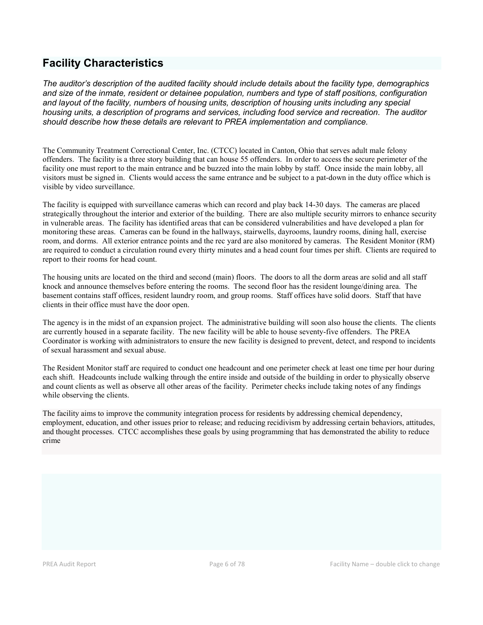# Facility Characteristics

*The auditor's description of the audited facility should include details about the facility type, demographics and size of the inmate, resident or detainee population, numbers and type of staff positions, configuration and layout of the facility, numbers of housing units, description of housing units including any special housing units, a description of programs and services, including food service and recreation. The auditor should describe how these details are relevant to PREA implementation and compliance.*

The Community Treatment Correctional Center, Inc. (CTCC) located in Canton, Ohio that serves adult male felony offenders. The facility is a three story building that can house 55 offenders. In order to access the secure perimeter of the facility one must report to the main entrance and be buzzed into the main lobby by staff. Once inside the main lobby, all visitors must be signed in. Clients would access the same entrance and be subject to a pat-down in the duty office which is visible by video surveillance.

The facility is equipped with surveillance cameras which can record and play back 14-30 days. The cameras are placed strategically throughout the interior and exterior of the building. There are also multiple security mirrors to enhance security in vulnerable areas. The facility has identified areas that can be considered vulnerabilities and have developed a plan for monitoring these areas. Cameras can be found in the hallways, stairwells, dayrooms, laundry rooms, dining hall, exercise room, and dorms. All exterior entrance points and the rec yard are also monitored by cameras. The Resident Monitor (RM) are required to conduct a circulation round every thirty minutes and a head count four times per shift. Clients are required to report to their rooms for head count.

The housing units are located on the third and second (main) floors. The doors to all the dorm areas are solid and all staff knock and announce themselves before entering the rooms. The second floor has the resident lounge/dining area. The basement contains staff offices, resident laundry room, and group rooms. Staff offices have solid doors. Staff that have clients in their office must have the door open.

The agency is in the midst of an expansion project. The administrative building will soon also house the clients. The clients are currently housed in a separate facility. The new facility will be able to house seventy-five offenders. The PREA Coordinator is working with administrators to ensure the new facility is designed to prevent, detect, and respond to incidents of sexual harassment and sexual abuse.

The Resident Monitor staff are required to conduct one headcount and one perimeter check at least one time per hour during each shift. Headcounts include walking through the entire inside and outside of the building in order to physically observe and count clients as well as observe all other areas of the facility. Perimeter checks include taking notes of any findings while observing the clients.

The facility aims to improve the community integration process for residents by addressing chemical dependency, employment, education, and other issues prior to release; and reducing recidivism by addressing certain behaviors, attitudes, and thought processes. CTCC accomplishes these goals by using programming that has demonstrated the ability to reduce crime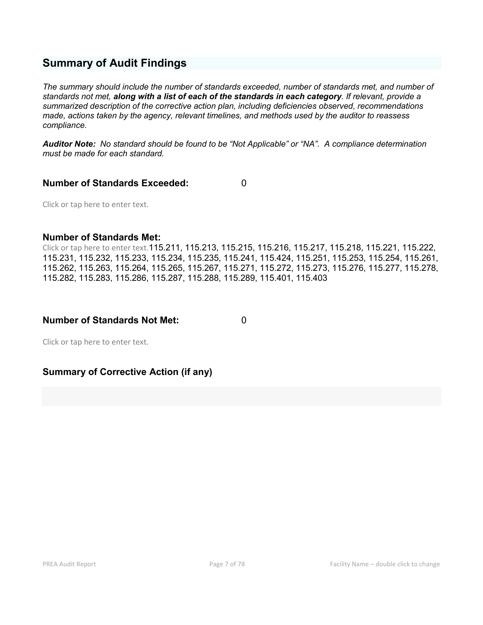# Summary of Audit Findings

*The summary should include the number of standards exceeded, number of standards met, and number of standards not met, along with a list of each of the standards in each category. If relevant, provide a summarized description of the corrective action plan, including deficiencies observed, recommendations made, actions taken by the agency, relevant timelines, and methods used by the auditor to reassess compliance.*

*Auditor Note: No standard should be found to be "Not Applicable" or "NA". A compliance determination must be made for each standard.*

## Number of Standards Exceeded: 0

Click or tap here to enter text.

## Number of Standards Met:

Click or tap here to enter text.115.211, 115.213, 115.215, 115.216, 115.217, 115.218, 115.221, 115.222, 115.231, 115.232, 115.233, 115.234, 115.235, 115.241, 115.424, 115.251, 115.253, 115.254, 115.261, 115.262, 115.263, 115.264, 115.265, 115.267, 115.271, 115.272, 115.273, 115.276, 115.277, 115.278, 115.282, 115.283, 115.286, 115.287, 115.288, 115.289, 115.401, 115.403

## Number of Standards Not Met: 0

Click or tap here to enter text.

# Summary of Corrective Action (if any)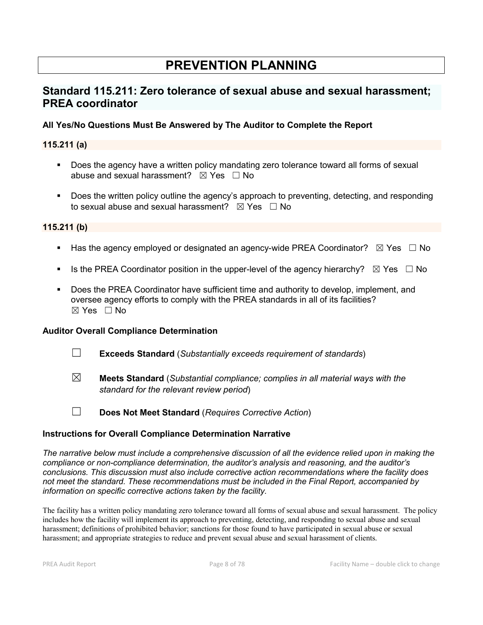# PREVENTION PLANNING

# Standard 115.211: Zero tolerance of sexual abuse and sexual harassment; PREA coordinator

# All Yes/No Questions Must Be Answered by The Auditor to Complete the Report

# 115.211 (a)

- Does the agency have a written policy mandating zero tolerance toward all forms of sexual abuse and sexual harassment?  $\boxtimes$  Yes  $\Box$  No
- Does the written policy outline the agency's approach to preventing, detecting, and responding to sexual abuse and sexual harassment?  $\boxtimes$  Yes  $\Box$  No

## 115.211 (b)

- Has the agency employed or designated an agency-wide PREA Coordinator?  $\boxtimes$  Yes  $\Box$  No
- Is the PREA Coordinator position in the upper-level of the agency hierarchy?  $\boxtimes$  Yes  $\Box$  No
- **Does the PREA Coordinator have sufficient time and authority to develop, implement, and** oversee agency efforts to comply with the PREA standards in all of its facilities?  $\boxtimes$  Yes  $\Box$  No

### Auditor Overall Compliance Determination

- ☐ Exceeds Standard (*Substantially exceeds requirement of standards*)
- ☒ Meets Standard (*Substantial compliance; complies in all material ways with the standard for the relevant review period*)
- ☐ Does Not Meet Standard (*Requires Corrective Action*)

## Instructions for Overall Compliance Determination Narrative

*The narrative below must include a comprehensive discussion of all the evidence relied upon in making the compliance or non-compliance determination, the auditor's analysis and reasoning, and the auditor's conclusions. This discussion must also include corrective action recommendations where the facility does not meet the standard. These recommendations must be included in the Final Report, accompanied by information on specific corrective actions taken by the facility.*

The facility has a written policy mandating zero tolerance toward all forms of sexual abuse and sexual harassment. The policy includes how the facility will implement its approach to preventing, detecting, and responding to sexual abuse and sexual harassment; definitions of prohibited behavior; sanctions for those found to have participated in sexual abuse or sexual harassment; and appropriate strategies to reduce and prevent sexual abuse and sexual harassment of clients.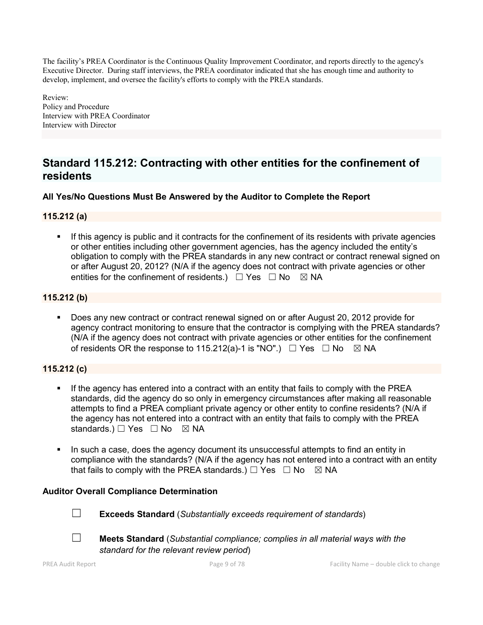The facility's PREA Coordinator is the Continuous Quality Improvement Coordinator, and reports directly to the agency's Executive Director. During staff interviews, the PREA coordinator indicated that she has enough time and authority to develop, implement, and oversee the facility's efforts to comply with the PREA standards.

Review: Policy and Procedure Interview with PREA Coordinator Interview with Director

# Standard 115.212: Contracting with other entities for the confinement of residents

# All Yes/No Questions Must Be Answered by the Auditor to Complete the Report

# 115.212 (a)

If this agency is public and it contracts for the confinement of its residents with private agencies or other entities including other government agencies, has the agency included the entity's obligation to comply with the PREA standards in any new contract or contract renewal signed on or after August 20, 2012? (N/A if the agency does not contract with private agencies or other entities for the confinement of residents.)  $\Box$  Yes  $\Box$  No  $\boxtimes$  NA

# 115.212 (b)

 Does any new contract or contract renewal signed on or after August 20, 2012 provide for agency contract monitoring to ensure that the contractor is complying with the PREA standards? (N/A if the agency does not contract with private agencies or other entities for the confinement of residents OR the response to 115.212(a)-1 is "NO".)  $\Box$  Yes  $\Box$  No  $\boxtimes$  NA

# 115.212 (c)

- If the agency has entered into a contract with an entity that fails to comply with the PREA standards, did the agency do so only in emergency circumstances after making all reasonable attempts to find a PREA compliant private agency or other entity to confine residents? (N/A if the agency has not entered into a contract with an entity that fails to comply with the PREA standards.) □ Yes □ No ⊠ NA
- In such a case, does the agency document its unsuccessful attempts to find an entity in compliance with the standards? (N/A if the agency has not entered into a contract with an entity that fails to comply with the PREA standards.)  $\Box$  Yes  $\Box$  No  $\boxtimes$  NA

## Auditor Overall Compliance Determination



☐ Exceeds Standard (*Substantially exceeds requirement of standards*)



☐ Meets Standard (*Substantial compliance; complies in all material ways with the standard for the relevant review period*)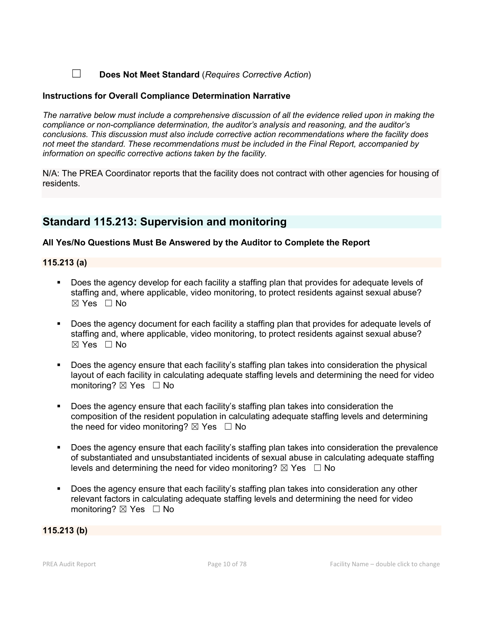☐ Does Not Meet Standard (*Requires Corrective Action*)

### Instructions for Overall Compliance Determination Narrative

*The narrative below must include a comprehensive discussion of all the evidence relied upon in making the compliance or non-compliance determination, the auditor's analysis and reasoning, and the auditor's conclusions. This discussion must also include corrective action recommendations where the facility does not meet the standard. These recommendations must be included in the Final Report, accompanied by information on specific corrective actions taken by the facility.*

N/A: The PREA Coordinator reports that the facility does not contract with other agencies for housing of residents.

# Standard 115.213: Supervision and monitoring

## All Yes/No Questions Must Be Answered by the Auditor to Complete the Report

### 115.213 (a)

- Does the agency develop for each facility a staffing plan that provides for adequate levels of staffing and, where applicable, video monitoring, to protect residents against sexual abuse?  $\boxtimes$  Yes  $\Box$  No
- Does the agency document for each facility a staffing plan that provides for adequate levels of staffing and, where applicable, video monitoring, to protect residents against sexual abuse?  $\boxtimes$  Yes  $\Box$  No
- Does the agency ensure that each facility's staffing plan takes into consideration the physical layout of each facility in calculating adequate staffing levels and determining the need for video monitoring?  $\boxtimes$  Yes  $\Box$  No
- Does the agency ensure that each facility's staffing plan takes into consideration the composition of the resident population in calculating adequate staffing levels and determining the need for video monitoring?  $\boxtimes$  Yes  $\Box$  No
- Does the agency ensure that each facility's staffing plan takes into consideration the prevalence of substantiated and unsubstantiated incidents of sexual abuse in calculating adequate staffing levels and determining the need for video monitoring?  $\boxtimes$  Yes  $\Box$  No
- Does the agency ensure that each facility's staffing plan takes into consideration any other relevant factors in calculating adequate staffing levels and determining the need for video monitoring?  $\boxtimes$  Yes  $\Box$  No

### 115.213 (b)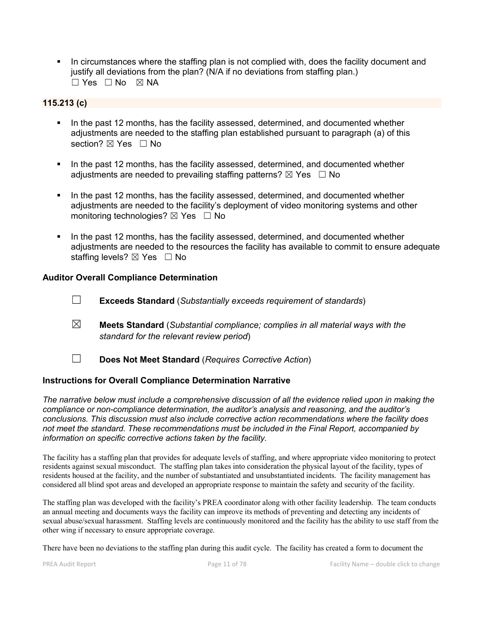In circumstances where the staffing plan is not complied with, does the facility document and justify all deviations from the plan? (N/A if no deviations from staffing plan.)  $\Box$  Yes  $\Box$  No  $\boxtimes$  NA

## 115.213 (c)

- In the past 12 months, has the facility assessed, determined, and documented whether adjustments are needed to the staffing plan established pursuant to paragraph (a) of this section? ⊠ Yes □ No
- In the past 12 months, has the facility assessed, determined, and documented whether adiustments are needed to prevailing staffing patterns?  $\boxtimes$  Yes  $\Box$  No
- In the past 12 months, has the facility assessed, determined, and documented whether adjustments are needed to the facility's deployment of video monitoring systems and other monitoring technologies?  $\boxtimes$  Yes  $\Box$  No
- In the past 12 months, has the facility assessed, determined, and documented whether adjustments are needed to the resources the facility has available to commit to ensure adequate staffing levels?  $\boxtimes$  Yes  $\Box$  No

### Auditor Overall Compliance Determination

- ☐ Exceeds Standard (*Substantially exceeds requirement of standards*)
- ☒ Meets Standard (*Substantial compliance; complies in all material ways with the standard for the relevant review period*)
- ☐ Does Not Meet Standard (*Requires Corrective Action*)

### Instructions for Overall Compliance Determination Narrative

*The narrative below must include a comprehensive discussion of all the evidence relied upon in making the compliance or non-compliance determination, the auditor's analysis and reasoning, and the auditor's conclusions. This discussion must also include corrective action recommendations where the facility does not meet the standard. These recommendations must be included in the Final Report, accompanied by information on specific corrective actions taken by the facility.*

The facility has a staffing plan that provides for adequate levels of staffing, and where appropriate video monitoring to protect residents against sexual misconduct. The staffing plan takes into consideration the physical layout of the facility, types of residents housed at the facility, and the number of substantiated and unsubstantiated incidents. The facility management has considered all blind spot areas and developed an appropriate response to maintain the safety and security of the facility.

The staffing plan was developed with the facility's PREA coordinator along with other facility leadership. The team conducts an annual meeting and documents ways the facility can improve its methods of preventing and detecting any incidents of sexual abuse/sexual harassment. Staffing levels are continuously monitored and the facility has the ability to use staff from the other wing if necessary to ensure appropriate coverage.

There have been no deviations to the staffing plan during this audit cycle. The facility has created a form to document the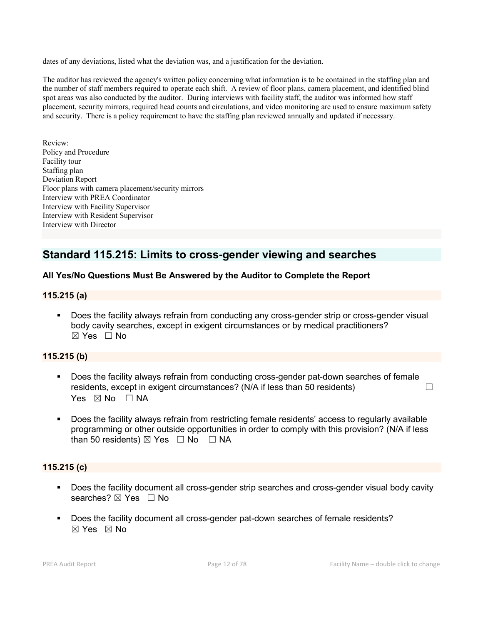dates of any deviations, listed what the deviation was, and a justification for the deviation.

The auditor has reviewed the agency's written policy concerning what information is to be contained in the staffing plan and the number of staff members required to operate each shift. A review of floor plans, camera placement, and identified blind spot areas was also conducted by the auditor. During interviews with facility staff, the auditor was informed how staff placement, security mirrors, required head counts and circulations, and video monitoring are used to ensure maximum safety and security. There is a policy requirement to have the staffing plan reviewed annually and updated if necessary.

Review: Policy and Procedure Facility tour Staffing plan Deviation Report Floor plans with camera placement/security mirrors Interview with PREA Coordinator Interview with Facility Supervisor Interview with Resident Supervisor Interview with Director

# Standard 115.215: Limits to cross-gender viewing and searches

## All Yes/No Questions Must Be Answered by the Auditor to Complete the Report

### 115.215 (a)

 Does the facility always refrain from conducting any cross-gender strip or cross-gender visual body cavity searches, except in exigent circumstances or by medical practitioners?  $\boxtimes$  Yes  $\Box$  No

## 115.215 (b)

- Does the facility always refrain from conducting cross-gender pat-down searches of female residents, except in exigent circumstances? (N/A if less than 50 residents)  $\Box$ Yes  $\boxtimes$  No  $\Box$  NA
- Does the facility always refrain from restricting female residents' access to regularly available programming or other outside opportunities in order to comply with this provision? (N/A if less than 50 residents)  $\boxtimes$  Yes  $\Box$  No  $\Box$  NA

### 115.215 (c)

- **Does the facility document all cross-gender strip searches and cross-gender visual body cavity** searches? ⊠ Yes □ No
- Does the facility document all cross-gender pat-down searches of female residents? ☒ Yes ☒ No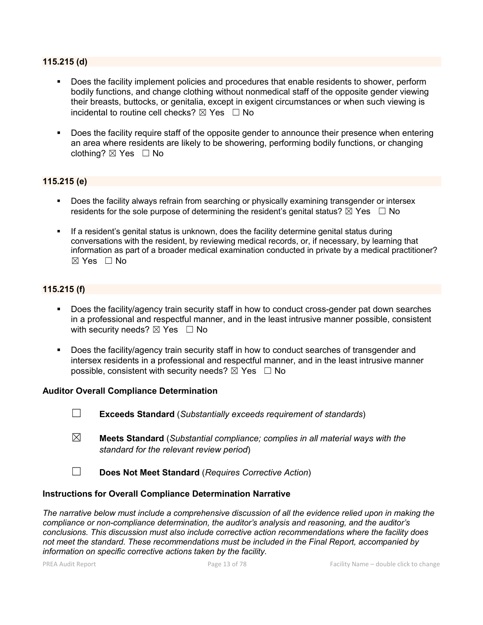### 115.215 (d)

- Does the facility implement policies and procedures that enable residents to shower, perform bodily functions, and change clothing without nonmedical staff of the opposite gender viewing their breasts, buttocks, or genitalia, except in exigent circumstances or when such viewing is incidental to routine cell checks?  $\boxtimes$  Yes  $\Box$  No
- Does the facility require staff of the opposite gender to announce their presence when entering an area where residents are likely to be showering, performing bodily functions, or changing clothing? ☒ Yes ☐ No

### 115.215 (e)

- Does the facility always refrain from searching or physically examining transgender or intersex residents for the sole purpose of determining the resident's genital status?  $\boxtimes$  Yes  $\Box$  No
- If a resident's genital status is unknown, does the facility determine genital status during conversations with the resident, by reviewing medical records, or, if necessary, by learning that information as part of a broader medical examination conducted in private by a medical practitioner?  $\boxtimes$  Yes  $\Box$  No

### 115.215 (f)

- Does the facility/agency train security staff in how to conduct cross-gender pat down searches in a professional and respectful manner, and in the least intrusive manner possible, consistent with security needs?  $\boxtimes$  Yes  $\Box$  No
- Does the facility/agency train security staff in how to conduct searches of transgender and intersex residents in a professional and respectful manner, and in the least intrusive manner possible, consistent with security needs?  $\boxtimes$  Yes  $\Box$  No

### Auditor Overall Compliance Determination

- ☐ Exceeds Standard (*Substantially exceeds requirement of standards*)
- ☒ Meets Standard (*Substantial compliance; complies in all material ways with the standard for the relevant review period*)
- ☐ Does Not Meet Standard (*Requires Corrective Action*)

### Instructions for Overall Compliance Determination Narrative

*The narrative below must include a comprehensive discussion of all the evidence relied upon in making the compliance or non-compliance determination, the auditor's analysis and reasoning, and the auditor's conclusions. This discussion must also include corrective action recommendations where the facility does not meet the standard. These recommendations must be included in the Final Report, accompanied by information on specific corrective actions taken by the facility.*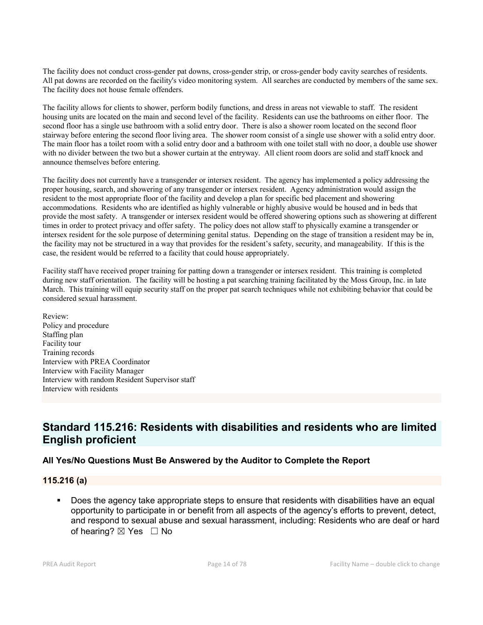The facility does not conduct cross-gender pat downs, cross-gender strip, or cross-gender body cavity searches of residents. All pat downs are recorded on the facility's video monitoring system. All searches are conducted by members of the same sex. The facility does not house female offenders.

The facility allows for clients to shower, perform bodily functions, and dress in areas not viewable to staff. The resident housing units are located on the main and second level of the facility. Residents can use the bathrooms on either floor. The second floor has a single use bathroom with a solid entry door. There is also a shower room located on the second floor stairway before entering the second floor living area. The shower room consist of a single use shower with a solid entry door. The main floor has a toilet room with a solid entry door and a bathroom with one toilet stall with no door, a double use shower with no divider between the two but a shower curtain at the entryway. All client room doors are solid and staff knock and announce themselves before entering.

The facility does not currently have a transgender or intersex resident. The agency has implemented a policy addressing the proper housing, search, and showering of any transgender or intersex resident. Agency administration would assign the resident to the most appropriate floor of the facility and develop a plan for specific bed placement and showering accommodations. Residents who are identified as highly vulnerable or highly abusive would be housed and in beds that provide the most safety. A transgender or intersex resident would be offered showering options such as showering at different times in order to protect privacy and offer safety. The policy does not allow staff to physically examine a transgender or intersex resident for the sole purpose of determining genital status. Depending on the stage of transition a resident may be in, the facility may not be structured in a way that provides for the resident's safety, security, and manageability. If this is the case, the resident would be referred to a facility that could house appropriately.

Facility staff have received proper training for patting down a transgender or intersex resident. This training is completed during new staff orientation. The facility will be hosting a pat searching training facilitated by the Moss Group, Inc. in late March. This training will equip security staff on the proper pat search techniques while not exhibiting behavior that could be considered sexual harassment.

Review: Policy and procedure Staffing plan Facility tour Training records Interview with PREA Coordinator Interview with Facility Manager Interview with random Resident Supervisor staff Interview with residents

# Standard 115.216: Residents with disabilities and residents who are limited English proficient

## All Yes/No Questions Must Be Answered by the Auditor to Complete the Report

## 115.216 (a)

 Does the agency take appropriate steps to ensure that residents with disabilities have an equal opportunity to participate in or benefit from all aspects of the agency's efforts to prevent, detect, and respond to sexual abuse and sexual harassment, including: Residents who are deaf or hard of hearing?  $\boxtimes$  Yes  $\Box$  No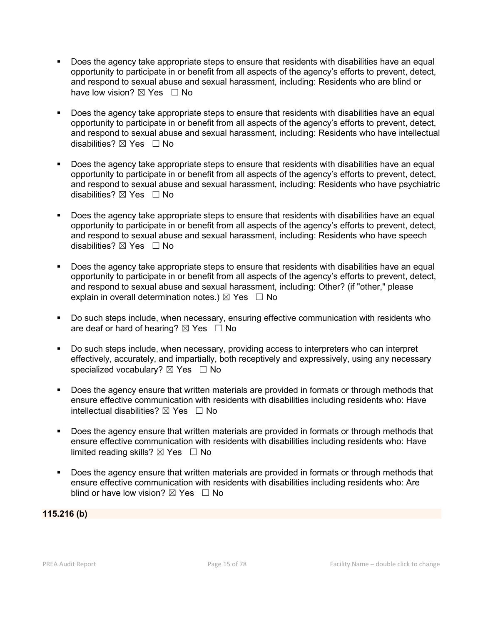- Does the agency take appropriate steps to ensure that residents with disabilities have an equal opportunity to participate in or benefit from all aspects of the agency's efforts to prevent, detect, and respond to sexual abuse and sexual harassment, including: Residents who are blind or have low vision?  $\boxtimes$  Yes  $\Box$  No
- **Does the agency take appropriate steps to ensure that residents with disabilities have an equal** opportunity to participate in or benefit from all aspects of the agency's efforts to prevent, detect, and respond to sexual abuse and sexual harassment, including: Residents who have intellectual disabilities?  $\boxtimes$  Yes  $\Box$  No
- Does the agency take appropriate steps to ensure that residents with disabilities have an equal opportunity to participate in or benefit from all aspects of the agency's efforts to prevent, detect, and respond to sexual abuse and sexual harassment, including: Residents who have psychiatric disabilities?  $\boxtimes$  Yes  $\Box$  No
- Does the agency take appropriate steps to ensure that residents with disabilities have an equal opportunity to participate in or benefit from all aspects of the agency's efforts to prevent, detect, and respond to sexual abuse and sexual harassment, including: Residents who have speech disabilities?  $\boxtimes$  Yes  $\Box$  No
- Does the agency take appropriate steps to ensure that residents with disabilities have an equal opportunity to participate in or benefit from all aspects of the agency's efforts to prevent, detect, and respond to sexual abuse and sexual harassment, including: Other? (if "other," please explain in overall determination notes.)  $\boxtimes$  Yes  $\Box$  No
- Do such steps include, when necessary, ensuring effective communication with residents who are deaf or hard of hearing?  $\boxtimes$  Yes  $\Box$  No
- Do such steps include, when necessary, providing access to interpreters who can interpret effectively, accurately, and impartially, both receptively and expressively, using any necessary specialized vocabulary?  $\boxtimes$  Yes  $\Box$  No
- Does the agency ensure that written materials are provided in formats or through methods that ensure effective communication with residents with disabilities including residents who: Have intellectual disabilities?  $\boxtimes$  Yes  $\Box$  No
- Does the agency ensure that written materials are provided in formats or through methods that ensure effective communication with residents with disabilities including residents who: Have limited reading skills?  $\boxtimes$  Yes  $\Box$  No
- Does the agency ensure that written materials are provided in formats or through methods that ensure effective communication with residents with disabilities including residents who: Are blind or have low vision?  $\boxtimes$  Yes  $\Box$  No

## 115.216 (b)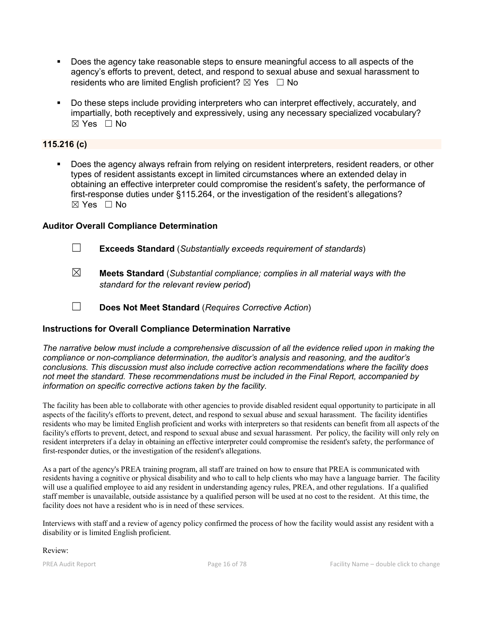- Does the agency take reasonable steps to ensure meaningful access to all aspects of the agency's efforts to prevent, detect, and respond to sexual abuse and sexual harassment to residents who are limited English proficient?  $\boxtimes$  Yes  $\Box$  No
- Do these steps include providing interpreters who can interpret effectively, accurately, and impartially, both receptively and expressively, using any necessary specialized vocabulary?  $\boxtimes$  Yes  $\Box$  No

# 115.216 (c)

 Does the agency always refrain from relying on resident interpreters, resident readers, or other types of resident assistants except in limited circumstances where an extended delay in obtaining an effective interpreter could compromise the resident's safety, the performance of first-response duties under §115.264, or the investigation of the resident's allegations?  $\boxtimes$  Yes  $\Box$  No

### Auditor Overall Compliance Determination

- ☐ Exceeds Standard (*Substantially exceeds requirement of standards*)
- ☒ Meets Standard (*Substantial compliance; complies in all material ways with the standard for the relevant review period*)
- ☐ Does Not Meet Standard (*Requires Corrective Action*)

## Instructions for Overall Compliance Determination Narrative

*The narrative below must include a comprehensive discussion of all the evidence relied upon in making the compliance or non-compliance determination, the auditor's analysis and reasoning, and the auditor's conclusions. This discussion must also include corrective action recommendations where the facility does not meet the standard. These recommendations must be included in the Final Report, accompanied by information on specific corrective actions taken by the facility.*

The facility has been able to collaborate with other agencies to provide disabled resident equal opportunity to participate in all aspects of the facility's efforts to prevent, detect, and respond to sexual abuse and sexual harassment. The facility identifies residents who may be limited English proficient and works with interpreters so that residents can benefit from all aspects of the facility's efforts to prevent, detect, and respond to sexual abuse and sexual harassment. Per policy, the facility will only rely on resident interpreters if a delay in obtaining an effective interpreter could compromise the resident's safety, the performance of first-responder duties, or the investigation of the resident's allegations.

As a part of the agency's PREA training program, all staff are trained on how to ensure that PREA is communicated with residents having a cognitive or physical disability and who to call to help clients who may have a language barrier. The facility will use a qualified employee to aid any resident in understanding agency rules, PREA, and other regulations. If a qualified staff member is unavailable, outside assistance by a qualified person will be used at no cost to the resident. At this time, the facility does not have a resident who is in need of these services.

Interviews with staff and a review of agency policy confirmed the process of how the facility would assist any resident with a disability or is limited English proficient.

Review: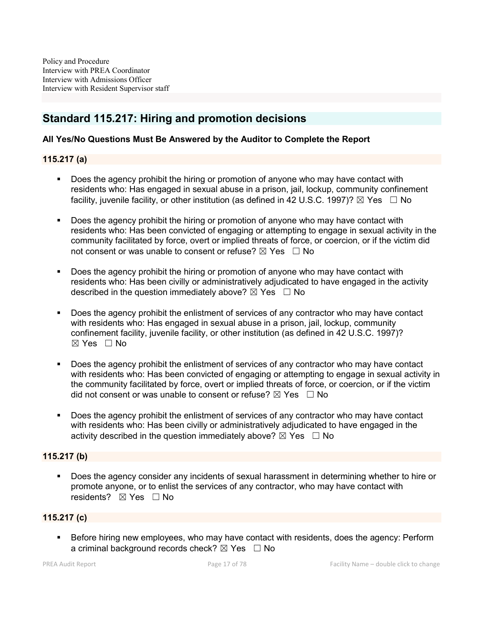# Standard 115.217: Hiring and promotion decisions

## All Yes/No Questions Must Be Answered by the Auditor to Complete the Report

### 115.217 (a)

- Does the agency prohibit the hiring or promotion of anyone who may have contact with residents who: Has engaged in sexual abuse in a prison, jail, lockup, community confinement facility, juvenile facility, or other institution (as defined in 42 U.S.C. 1997)?  $\boxtimes$  Yes  $\Box$  No
- Does the agency prohibit the hiring or promotion of anyone who may have contact with residents who: Has been convicted of engaging or attempting to engage in sexual activity in the community facilitated by force, overt or implied threats of force, or coercion, or if the victim did not consent or was unable to consent or refuse?  $\boxtimes$  Yes  $\Box$  No
- Does the agency prohibit the hiring or promotion of anyone who may have contact with residents who: Has been civilly or administratively adjudicated to have engaged in the activity described in the question immediately above?  $\boxtimes$  Yes  $\Box$  No
- Does the agency prohibit the enlistment of services of any contractor who may have contact with residents who: Has engaged in sexual abuse in a prison, jail, lockup, community confinement facility, juvenile facility, or other institution (as defined in 42 U.S.C. 1997)? ☒ Yes ☐ No
- Does the agency prohibit the enlistment of services of any contractor who may have contact with residents who: Has been convicted of engaging or attempting to engage in sexual activity in the community facilitated by force, overt or implied threats of force, or coercion, or if the victim did not consent or was unable to consent or refuse?  $\boxtimes$  Yes  $\Box$  No
- Does the agency prohibit the enlistment of services of any contractor who may have contact with residents who: Has been civilly or administratively adjudicated to have engaged in the activity described in the question immediately above?  $\boxtimes$  Yes  $\Box$  No

# 115.217 (b)

 Does the agency consider any incidents of sexual harassment in determining whether to hire or promote anyone, or to enlist the services of any contractor, who may have contact with residents?  $\boxtimes$  Yes  $\Box$  No

### 115.217 (c)

**Before hiring new employees, who may have contact with residents, does the agency: Perform** a criminal background records check?  $\boxtimes$  Yes  $\Box$  No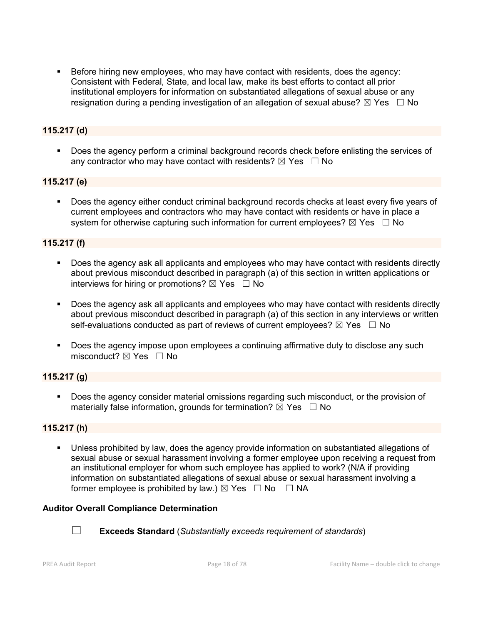Before hiring new employees, who may have contact with residents, does the agency: Consistent with Federal, State, and local law, make its best efforts to contact all prior institutional employers for information on substantiated allegations of sexual abuse or any resignation during a pending investigation of an allegation of sexual abuse?  $\boxtimes$  Yes  $\Box$  No

# 115.217 (d)

**Does the agency perform a criminal background records check before enlisting the services of** any contractor who may have contact with residents?  $\boxtimes$  Yes  $\Box$  No

### 115.217 (e)

 Does the agency either conduct criminal background records checks at least every five years of current employees and contractors who may have contact with residents or have in place a system for otherwise capturing such information for current employees?  $\boxtimes$  Yes  $\Box$  No

### 115.217 (f)

- Does the agency ask all applicants and employees who may have contact with residents directly about previous misconduct described in paragraph (a) of this section in written applications or interviews for hiring or promotions?  $\boxtimes$  Yes  $\Box$  No
- Does the agency ask all applicants and employees who may have contact with residents directly about previous misconduct described in paragraph (a) of this section in any interviews or written self-evaluations conducted as part of reviews of current employees?  $\boxtimes$  Yes  $\Box$  No
- Does the agency impose upon employees a continuing affirmative duty to disclose any such misconduct? ⊠ Yes □ No

## 115.217 (g)

 Does the agency consider material omissions regarding such misconduct, or the provision of materially false information, grounds for termination?  $\boxtimes$  Yes  $\Box$  No

### 115.217 (h)

 Unless prohibited by law, does the agency provide information on substantiated allegations of sexual abuse or sexual harassment involving a former employee upon receiving a request from an institutional employer for whom such employee has applied to work? (N/A if providing information on substantiated allegations of sexual abuse or sexual harassment involving a former employee is prohibited by law.)  $\boxtimes$  Yes  $\Box$  No  $\Box$  NA

### Auditor Overall Compliance Determination



☐ Exceeds Standard (*Substantially exceeds requirement of standards*)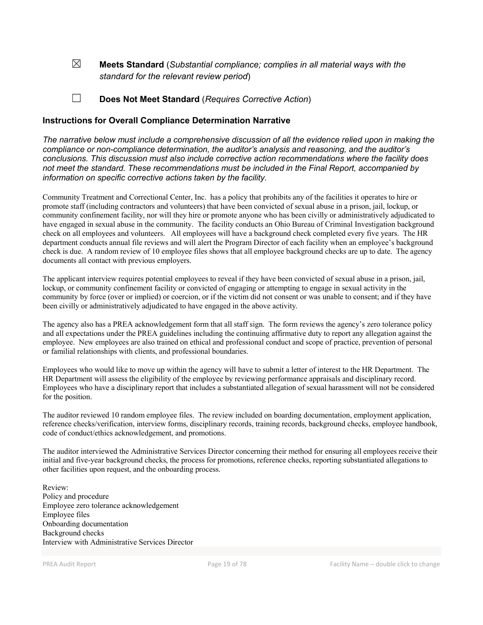☒ Meets Standard (*Substantial compliance; complies in all material ways with the standard for the relevant review period*)

☐ Does Not Meet Standard (*Requires Corrective Action*)

### Instructions for Overall Compliance Determination Narrative

*The narrative below must include a comprehensive discussion of all the evidence relied upon in making the compliance or non-compliance determination, the auditor's analysis and reasoning, and the auditor's conclusions. This discussion must also include corrective action recommendations where the facility does not meet the standard. These recommendations must be included in the Final Report, accompanied by information on specific corrective actions taken by the facility.*

Community Treatment and Correctional Center, Inc. has a policy that prohibits any of the facilities it operates to hire or promote staff (including contractors and volunteers) that have been convicted of sexual abuse in a prison, jail, lockup, or community confinement facility, nor will they hire or promote anyone who has been civilly or administratively adjudicated to have engaged in sexual abuse in the community. The facility conducts an Ohio Bureau of Criminal Investigation background check on all employees and volunteers. All employees will have a background check completed every five years. The HR department conducts annual file reviews and will alert the Program Director of each facility when an employee's background check is due. A random review of 10 employee files shows that all employee background checks are up to date. The agency documents all contact with previous employers.

The applicant interview requires potential employees to reveal if they have been convicted of sexual abuse in a prison, jail, lockup, or community confinement facility or convicted of engaging or attempting to engage in sexual activity in the community by force (over or implied) or coercion, or if the victim did not consent or was unable to consent; and if they have been civilly or administratively adjudicated to have engaged in the above activity.

The agency also has a PREA acknowledgement form that all staff sign. The form reviews the agency's zero tolerance policy and all expectations under the PREA guidelines including the continuing affirmative duty to report any allegation against the employee. New employees are also trained on ethical and professional conduct and scope of practice, prevention of personal or familial relationships with clients, and professional boundaries.

Employees who would like to move up within the agency will have to submit a letter of interest to the HR Department. The HR Department will assess the eligibility of the employee by reviewing performance appraisals and disciplinary record. Employees who have a disciplinary report that includes a substantiated allegation of sexual harassment will not be considered for the position.

The auditor reviewed 10 random employee files. The review included on boarding documentation, employment application, reference checks/verification, interview forms, disciplinary records, training records, background checks, employee handbook, code of conduct/ethics acknowledgement, and promotions.

The auditor interviewed the Administrative Services Director concerning their method for ensuring all employees receive their initial and five-year background checks, the process for promotions, reference checks, reporting substantiated allegations to other facilities upon request, and the onboarding process.

Review: Policy and procedure Employee zero tolerance acknowledgement Employee files Onboarding documentation Background checks Interview with Administrative Services Director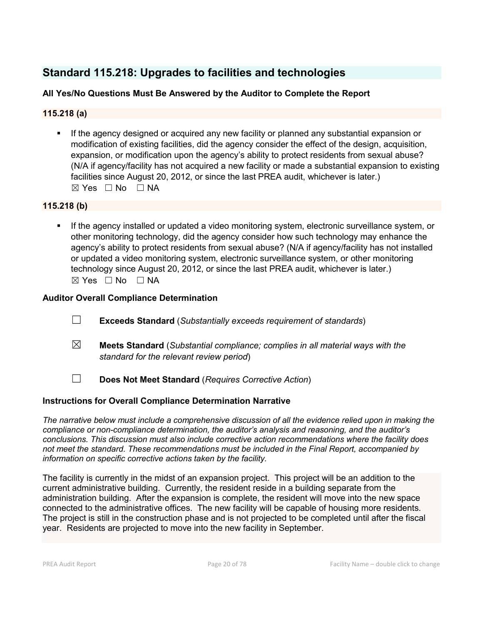# Standard 115.218: Upgrades to facilities and technologies

# All Yes/No Questions Must Be Answered by the Auditor to Complete the Report

# 115.218 (a)

 If the agency designed or acquired any new facility or planned any substantial expansion or modification of existing facilities, did the agency consider the effect of the design, acquisition, expansion, or modification upon the agency's ability to protect residents from sexual abuse? (N/A if agency/facility has not acquired a new facility or made a substantial expansion to existing facilities since August 20, 2012, or since the last PREA audit, whichever is later.)  $\boxtimes$  Yes  $\Box$  No  $\Box$  NA

## 115.218 (b)

 If the agency installed or updated a video monitoring system, electronic surveillance system, or other monitoring technology, did the agency consider how such technology may enhance the agency's ability to protect residents from sexual abuse? (N/A if agency/facility has not installed or updated a video monitoring system, electronic surveillance system, or other monitoring technology since August 20, 2012, or since the last PREA audit, whichever is later.)  $\boxtimes$  Yes  $\Box$  No  $\Box$  NA

## Auditor Overall Compliance Determination

- ☐ Exceeds Standard (*Substantially exceeds requirement of standards*)
- ☒ Meets Standard (*Substantial compliance; complies in all material ways with the standard for the relevant review period*)
- ☐ Does Not Meet Standard (*Requires Corrective Action*)

## Instructions for Overall Compliance Determination Narrative

*The narrative below must include a comprehensive discussion of all the evidence relied upon in making the compliance or non-compliance determination, the auditor's analysis and reasoning, and the auditor's conclusions. This discussion must also include corrective action recommendations where the facility does not meet the standard. These recommendations must be included in the Final Report, accompanied by information on specific corrective actions taken by the facility.*

The facility is currently in the midst of an expansion project. This project will be an addition to the current administrative building. Currently, the resident reside in a building separate from the administration building. After the expansion is complete, the resident will move into the new space connected to the administrative offices. The new facility will be capable of housing more residents. The project is still in the construction phase and is not projected to be completed until after the fiscal year. Residents are projected to move into the new facility in September.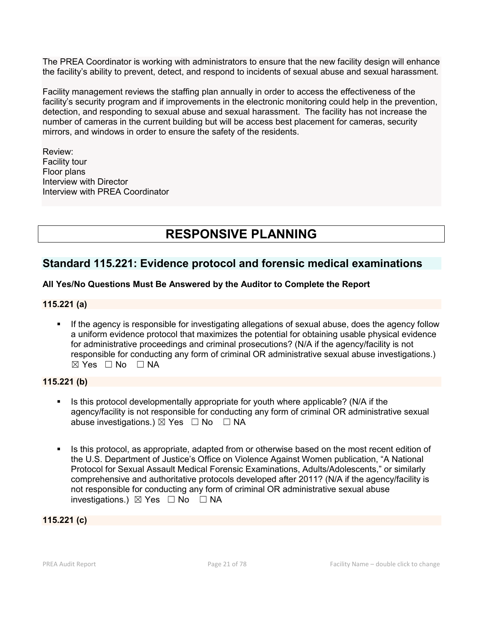The PREA Coordinator is working with administrators to ensure that the new facility design will enhance the facility's ability to prevent, detect, and respond to incidents of sexual abuse and sexual harassment.

Facility management reviews the staffing plan annually in order to access the effectiveness of the facility's security program and if improvements in the electronic monitoring could help in the prevention, detection, and responding to sexual abuse and sexual harassment. The facility has not increase the number of cameras in the current building but will be access best placement for cameras, security mirrors, and windows in order to ensure the safety of the residents.

Review: Facility tour Floor plans Interview with Director Interview with PREA Coordinator

# RESPONSIVE PLANNING

# Standard 115.221: Evidence protocol and forensic medical examinations

# All Yes/No Questions Must Be Answered by the Auditor to Complete the Report

## 115.221 (a)

 If the agency is responsible for investigating allegations of sexual abuse, does the agency follow a uniform evidence protocol that maximizes the potential for obtaining usable physical evidence for administrative proceedings and criminal prosecutions? (N/A if the agency/facility is not responsible for conducting any form of criminal OR administrative sexual abuse investigations.)  $\boxtimes$  Yes  $\Box$  No  $\Box$  NA

# 115.221 (b)

- If its this protocol developmentally appropriate for youth where applicable? ( $N/A$  if the agency/facility is not responsible for conducting any form of criminal OR administrative sexual abuse investigations.)  $\boxtimes$  Yes  $\Box$  No  $\Box$  NA
- Is this protocol, as appropriate, adapted from or otherwise based on the most recent edition of the U.S. Department of Justice's Office on Violence Against Women publication, "A National Protocol for Sexual Assault Medical Forensic Examinations, Adults/Adolescents," or similarly comprehensive and authoritative protocols developed after 2011? (N/A if the agency/facility is not responsible for conducting any form of criminal OR administrative sexual abuse investigations.) ☒ Yes ☐ No ☐ NA

115.221 (c)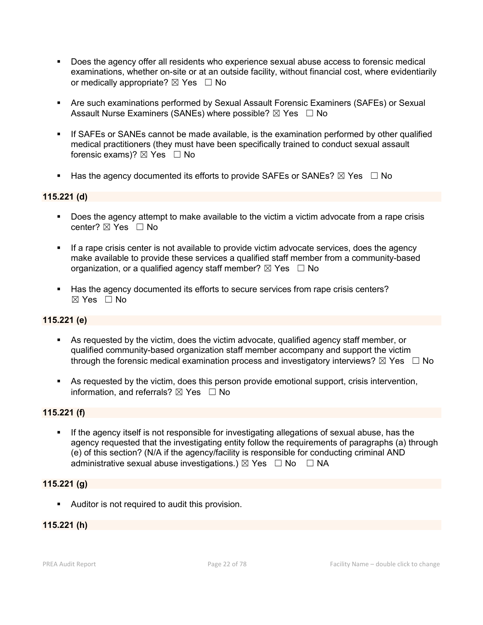- Does the agency offer all residents who experience sexual abuse access to forensic medical examinations, whether on-site or at an outside facility, without financial cost, where evidentiarily or medically appropriate?  $\boxtimes$  Yes  $\Box$  No
- Are such examinations performed by Sexual Assault Forensic Examiners (SAFEs) or Sexual Assault Nurse Examiners (SANEs) where possible?  $\boxtimes$  Yes  $\Box$  No
- If SAFEs or SANEs cannot be made available, is the examination performed by other qualified medical practitioners (they must have been specifically trained to conduct sexual assault forensic exams)?  $\boxtimes$  Yes  $\Box$  No
- Has the agency documented its efforts to provide SAFEs or SANEs?  $\boxtimes$  Yes  $\Box$  No

# 115.221 (d)

- Does the agency attempt to make available to the victim a victim advocate from a rape crisis center?  $\boxtimes$  Yes  $\Box$  No
- If a rape crisis center is not available to provide victim advocate services, does the agency make available to provide these services a qualified staff member from a community-based organization, or a qualified agency staff member?  $\boxtimes$  Yes  $\Box$  No
- Has the agency documented its efforts to secure services from rape crisis centers?  $\boxtimes$  Yes  $\Box$  No

## 115.221 (e)

- As requested by the victim, does the victim advocate, qualified agency staff member, or qualified community-based organization staff member accompany and support the victim through the forensic medical examination process and investigatory interviews?  $\boxtimes$  Yes  $\Box$  No
- As requested by the victim, does this person provide emotional support, crisis intervention, information, and referrals?  $\boxtimes$  Yes  $\Box$  No

## 115.221 (f)

If the agency itself is not responsible for investigating allegations of sexual abuse, has the agency requested that the investigating entity follow the requirements of paragraphs (a) through (e) of this section? (N/A if the agency/facility is responsible for conducting criminal AND administrative sexual abuse investigations.)  $\boxtimes$  Yes  $\Box$  No  $\Box$  NA

## 115.221 (g)

**Auditor is not required to audit this provision.** 

# 115.221 (h)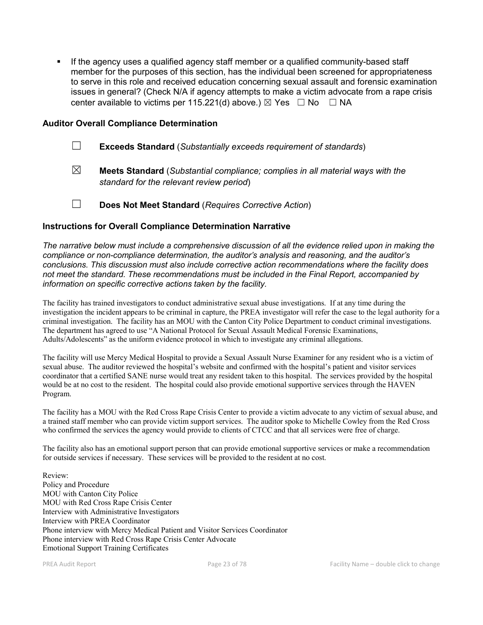**If the agency uses a qualified agency staff member or a qualified community-based staff** member for the purposes of this section, has the individual been screened for appropriateness to serve in this role and received education concerning sexual assault and forensic examination issues in general? (Check N/A if agency attempts to make a victim advocate from a rape crisis center available to victims per 115.221(d) above.)  $\boxtimes$  Yes  $\Box$  No  $\Box$  NA

### Auditor Overall Compliance Determination

- ☐ Exceeds Standard (*Substantially exceeds requirement of standards*)
- ☒ Meets Standard (*Substantial compliance; complies in all material ways with the standard for the relevant review period*)
- ☐ Does Not Meet Standard (*Requires Corrective Action*)

#### Instructions for Overall Compliance Determination Narrative

*The narrative below must include a comprehensive discussion of all the evidence relied upon in making the compliance or non-compliance determination, the auditor's analysis and reasoning, and the auditor's conclusions. This discussion must also include corrective action recommendations where the facility does not meet the standard. These recommendations must be included in the Final Report, accompanied by information on specific corrective actions taken by the facility.*

The facility has trained investigators to conduct administrative sexual abuse investigations. If at any time during the investigation the incident appears to be criminal in capture, the PREA investigator will refer the case to the legal authority for a criminal investigation. The facility has an MOU with the Canton City Police Department to conduct criminal investigations. The department has agreed to use "A National Protocol for Sexual Assault Medical Forensic Examinations, Adults/Adolescents" as the uniform evidence protocol in which to investigate any criminal allegations.

The facility will use Mercy Medical Hospital to provide a Sexual Assault Nurse Examiner for any resident who is a victim of sexual abuse. The auditor reviewed the hospital's website and confirmed with the hospital's patient and visitor services coordinator that a certified SANE nurse would treat any resident taken to this hospital. The services provided by the hospital would be at no cost to the resident. The hospital could also provide emotional supportive services through the HAVEN Program.

The facility has a MOU with the Red Cross Rape Crisis Center to provide a victim advocate to any victim of sexual abuse, and a trained staff member who can provide victim support services. The auditor spoke to Michelle Cowley from the Red Cross who confirmed the services the agency would provide to clients of CTCC and that all services were free of charge.

The facility also has an emotional support person that can provide emotional supportive services or make a recommendation for outside services if necessary. These services will be provided to the resident at no cost.

Review: Policy and Procedure MOU with Canton City Police MOU with Red Cross Rape Crisis Center Interview with Administrative Investigators Interview with PREA Coordinator Phone interview with Mercy Medical Patient and Visitor Services Coordinator Phone interview with Red Cross Rape Crisis Center Advocate Emotional Support Training Certificates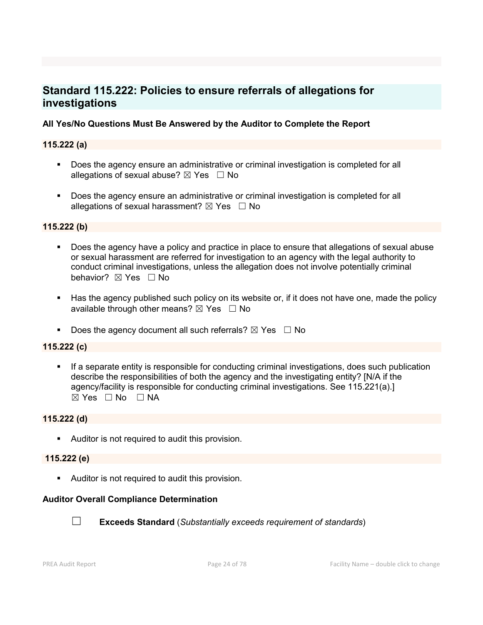# Standard 115.222: Policies to ensure referrals of allegations for investigations

# All Yes/No Questions Must Be Answered by the Auditor to Complete the Report

# 115.222 (a)

- **Does the agency ensure an administrative or criminal investigation is completed for all** allegations of sexual abuse?  $\boxtimes$  Yes  $\Box$  No
- Does the agency ensure an administrative or criminal investigation is completed for all allegations of sexual harassment?  $\boxtimes$  Yes  $\Box$  No

## 115.222 (b)

- Does the agency have a policy and practice in place to ensure that allegations of sexual abuse or sexual harassment are referred for investigation to an agency with the legal authority to conduct criminal investigations, unless the allegation does not involve potentially criminal behavior? **⊠** Yes □ No
- Has the agency published such policy on its website or, if it does not have one, made the policy available through other means?  $\boxtimes$  Yes  $\Box$  No

Does the agency document all such referrals?  $\boxtimes$  Yes  $\Box$  No

## 115.222 (c)

 If a separate entity is responsible for conducting criminal investigations, does such publication describe the responsibilities of both the agency and the investigating entity? [N/A if the agency/facility is responsible for conducting criminal investigations. See 115.221(a).]  $\boxtimes$  Yes  $\Box$  No  $\Box$  NA

# 115.222 (d)

**Auditor is not required to audit this provision.** 

### 115.222 (e)

**Auditor is not required to audit this provision.** 

## Auditor Overall Compliance Determination



☐ Exceeds Standard (*Substantially exceeds requirement of standards*)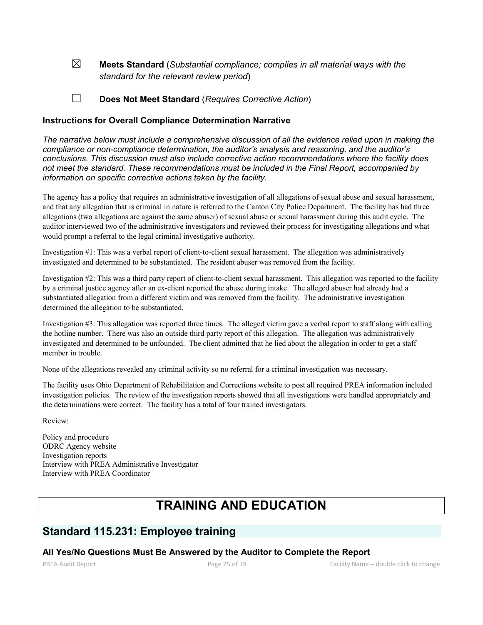☒ Meets Standard (*Substantial compliance; complies in all material ways with the standard for the relevant review period*)

☐ Does Not Meet Standard (*Requires Corrective Action*)

### Instructions for Overall Compliance Determination Narrative

*The narrative below must include a comprehensive discussion of all the evidence relied upon in making the compliance or non-compliance determination, the auditor's analysis and reasoning, and the auditor's conclusions. This discussion must also include corrective action recommendations where the facility does not meet the standard. These recommendations must be included in the Final Report, accompanied by information on specific corrective actions taken by the facility.*

The agency has a policy that requires an administrative investigation of all allegations of sexual abuse and sexual harassment, and that any allegation that is criminal in nature is referred to the Canton City Police Department. The facility has had three allegations (two allegations are against the same abuser) of sexual abuse or sexual harassment during this audit cycle. The auditor interviewed two of the administrative investigators and reviewed their process for investigating allegations and what would prompt a referral to the legal criminal investigative authority.

Investigation #1: This was a verbal report of client-to-client sexual harassment. The allegation was administratively investigated and determined to be substantiated. The resident abuser was removed from the facility.

Investigation #2: This was a third party report of client-to-client sexual harassment. This allegation was reported to the facility by a criminal justice agency after an ex-client reported the abuse during intake. The alleged abuser had already had a substantiated allegation from a different victim and was removed from the facility. The administrative investigation determined the allegation to be substantiated.

Investigation #3: This allegation was reported three times. The alleged victim gave a verbal report to staff along with calling the hotline number. There was also an outside third party report of this allegation. The allegation was administratively investigated and determined to be unfounded. The client admitted that he lied about the allegation in order to get a staff member in trouble.

None of the allegations revealed any criminal activity so no referral for a criminal investigation was necessary.

The facility uses Ohio Department of Rehabilitation and Corrections website to post all required PREA information included investigation policies. The review of the investigation reports showed that all investigations were handled appropriately and the determinations were correct. The facility has a total of four trained investigators.

Review:

Policy and procedure ODRC Agency website Investigation reports Interview with PREA Administrative Investigator Interview with PREA Coordinator

# TRAINING AND EDUCATION

# Standard 115.231: Employee training

### All Yes/No Questions Must Be Answered by the Auditor to Complete the Report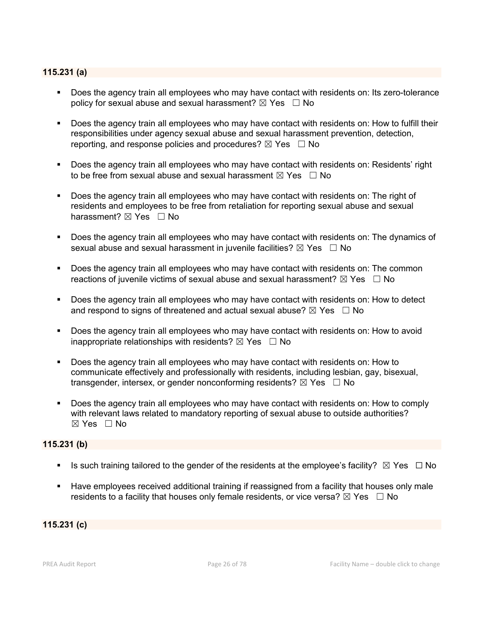## 115.231 (a)

- Does the agency train all employees who may have contact with residents on: Its zero-tolerance policy for sexual abuse and sexual harassment?  $\boxtimes$  Yes  $\Box$  No
- Does the agency train all employees who may have contact with residents on: How to fulfill their responsibilities under agency sexual abuse and sexual harassment prevention, detection, reporting, and response policies and procedures?  $\boxtimes$  Yes  $\Box$  No
- **Does the agency train all employees who may have contact with residents on: Residents' right** to be free from sexual abuse and sexual harassment  $\boxtimes$  Yes  $\Box$  No
- Does the agency train all employees who may have contact with residents on: The right of residents and employees to be free from retaliation for reporting sexual abuse and sexual harassment? ⊠ Yes □ No
- Does the agency train all employees who may have contact with residents on: The dynamics of sexual abuse and sexual harassment in juvenile facilities?  $\boxtimes$  Yes  $\Box$  No
- **Does the agency train all employees who may have contact with residents on: The common** reactions of juvenile victims of sexual abuse and sexual harassment?  $\boxtimes$  Yes  $\Box$  No
- Does the agency train all employees who may have contact with residents on: How to detect and respond to signs of threatened and actual sexual abuse?  $\boxtimes$  Yes  $\Box$  No
- Does the agency train all employees who may have contact with residents on: How to avoid inappropriate relationships with residents?  $\boxtimes$  Yes  $\Box$  No
- Does the agency train all employees who may have contact with residents on: How to communicate effectively and professionally with residents, including lesbian, gay, bisexual, transgender, intersex, or gender nonconforming residents?  $\boxtimes$  Yes  $\Box$  No
- Does the agency train all employees who may have contact with residents on: How to comply with relevant laws related to mandatory reporting of sexual abuse to outside authorities? ☒ Yes ☐ No

# 115.231 (b)

- Is such training tailored to the gender of the residents at the employee's facility?  $\boxtimes$  Yes  $\Box$  No
- Have employees received additional training if reassigned from a facility that houses only male residents to a facility that houses only female residents, or vice versa?  $\boxtimes$  Yes  $\Box$  No

115.231 (c)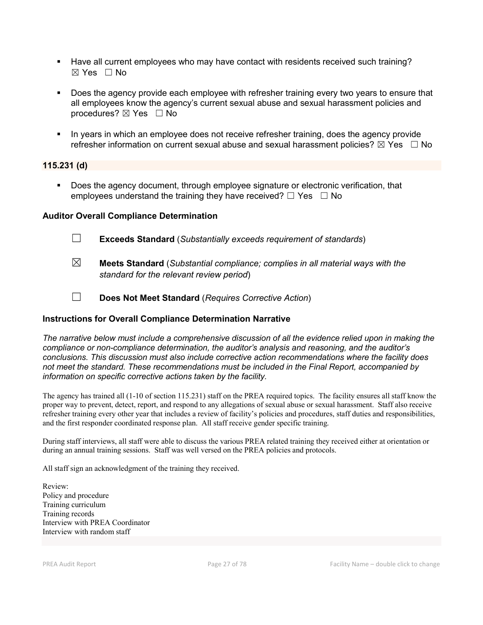- Have all current employees who may have contact with residents received such training? ☒ Yes ☐ No
- Does the agency provide each employee with refresher training every two years to ensure that all employees know the agency's current sexual abuse and sexual harassment policies and procedures?  $\boxtimes$  Yes  $\Box$  No
- In years in which an employee does not receive refresher training, does the agency provide refresher information on current sexual abuse and sexual harassment policies?  $\boxtimes$  Yes  $\Box$  No

### 115.231 (d)

**Does the agency document, through employee signature or electronic verification, that** employees understand the training they have received?  $\Box$  Yes  $\Box$  No

### Auditor Overall Compliance Determination

- ☐ Exceeds Standard (*Substantially exceeds requirement of standards*)
- ☒ Meets Standard (*Substantial compliance; complies in all material ways with the standard for the relevant review period*)
- ☐ Does Not Meet Standard (*Requires Corrective Action*)

## Instructions for Overall Compliance Determination Narrative

*The narrative below must include a comprehensive discussion of all the evidence relied upon in making the compliance or non-compliance determination, the auditor's analysis and reasoning, and the auditor's conclusions. This discussion must also include corrective action recommendations where the facility does not meet the standard. These recommendations must be included in the Final Report, accompanied by information on specific corrective actions taken by the facility.*

The agency has trained all (1-10 of section 115.231) staff on the PREA required topics. The facility ensures all staff know the proper way to prevent, detect, report, and respond to any allegations of sexual abuse or sexual harassment. Staff also receive refresher training every other year that includes a review of facility's policies and procedures, staff duties and responsibilities, and the first responder coordinated response plan. All staff receive gender specific training.

During staff interviews, all staff were able to discuss the various PREA related training they received either at orientation or during an annual training sessions. Staff was well versed on the PREA policies and protocols.

All staff sign an acknowledgment of the training they received.

Review: Policy and procedure Training curriculum Training records Interview with PREA Coordinator Interview with random staff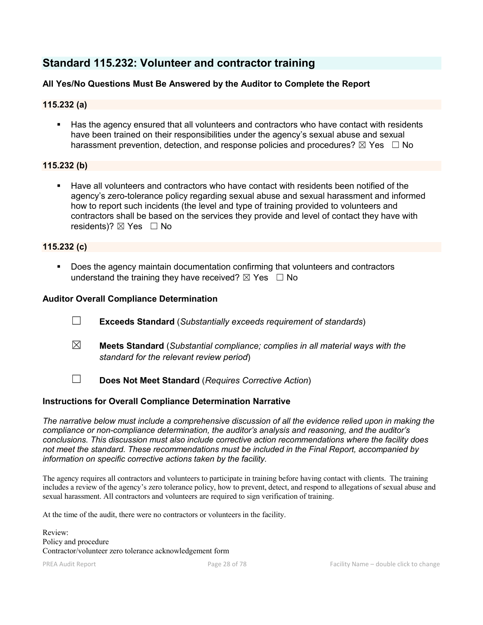# Standard 115.232: Volunteer and contractor training

# All Yes/No Questions Must Be Answered by the Auditor to Complete the Report

# 115.232 (a)

 Has the agency ensured that all volunteers and contractors who have contact with residents have been trained on their responsibilities under the agency's sexual abuse and sexual harassment prevention, detection, and response policies and procedures?  $\boxtimes$  Yes  $\Box$  No

### 115.232 (b)

 Have all volunteers and contractors who have contact with residents been notified of the agency's zero-tolerance policy regarding sexual abuse and sexual harassment and informed how to report such incidents (the level and type of training provided to volunteers and contractors shall be based on the services they provide and level of contact they have with residents)?  $\boxtimes$  Yes  $\Box$  No

## 115.232 (c)

 Does the agency maintain documentation confirming that volunteers and contractors understand the training they have received?  $\boxtimes$  Yes  $\Box$  No

## Auditor Overall Compliance Determination

- ☐ Exceeds Standard (*Substantially exceeds requirement of standards*)
- ☒ Meets Standard (*Substantial compliance; complies in all material ways with the standard for the relevant review period*)
- ☐ Does Not Meet Standard (*Requires Corrective Action*)

## Instructions for Overall Compliance Determination Narrative

*The narrative below must include a comprehensive discussion of all the evidence relied upon in making the compliance or non-compliance determination, the auditor's analysis and reasoning, and the auditor's conclusions. This discussion must also include corrective action recommendations where the facility does not meet the standard. These recommendations must be included in the Final Report, accompanied by information on specific corrective actions taken by the facility.*

The agency requires all contractors and volunteers to participate in training before having contact with clients. The training includes a review of the agency's zero tolerance policy, how to prevent, detect, and respond to allegations of sexual abuse and sexual harassment. All contractors and volunteers are required to sign verification of training.

At the time of the audit, there were no contractors or volunteers in the facility.

Review: Policy and procedure Contractor/volunteer zero tolerance acknowledgement form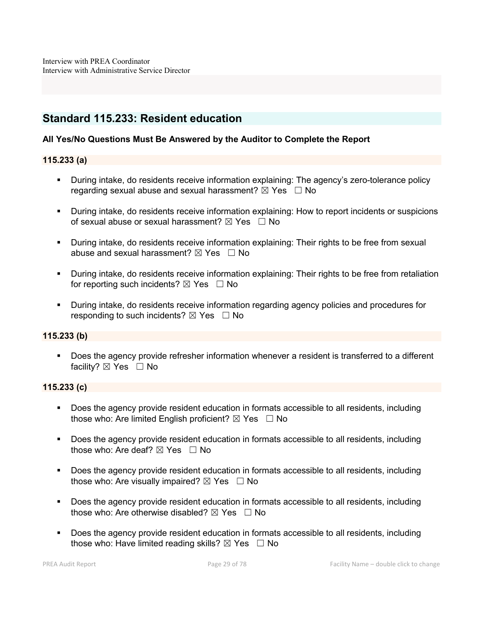# Standard 115.233: Resident education

## All Yes/No Questions Must Be Answered by the Auditor to Complete the Report

### 115.233 (a)

- During intake, do residents receive information explaining: The agency's zero-tolerance policy regarding sexual abuse and sexual harassment?  $\boxtimes$  Yes  $\Box$  No
- During intake, do residents receive information explaining: How to report incidents or suspicions of sexual abuse or sexual harassment?  $\boxtimes$  Yes  $\Box$  No
- During intake, do residents receive information explaining: Their rights to be free from sexual abuse and sexual harassment?  $\boxtimes$  Yes  $\Box$  No
- During intake, do residents receive information explaining: Their rights to be free from retaliation for reporting such incidents?  $\boxtimes$  Yes  $\Box$  No
- During intake, do residents receive information regarding agency policies and procedures for responding to such incidents?  $\boxtimes$  Yes  $\Box$  No

## 115.233 (b)

**Does the agency provide refresher information whenever a resident is transferred to a different** facility? ⊠ Yes □ No

### 115.233 (c)

- Does the agency provide resident education in formats accessible to all residents, including those who: Are limited English proficient?  $\boxtimes$  Yes  $\Box$  No
- Does the agency provide resident education in formats accessible to all residents, including those who: Are deaf?  $\boxtimes$  Yes  $\Box$  No
- Does the agency provide resident education in formats accessible to all residents, including those who: Are visually impaired?  $\boxtimes$  Yes  $\Box$  No
- Does the agency provide resident education in formats accessible to all residents, including those who: Are otherwise disabled?  $\boxtimes$  Yes  $\Box$  No
- **Does the agency provide resident education in formats accessible to all residents, including** those who: Have limited reading skills?  $\boxtimes$  Yes  $\Box$  No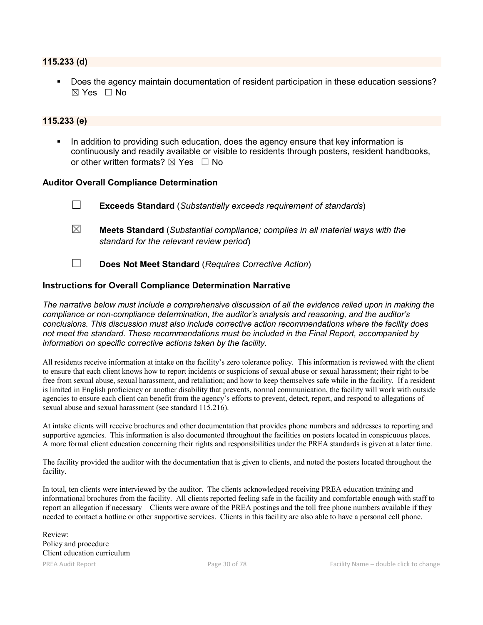#### 115.233 (d)

 Does the agency maintain documentation of resident participation in these education sessions?  $\boxtimes$  Yes  $\Box$  No

#### 115.233 (e)

 In addition to providing such education, does the agency ensure that key information is continuously and readily available or visible to residents through posters, resident handbooks, or other written formats?  $\boxtimes$  Yes  $\Box$  No

#### Auditor Overall Compliance Determination

- ☐ Exceeds Standard (*Substantially exceeds requirement of standards*)
- ☒ Meets Standard (*Substantial compliance; complies in all material ways with the standard for the relevant review period*)
- ☐ Does Not Meet Standard (*Requires Corrective Action*)

#### Instructions for Overall Compliance Determination Narrative

*The narrative below must include a comprehensive discussion of all the evidence relied upon in making the compliance or non-compliance determination, the auditor's analysis and reasoning, and the auditor's conclusions. This discussion must also include corrective action recommendations where the facility does not meet the standard. These recommendations must be included in the Final Report, accompanied by information on specific corrective actions taken by the facility.*

All residents receive information at intake on the facility's zero tolerance policy. This information is reviewed with the client to ensure that each client knows how to report incidents or suspicions of sexual abuse or sexual harassment; their right to be free from sexual abuse, sexual harassment, and retaliation; and how to keep themselves safe while in the facility. If a resident is limited in English proficiency or another disability that prevents, normal communication, the facility will work with outside agencies to ensure each client can benefit from the agency's efforts to prevent, detect, report, and respond to allegations of sexual abuse and sexual harassment (see standard 115.216).

At intake clients will receive brochures and other documentation that provides phone numbers and addresses to reporting and supportive agencies. This information is also documented throughout the facilities on posters located in conspicuous places. A more formal client education concerning their rights and responsibilities under the PREA standards is given at a later time.

The facility provided the auditor with the documentation that is given to clients, and noted the posters located throughout the facility.

In total, ten clients were interviewed by the auditor. The clients acknowledged receiving PREA education training and informational brochures from the facility. All clients reported feeling safe in the facility and comfortable enough with staff to report an allegation if necessary Clients were aware of the PREA postings and the toll free phone numbers available if they needed to contact a hotline or other supportive services. Clients in this facility are also able to have a personal cell phone.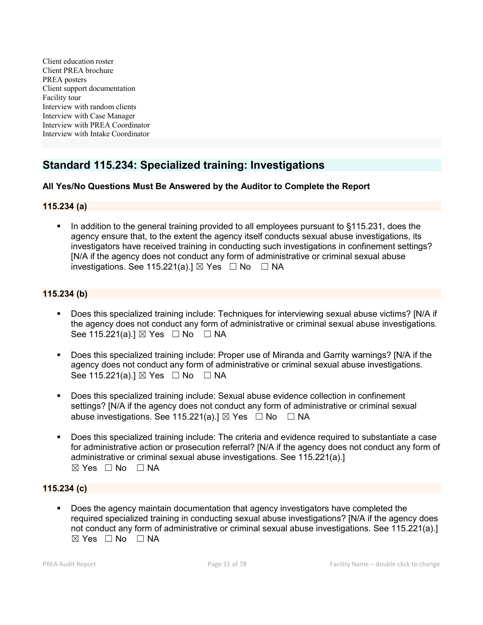Client education roster Client PREA brochure PREA posters Client support documentation Facility tour Interview with random clients Interview with Case Manager Interview with PREA Coordinator Interview with Intake Coordinator

# Standard 115.234: Specialized training: Investigations

# All Yes/No Questions Must Be Answered by the Auditor to Complete the Report

## 115.234 (a)

 In addition to the general training provided to all employees pursuant to §115.231, does the agency ensure that, to the extent the agency itself conducts sexual abuse investigations, its investigators have received training in conducting such investigations in confinement settings? [N/A if the agency does not conduct any form of administrative or criminal sexual abuse investigations. See 115.221(a).]  $\boxtimes$  Yes  $\Box$  No  $\Box$  NA

## 115.234 (b)

- Does this specialized training include: Techniques for interviewing sexual abuse victims? [N/A if the agency does not conduct any form of administrative or criminal sexual abuse investigations. See 115.221(a).] ⊠ Yes □ No □ NA
- Does this specialized training include: Proper use of Miranda and Garrity warnings? [N/A if the agency does not conduct any form of administrative or criminal sexual abuse investigations. See 115.221(a).]  $\boxtimes$  Yes  $\Box$  No  $\Box$  NA
- Does this specialized training include: Sexual abuse evidence collection in confinement settings? [N/A if the agency does not conduct any form of administrative or criminal sexual abuse investigations. See 115.221(a).]  $\boxtimes$  Yes  $\Box$  No  $\Box$  NA
- Does this specialized training include: The criteria and evidence required to substantiate a case for administrative action or prosecution referral? [N/A if the agency does not conduct any form of administrative or criminal sexual abuse investigations. See 115.221(a).]  $⊠ Yes ⊡ No ⊡ NA$

## 115.234 (c)

 Does the agency maintain documentation that agency investigators have completed the required specialized training in conducting sexual abuse investigations? [N/A if the agency does not conduct any form of administrative or criminal sexual abuse investigations. See 115.221(a).] ☒ Yes ☐ No ☐ NA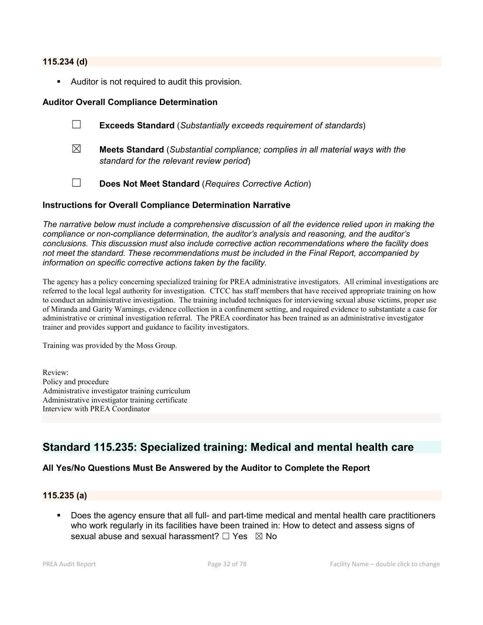#### 115.234 (d)

Auditor is not required to audit this provision.

## Auditor Overall Compliance Determination

- ☐ Exceeds Standard (*Substantially exceeds requirement of standards*)
- ☒ Meets Standard (*Substantial compliance; complies in all material ways with the standard for the relevant review period*)
- ☐ Does Not Meet Standard (*Requires Corrective Action*)

### Instructions for Overall Compliance Determination Narrative

*The narrative below must include a comprehensive discussion of all the evidence relied upon in making the compliance or non-compliance determination, the auditor's analysis and reasoning, and the auditor's conclusions. This discussion must also include corrective action recommendations where the facility does not meet the standard. These recommendations must be included in the Final Report, accompanied by information on specific corrective actions taken by the facility.*

The agency has a policy concerning specialized training for PREA administrative investigators. All criminal investigations are referred to the local legal authority for investigation. CTCC has staff members that have received appropriate training on how to conduct an administrative investigation. The training included techniques for interviewing sexual abuse victims, proper use of Miranda and Garity Warnings, evidence collection in a confinement setting, and required evidence to substantiate a case for administrative or criminal investigation referral. The PREA coordinator has been trained as an administrative investigator trainer and provides support and guidance to facility investigators.

Training was provided by the Moss Group.

Review: Policy and procedure Administrative investigator training curriculum Administrative investigator training certificate Interview with PREA Coordinator

# Standard 115.235: Specialized training: Medical and mental health care

## All Yes/No Questions Must Be Answered by the Auditor to Complete the Report

### 115.235 (a)

 Does the agency ensure that all full- and part-time medical and mental health care practitioners who work regularly in its facilities have been trained in: How to detect and assess signs of sexual abuse and sexual harassment?  $\Box$  Yes  $\boxtimes$  No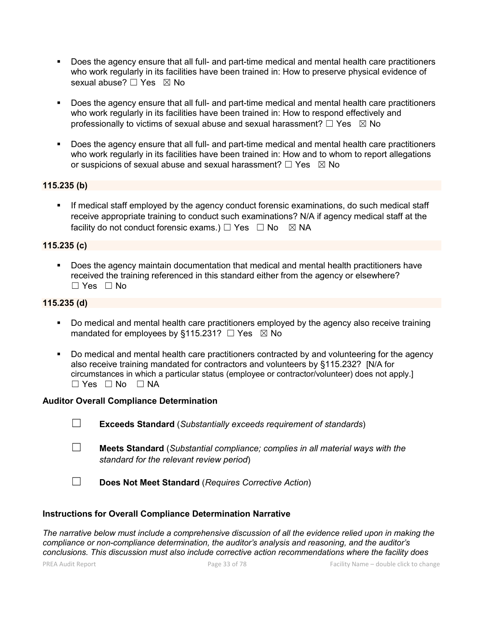- Does the agency ensure that all full- and part-time medical and mental health care practitioners who work regularly in its facilities have been trained in: How to preserve physical evidence of sexual abuse?  $\Box$  Yes  $\boxtimes$  No
- Does the agency ensure that all full- and part-time medical and mental health care practitioners who work regularly in its facilities have been trained in: How to respond effectively and professionally to victims of sexual abuse and sexual harassment?  $\Box$  Yes  $\boxtimes$  No
- Does the agency ensure that all full- and part-time medical and mental health care practitioners who work regularly in its facilities have been trained in: How and to whom to report allegations or suspicions of sexual abuse and sexual harassment?  $\Box$  Yes  $\boxtimes$  No

### 115.235 (b)

 If medical staff employed by the agency conduct forensic examinations, do such medical staff receive appropriate training to conduct such examinations? N/A if agency medical staff at the facility do not conduct forensic exams.)  $\Box$  Yes  $\Box$  No  $\boxtimes$  NA

# 115.235 (c)

 Does the agency maintain documentation that medical and mental health practitioners have received the training referenced in this standard either from the agency or elsewhere?  $\Box$  Yes  $\Box$  No

### 115.235 (d)

- Do medical and mental health care practitioners employed by the agency also receive training mandated for employees by §115.231?  $\Box$  Yes  $\boxtimes$  No
- Do medical and mental health care practitioners contracted by and volunteering for the agency also receive training mandated for contractors and volunteers by §115.232? [N/A for circumstances in which a particular status (employee or contractor/volunteer) does not apply.]  $\Box$  Yes  $\Box$  No  $\Box$  NA

### Auditor Overall Compliance Determination

☐ Exceeds Standard (*Substantially exceeds requirement of standards*)

- ☐ Meets Standard (*Substantial compliance; complies in all material ways with the standard for the relevant review period*)
- ☐ Does Not Meet Standard (*Requires Corrective Action*)

### Instructions for Overall Compliance Determination Narrative

*The narrative below must include a comprehensive discussion of all the evidence relied upon in making the compliance or non-compliance determination, the auditor's analysis and reasoning, and the auditor's conclusions. This discussion must also include corrective action recommendations where the facility does*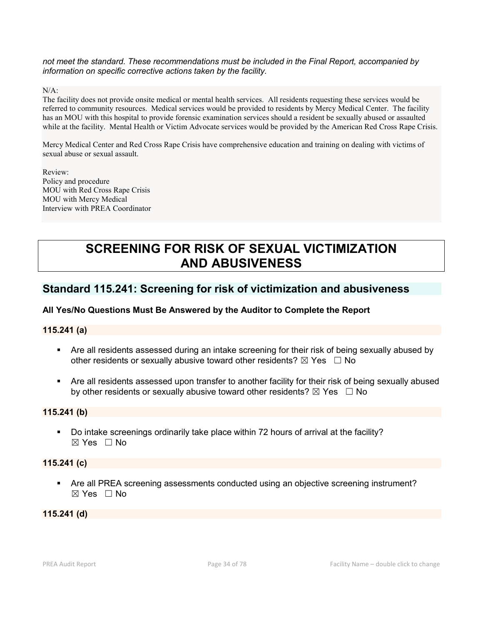*not meet the standard. These recommendations must be included in the Final Report, accompanied by information on specific corrective actions taken by the facility.*

 $N/A$ :

The facility does not provide onsite medical or mental health services. All residents requesting these services would be referred to community resources. Medical services would be provided to residents by Mercy Medical Center. The facility has an MOU with this hospital to provide forensic examination services should a resident be sexually abused or assaulted while at the facility. Mental Health or Victim Advocate services would be provided by the American Red Cross Rape Crisis.

Mercy Medical Center and Red Cross Rape Crisis have comprehensive education and training on dealing with victims of sexual abuse or sexual assault.

Review: Policy and procedure MOU with Red Cross Rape Crisis MOU with Mercy Medical Interview with PREA Coordinator

# SCREENING FOR RISK OF SEXUAL VICTIMIZATION AND ABUSIVENESS

# Standard 115.241: Screening for risk of victimization and abusiveness

# All Yes/No Questions Must Be Answered by the Auditor to Complete the Report

## 115.241 (a)

- Are all residents assessed during an intake screening for their risk of being sexually abused by other residents or sexually abusive toward other residents?  $\boxtimes$  Yes  $\Box$  No
- Are all residents assessed upon transfer to another facility for their risk of being sexually abused by other residents or sexually abusive toward other residents?  $\boxtimes$  Yes  $\Box$  No

### 115.241 (b)

 Do intake screenings ordinarily take place within 72 hours of arrival at the facility?  $\boxtimes$  Yes  $\Box$  No

### 115.241 (c)

 Are all PREA screening assessments conducted using an objective screening instrument?  $\boxtimes$  Yes  $\Box$  No

## 115.241 (d)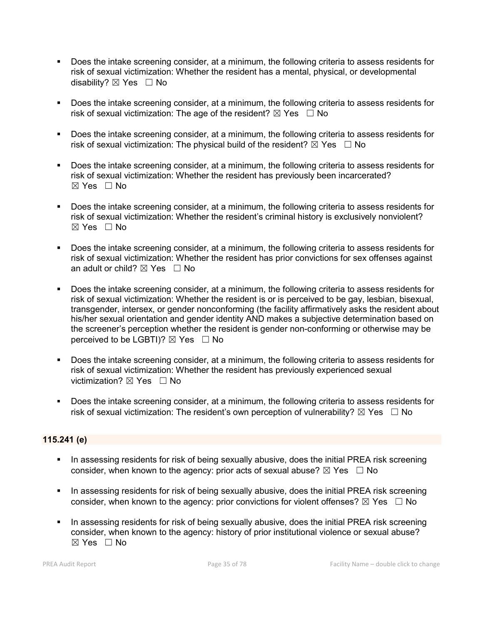- Does the intake screening consider, at a minimum, the following criteria to assess residents for risk of sexual victimization: Whether the resident has a mental, physical, or developmental disability?  $\boxtimes$  Yes  $\Box$  No
- Does the intake screening consider, at a minimum, the following criteria to assess residents for risk of sexual victimization: The age of the resident?  $\boxtimes$  Yes  $\Box$  No
- **Does the intake screening consider, at a minimum, the following criteria to assess residents for** risk of sexual victimization: The physical build of the resident?  $\boxtimes$  Yes  $\Box$  No
- Does the intake screening consider, at a minimum, the following criteria to assess residents for risk of sexual victimization: Whether the resident has previously been incarcerated?  $\boxtimes$  Yes  $\Box$  No
- Does the intake screening consider, at a minimum, the following criteria to assess residents for risk of sexual victimization: Whether the resident's criminal history is exclusively nonviolent?  $\boxtimes$  Yes  $\Box$  No
- Does the intake screening consider, at a minimum, the following criteria to assess residents for risk of sexual victimization: Whether the resident has prior convictions for sex offenses against an adult or child?  $\boxtimes$  Yes  $\Box$  No
- **Does the intake screening consider, at a minimum, the following criteria to assess residents for** risk of sexual victimization: Whether the resident is or is perceived to be gay, lesbian, bisexual, transgender, intersex, or gender nonconforming (the facility affirmatively asks the resident about his/her sexual orientation and gender identity AND makes a subjective determination based on the screener's perception whether the resident is gender non-conforming or otherwise may be perceived to be LGBTI)?  $\boxtimes$  Yes  $\Box$  No
- **Does the intake screening consider, at a minimum, the following criteria to assess residents for** risk of sexual victimization: Whether the resident has previously experienced sexual victimization?  $\boxtimes$  Yes  $\Box$  No
- Does the intake screening consider, at a minimum, the following criteria to assess residents for risk of sexual victimization: The resident's own perception of vulnerability?  $\boxtimes$  Yes  $\Box$  No

## 115.241 (e)

- **IF In assessing residents for risk of being sexually abusive, does the initial PREA risk screening** consider, when known to the agency: prior acts of sexual abuse?  $\boxtimes$  Yes  $\Box$  No
- **IF In assessing residents for risk of being sexually abusive, does the initial PREA risk screening** consider, when known to the agency: prior convictions for violent offenses?  $\boxtimes$  Yes  $\Box$  No
- In assessing residents for risk of being sexually abusive, does the initial PREA risk screening consider, when known to the agency: history of prior institutional violence or sexual abuse?  $\boxtimes$  Yes  $\Box$  No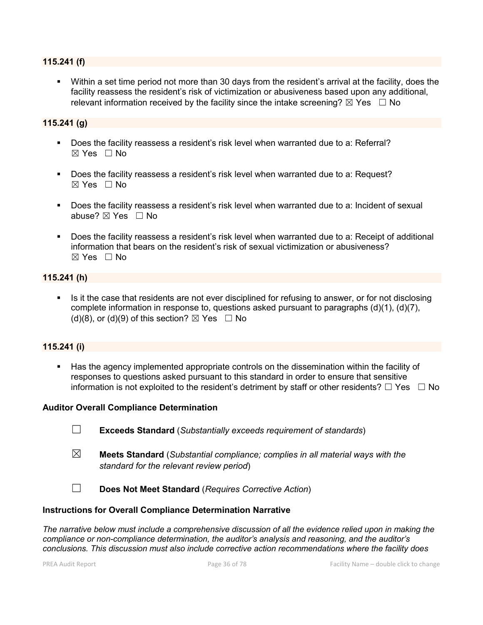### 115.241 (f)

 Within a set time period not more than 30 days from the resident's arrival at the facility, does the facility reassess the resident's risk of victimization or abusiveness based upon any additional, relevant information received by the facility since the intake screening?  $\boxtimes$  Yes  $\Box$  No

## 115.241 (g)

- Does the facility reassess a resident's risk level when warranted due to a: Referral? ☒ Yes ☐ No
- Does the facility reassess a resident's risk level when warranted due to a: Request?  $\boxtimes$  Yes  $\Box$  No
- Does the facility reassess a resident's risk level when warranted due to a: Incident of sexual abuse? ☒ Yes ☐ No
- Does the facility reassess a resident's risk level when warranted due to a: Receipt of additional information that bears on the resident's risk of sexual victimization or abusiveness?  $\boxtimes$  Yes  $\Box$  No

# 115.241 (h)

Is it the case that residents are not ever disciplined for refusing to answer, or for not disclosing complete information in response to, questions asked pursuant to paragraphs (d)(1), (d)(7), (d)(8), or (d)(9) of this section?  $\boxtimes$  Yes  $\Box$  No

## 115.241 (i)

 Has the agency implemented appropriate controls on the dissemination within the facility of responses to questions asked pursuant to this standard in order to ensure that sensitive information is not exploited to the resident's detriment by staff or other residents?  $\Box$  Yes  $\Box$  No

### Auditor Overall Compliance Determination

- ☐ Exceeds Standard (*Substantially exceeds requirement of standards*)
- ☒ Meets Standard (*Substantial compliance; complies in all material ways with the standard for the relevant review period*)
- ☐ Does Not Meet Standard (*Requires Corrective Action*)

### Instructions for Overall Compliance Determination Narrative

*The narrative below must include a comprehensive discussion of all the evidence relied upon in making the compliance or non-compliance determination, the auditor's analysis and reasoning, and the auditor's conclusions. This discussion must also include corrective action recommendations where the facility does*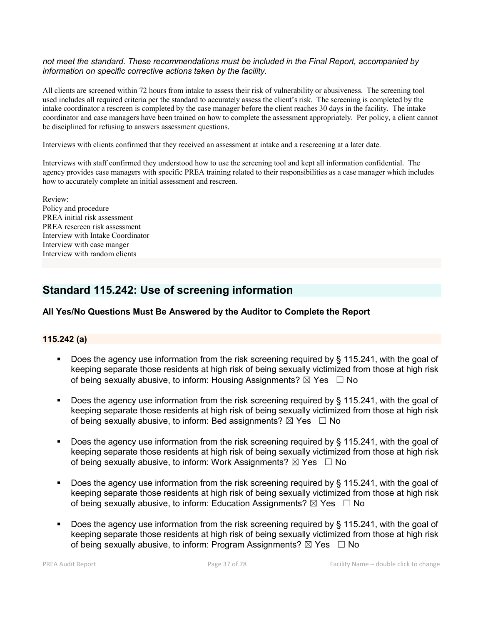#### *not meet the standard. These recommendations must be included in the Final Report, accompanied by information on specific corrective actions taken by the facility.*

All clients are screened within 72 hours from intake to assess their risk of vulnerability or abusiveness. The screening tool used includes all required criteria per the standard to accurately assess the client's risk. The screening is completed by the intake coordinator a rescreen is completed by the case manager before the client reaches 30 days in the facility. The intake coordinator and case managers have been trained on how to complete the assessment appropriately. Per policy, a client cannot be disciplined for refusing to answers assessment questions.

Interviews with clients confirmed that they received an assessment at intake and a rescreening at a later date.

Interviews with staff confirmed they understood how to use the screening tool and kept all information confidential. The agency provides case managers with specific PREA training related to their responsibilities as a case manager which includes how to accurately complete an initial assessment and rescreen.

Review: Policy and procedure PREA initial risk assessment PREA rescreen risk assessment Interview with Intake Coordinator Interview with case manger Interview with random clients

# Standard 115.242: Use of screening information

# All Yes/No Questions Must Be Answered by the Auditor to Complete the Report

# 115.242 (a)

- Does the agency use information from the risk screening required by  $\S$  115.241, with the goal of keeping separate those residents at high risk of being sexually victimized from those at high risk of being sexually abusive, to inform: Housing Assignments?  $\boxtimes$  Yes  $\Box$  No
- Does the agency use information from the risk screening required by  $\S$  115.241, with the goal of keeping separate those residents at high risk of being sexually victimized from those at high risk of being sexually abusive, to inform: Bed assignments?  $\boxtimes$  Yes  $\Box$  No
- Does the agency use information from the risk screening required by  $\S$  115.241, with the goal of keeping separate those residents at high risk of being sexually victimized from those at high risk of being sexually abusive, to inform: Work Assignments?  $\boxtimes$  Yes  $\Box$  No
- Does the agency use information from the risk screening required by § 115.241, with the goal of keeping separate those residents at high risk of being sexually victimized from those at high risk of being sexually abusive, to inform: Education Assignments?  $\boxtimes$  Yes  $\Box$  No
- Does the agency use information from the risk screening required by § 115.241, with the goal of keeping separate those residents at high risk of being sexually victimized from those at high risk of being sexually abusive, to inform: Program Assignments?  $\boxtimes$  Yes  $\Box$  No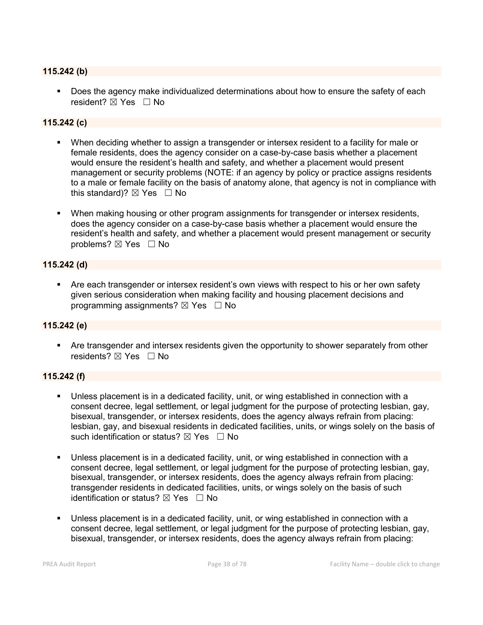# 115.242 (b)

 Does the agency make individualized determinations about how to ensure the safety of each resident? ⊠ Yes □ No

# 115.242 (c)

- When deciding whether to assign a transgender or intersex resident to a facility for male or female residents, does the agency consider on a case-by-case basis whether a placement would ensure the resident's health and safety, and whether a placement would present management or security problems (NOTE: if an agency by policy or practice assigns residents to a male or female facility on the basis of anatomy alone, that agency is not in compliance with this standard)?  $\boxtimes$  Yes  $\Box$  No
- When making housing or other program assignments for transgender or intersex residents, does the agency consider on a case-by-case basis whether a placement would ensure the resident's health and safety, and whether a placement would present management or security problems? ⊠ Yes □ No

### 115.242 (d)

 Are each transgender or intersex resident's own views with respect to his or her own safety given serious consideration when making facility and housing placement decisions and programming assignments?  $\boxtimes$  Yes  $\Box$  No

# 115.242 (e)

 Are transgender and intersex residents given the opportunity to shower separately from other residents? ⊠ Yes □ No

# 115.242 (f)

- Unless placement is in a dedicated facility, unit, or wing established in connection with a consent decree, legal settlement, or legal judgment for the purpose of protecting lesbian, gay, bisexual, transgender, or intersex residents, does the agency always refrain from placing: lesbian, gay, and bisexual residents in dedicated facilities, units, or wings solely on the basis of such identification or status?  $\boxtimes$  Yes  $\Box$  No
- Unless placement is in a dedicated facility, unit, or wing established in connection with a consent decree, legal settlement, or legal judgment for the purpose of protecting lesbian, gay, bisexual, transgender, or intersex residents, does the agency always refrain from placing: transgender residents in dedicated facilities, units, or wings solely on the basis of such identification or status?  $\boxtimes$  Yes  $\Box$  No
- Unless placement is in a dedicated facility, unit, or wing established in connection with a consent decree, legal settlement, or legal judgment for the purpose of protecting lesbian, gay, bisexual, transgender, or intersex residents, does the agency always refrain from placing: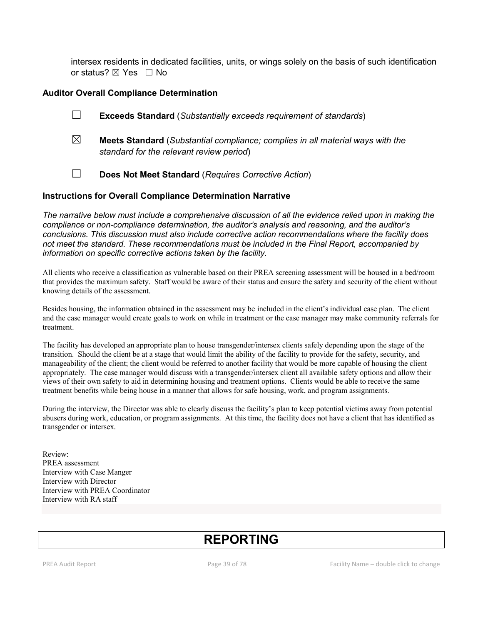intersex residents in dedicated facilities, units, or wings solely on the basis of such identification or status? ⊠ Yes □ No

### Auditor Overall Compliance Determination

- ☐ Exceeds Standard (*Substantially exceeds requirement of standards*)
- ☒ Meets Standard (*Substantial compliance; complies in all material ways with the standard for the relevant review period*)
- ☐ Does Not Meet Standard (*Requires Corrective Action*)

#### Instructions for Overall Compliance Determination Narrative

*The narrative below must include a comprehensive discussion of all the evidence relied upon in making the compliance or non-compliance determination, the auditor's analysis and reasoning, and the auditor's conclusions. This discussion must also include corrective action recommendations where the facility does not meet the standard. These recommendations must be included in the Final Report, accompanied by information on specific corrective actions taken by the facility.*

All clients who receive a classification as vulnerable based on their PREA screening assessment will be housed in a bed/room that provides the maximum safety. Staff would be aware of their status and ensure the safety and security of the client without knowing details of the assessment.

Besides housing, the information obtained in the assessment may be included in the client's individual case plan. The client and the case manager would create goals to work on while in treatment or the case manager may make community referrals for treatment.

The facility has developed an appropriate plan to house transgender/intersex clients safely depending upon the stage of the transition. Should the client be at a stage that would limit the ability of the facility to provide for the safety, security, and manageability of the client; the client would be referred to another facility that would be more capable of housing the client appropriately. The case manager would discuss with a transgender/intersex client all available safety options and allow their views of their own safety to aid in determining housing and treatment options. Clients would be able to receive the same treatment benefits while being house in a manner that allows for safe housing, work, and program assignments.

During the interview, the Director was able to clearly discuss the facility's plan to keep potential victims away from potential abusers during work, education, or program assignments. At this time, the facility does not have a client that has identified as transgender or intersex.

Review: PREA assessment Interview with Case Manger Interview with Director Interview with PREA Coordinator Interview with RA staff

# REPORTING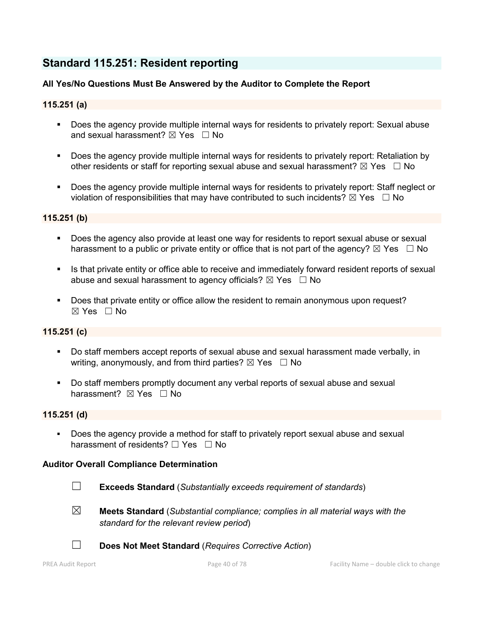# Standard 115.251: Resident reporting

# All Yes/No Questions Must Be Answered by the Auditor to Complete the Report

# 115.251 (a)

- **Does the agency provide multiple internal ways for residents to privately report: Sexual abuse** and sexual harassment?  $\boxtimes$  Yes  $\Box$  No
- Does the agency provide multiple internal ways for residents to privately report: Retaliation by other residents or staff for reporting sexual abuse and sexual harassment?  $\boxtimes$  Yes  $\Box$  No
- Does the agency provide multiple internal ways for residents to privately report: Staff neglect or violation of responsibilities that may have contributed to such incidents?  $\boxtimes$  Yes  $\Box$  No

#### 115.251 (b)

- **Does the agency also provide at least one way for residents to report sexual abuse or sexual** harassment to a public or private entity or office that is not part of the agency?  $\boxtimes$  Yes  $\Box$  No
- Is that private entity or office able to receive and immediately forward resident reports of sexual abuse and sexual harassment to agency officials?  $\boxtimes$  Yes  $\Box$  No
- Does that private entity or office allow the resident to remain anonymous upon request?  $\boxtimes$  Yes  $\Box$  No

# 115.251 (c)

- Do staff members accept reports of sexual abuse and sexual harassment made verbally, in writing, anonymously, and from third parties?  $\boxtimes$  Yes  $\Box$  No
- Do staff members promptly document any verbal reports of sexual abuse and sexual harassment? **⊠** Yes □ No

# 115.251 (d)

Does the agency provide a method for staff to privately report sexual abuse and sexual harassment of residents? □ Yes □ No

# Auditor Overall Compliance Determination

- ☐ Exceeds Standard (*Substantially exceeds requirement of standards*)
- 
- ☒ Meets Standard (*Substantial compliance; complies in all material ways with the standard for the relevant review period*)



☐ Does Not Meet Standard (*Requires Corrective Action*)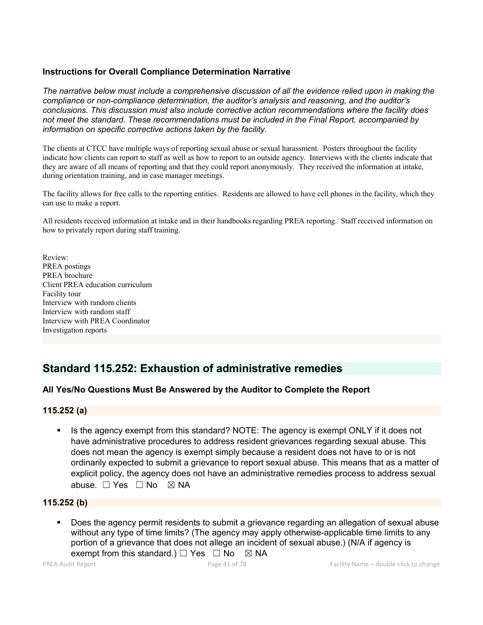# Instructions for Overall Compliance Determination Narrative

*The narrative below must include a comprehensive discussion of all the evidence relied upon in making the compliance or non-compliance determination, the auditor's analysis and reasoning, and the auditor's conclusions. This discussion must also include corrective action recommendations where the facility does not meet the standard. These recommendations must be included in the Final Report, accompanied by information on specific corrective actions taken by the facility.*

The clients at CTCC have multiple ways of reporting sexual abuse or sexual harassment. Posters throughout the facility indicate how clients can report to staff as well as how to report to an outside agency. Interviews with the clients indicate that they are aware of all means of reporting and that they could report anonymously. They received the information at intake, during orientation training, and in case manager meetings.

The facility allows for free calls to the reporting entities. Residents are allowed to have cell phones in the facility, which they can use to make a report.

All residents received information at intake and in their handbooks regarding PREA reporting. Staff received information on how to privately report during staff training.

Review: PREA postings PREA brochure Client PREA education curriculum Facility tour Interview with random clients Interview with random staff Interview with PREA Coordinator Investigation reports

# Standard 115.252: Exhaustion of administrative remedies

# All Yes/No Questions Must Be Answered by the Auditor to Complete the Report

# 115.252 (a)

 Is the agency exempt from this standard? NOTE: The agency is exempt ONLY if it does not have administrative procedures to address resident grievances regarding sexual abuse. This does not mean the agency is exempt simply because a resident does not have to or is not ordinarily expected to submit a grievance to report sexual abuse. This means that as a matter of explicit policy, the agency does not have an administrative remedies process to address sexual abuse. □ Yes □ No ⊠ NA

# 115.252 (b)

 Does the agency permit residents to submit a grievance regarding an allegation of sexual abuse without any type of time limits? (The agency may apply otherwise-applicable time limits to any portion of a grievance that does not allege an incident of sexual abuse.) (N/A if agency is exempt from this standard.)  $\Box$  Yes  $\Box$  No  $\boxtimes$  NA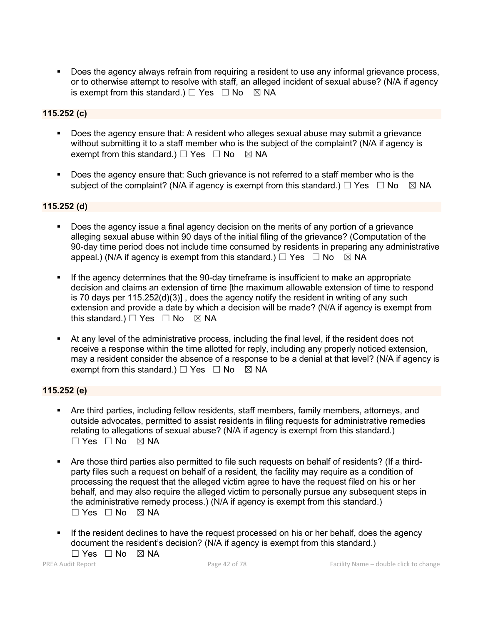Does the agency always refrain from requiring a resident to use any informal grievance process, or to otherwise attempt to resolve with staff, an alleged incident of sexual abuse? (N/A if agency is exempt from this standard.)  $\Box$  Yes  $\Box$  No  $\boxtimes$  NA

# 115.252 (c)

- Does the agency ensure that: A resident who alleges sexual abuse may submit a grievance without submitting it to a staff member who is the subject of the complaint? (N/A if agency is exempt from this standard.)  $\Box$  Yes  $\Box$  No  $\boxtimes$  NA
- Does the agency ensure that: Such grievance is not referred to a staff member who is the subject of the complaint? (N/A if agency is exempt from this standard.)  $\Box$  Yes  $\Box$  No  $\boxtimes$  NA

#### 115.252 (d)

- Does the agency issue a final agency decision on the merits of any portion of a grievance alleging sexual abuse within 90 days of the initial filing of the grievance? (Computation of the 90-day time period does not include time consumed by residents in preparing any administrative appeal.) (N/A if agency is exempt from this standard.)  $\Box$  Yes  $\Box$  No  $\boxtimes$  NA
- If the agency determines that the 90-day timeframe is insufficient to make an appropriate decision and claims an extension of time [the maximum allowable extension of time to respond is 70 days per 115.252(d)(3)] , does the agency notify the resident in writing of any such extension and provide a date by which a decision will be made? (N/A if agency is exempt from this standard.)  $\Box$  Yes  $\Box$  No  $\boxtimes$  NA
- At any level of the administrative process, including the final level, if the resident does not receive a response within the time allotted for reply, including any properly noticed extension, may a resident consider the absence of a response to be a denial at that level? (N/A if agency is exempt from this standard.)  $\Box$  Yes  $\Box$  No  $\boxtimes$  NA

# 115.252 (e)

- Are third parties, including fellow residents, staff members, family members, attorneys, and outside advocates, permitted to assist residents in filing requests for administrative remedies relating to allegations of sexual abuse? (N/A if agency is exempt from this standard.) ☐ Yes ☐ No ☒ NA
- Are those third parties also permitted to file such requests on behalf of residents? (If a thirdparty files such a request on behalf of a resident, the facility may require as a condition of processing the request that the alleged victim agree to have the request filed on his or her behalf, and may also require the alleged victim to personally pursue any subsequent steps in the administrative remedy process.) (N/A if agency is exempt from this standard.)  $\Box$  Yes  $\Box$  No  $\boxtimes$  NA
- If the resident declines to have the request processed on his or her behalf, does the agency document the resident's decision? (N/A if agency is exempt from this standard.)

 $\Box$  Yes  $\Box$  No  $\boxtimes$  NA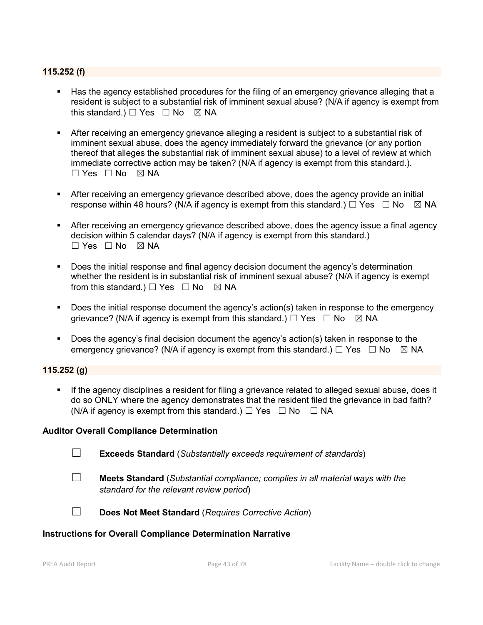# 115.252 (f)

- Has the agency established procedures for the filing of an emergency grievance alleging that a resident is subject to a substantial risk of imminent sexual abuse? (N/A if agency is exempt from this standard.)  $\Box$  Yes  $\Box$  No  $\boxtimes$  NA
- After receiving an emergency grievance alleging a resident is subject to a substantial risk of imminent sexual abuse, does the agency immediately forward the grievance (or any portion thereof that alleges the substantial risk of imminent sexual abuse) to a level of review at which immediate corrective action may be taken? (N/A if agency is exempt from this standard.).  $\Box$  Yes  $\Box$  No  $\boxtimes$  NA
- After receiving an emergency grievance described above, does the agency provide an initial response within 48 hours? (N/A if agency is exempt from this standard.)  $\Box$  Yes  $\Box$  No  $\boxtimes$  NA
- After receiving an emergency grievance described above, does the agency issue a final agency decision within 5 calendar days? (N/A if agency is exempt from this standard.)  $\Box$  Yes  $\Box$  No  $\boxtimes$  NA
- Does the initial response and final agency decision document the agency's determination whether the resident is in substantial risk of imminent sexual abuse? (N/A if agency is exempt from this standard.)  $\Box$  Yes  $\Box$  No  $\boxtimes$  NA
- **Does the initial response document the agency's action(s) taken in response to the emergency** grievance? (N/A if agency is exempt from this standard.)  $\Box$  Yes  $\Box$  No  $\boxtimes$  NA
- Does the agency's final decision document the agency's action(s) taken in response to the emergency grievance? (N/A if agency is exempt from this standard.)  $\Box$  Yes  $\Box$  No  $\Box$  NA

# 115.252 (g)

 If the agency disciplines a resident for filing a grievance related to alleged sexual abuse, does it do so ONLY where the agency demonstrates that the resident filed the grievance in bad faith? (N/A if agency is exempt from this standard.)  $\Box$  Yes  $\Box$  No  $\Box$  NA

#### Auditor Overall Compliance Determination

☐ Exceeds Standard (*Substantially exceeds requirement of standards*)

☐ Meets Standard (*Substantial compliance; complies in all material ways with the standard for the relevant review period*)

☐ Does Not Meet Standard (*Requires Corrective Action*)

# Instructions for Overall Compliance Determination Narrative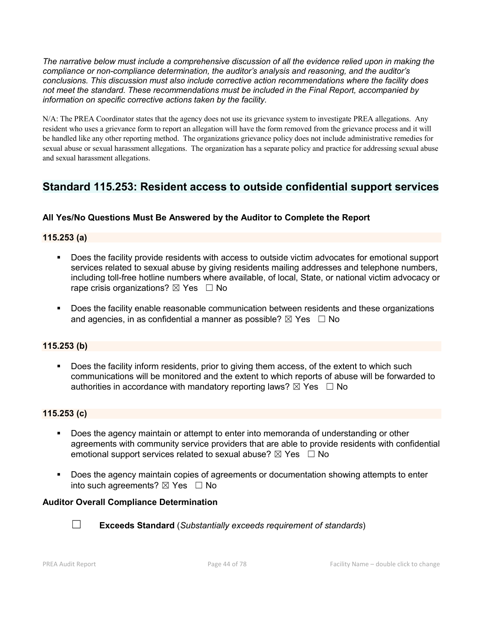*The narrative below must include a comprehensive discussion of all the evidence relied upon in making the compliance or non-compliance determination, the auditor's analysis and reasoning, and the auditor's conclusions. This discussion must also include corrective action recommendations where the facility does not meet the standard. These recommendations must be included in the Final Report, accompanied by information on specific corrective actions taken by the facility.*

N/A: The PREA Coordinator states that the agency does not use its grievance system to investigate PREA allegations. Any resident who uses a grievance form to report an allegation will have the form removed from the grievance process and it will be handled like any other reporting method. The organizations grievance policy does not include administrative remedies for sexual abuse or sexual harassment allegations. The organization has a separate policy and practice for addressing sexual abuse and sexual harassment allegations.

# Standard 115.253: Resident access to outside confidential support services

# All Yes/No Questions Must Be Answered by the Auditor to Complete the Report

# 115.253 (a)

- Does the facility provide residents with access to outside victim advocates for emotional support services related to sexual abuse by giving residents mailing addresses and telephone numbers, including toll-free hotline numbers where available, of local, State, or national victim advocacy or rape crisis organizations?  $\boxtimes$  Yes  $\Box$  No
- **Does the facility enable reasonable communication between residents and these organizations** and agencies, in as confidential a manner as possible?  $\boxtimes$  Yes  $\Box$  No

# 115.253 (b)

Does the facility inform residents, prior to giving them access, of the extent to which such communications will be monitored and the extent to which reports of abuse will be forwarded to authorities in accordance with mandatory reporting laws?  $\boxtimes$  Yes  $\Box$  No

# 115.253 (c)

- **Does the agency maintain or attempt to enter into memoranda of understanding or other** agreements with community service providers that are able to provide residents with confidential emotional support services related to sexual abuse?  $\boxtimes$  Yes  $\Box$  No
- Does the agency maintain copies of agreements or documentation showing attempts to enter into such agreements?  $\boxtimes$  Yes  $\Box$  No

# Auditor Overall Compliance Determination



☐ Exceeds Standard (*Substantially exceeds requirement of standards*)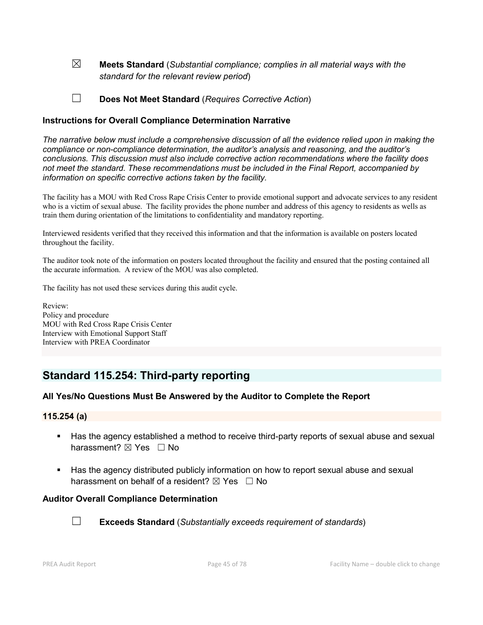☒ Meets Standard (*Substantial compliance; complies in all material ways with the standard for the relevant review period*)

☐ Does Not Meet Standard (*Requires Corrective Action*)

### Instructions for Overall Compliance Determination Narrative

*The narrative below must include a comprehensive discussion of all the evidence relied upon in making the compliance or non-compliance determination, the auditor's analysis and reasoning, and the auditor's conclusions. This discussion must also include corrective action recommendations where the facility does not meet the standard. These recommendations must be included in the Final Report, accompanied by information on specific corrective actions taken by the facility.*

The facility has a MOU with Red Cross Rape Crisis Center to provide emotional support and advocate services to any resident who is a victim of sexual abuse. The facility provides the phone number and address of this agency to residents as wells as train them during orientation of the limitations to confidentiality and mandatory reporting.

Interviewed residents verified that they received this information and that the information is available on posters located throughout the facility.

The auditor took note of the information on posters located throughout the facility and ensured that the posting contained all the accurate information. A review of the MOU was also completed.

The facility has not used these services during this audit cycle.

Review: Policy and procedure MOU with Red Cross Rape Crisis Center Interview with Emotional Support Staff Interview with PREA Coordinator

# Standard 115.254: Third-party reporting

# All Yes/No Questions Must Be Answered by the Auditor to Complete the Report

#### 115.254 (a)

- Has the agency established a method to receive third-party reports of sexual abuse and sexual harassment? **⊠** Yes □ No
- Has the agency distributed publicly information on how to report sexual abuse and sexual harassment on behalf of a resident?  $\boxtimes$  Yes  $\Box$  No

#### Auditor Overall Compliance Determination



☐ Exceeds Standard (*Substantially exceeds requirement of standards*)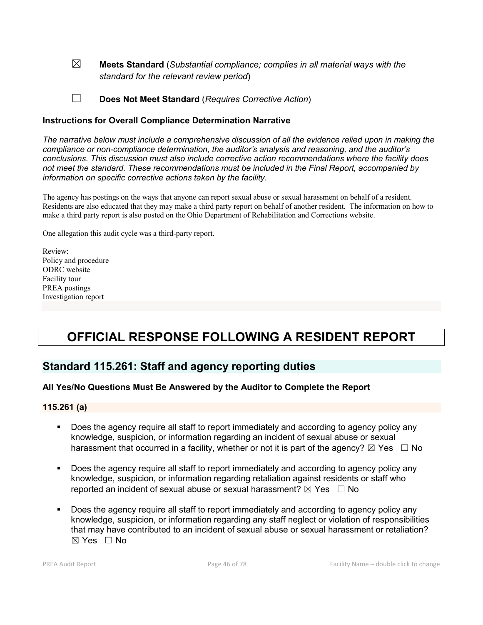☒ Meets Standard (*Substantial compliance; complies in all material ways with the standard for the relevant review period*)

☐ Does Not Meet Standard (*Requires Corrective Action*)

### Instructions for Overall Compliance Determination Narrative

*The narrative below must include a comprehensive discussion of all the evidence relied upon in making the compliance or non-compliance determination, the auditor's analysis and reasoning, and the auditor's conclusions. This discussion must also include corrective action recommendations where the facility does not meet the standard. These recommendations must be included in the Final Report, accompanied by information on specific corrective actions taken by the facility.*

The agency has postings on the ways that anyone can report sexual abuse or sexual harassment on behalf of a resident. Residents are also educated that they may make a third party report on behalf of another resident. The information on how to make a third party report is also posted on the Ohio Department of Rehabilitation and Corrections website.

One allegation this audit cycle was a third-party report.

Review: Policy and procedure ODRC website Facility tour PREA postings Investigation report

# OFFICIAL RESPONSE FOLLOWING A RESIDENT REPORT

# Standard 115.261: Staff and agency reporting duties

# All Yes/No Questions Must Be Answered by the Auditor to Complete the Report

#### 115.261 (a)

- Does the agency require all staff to report immediately and according to agency policy any knowledge, suspicion, or information regarding an incident of sexual abuse or sexual harassment that occurred in a facility, whether or not it is part of the agency?  $\boxtimes$  Yes  $\Box$  No
- Does the agency require all staff to report immediately and according to agency policy any knowledge, suspicion, or information regarding retaliation against residents or staff who reported an incident of sexual abuse or sexual harassment?  $\boxtimes$  Yes  $\Box$  No
- Does the agency require all staff to report immediately and according to agency policy any knowledge, suspicion, or information regarding any staff neglect or violation of responsibilities that may have contributed to an incident of sexual abuse or sexual harassment or retaliation?  $\boxtimes$  Yes  $\Box$  No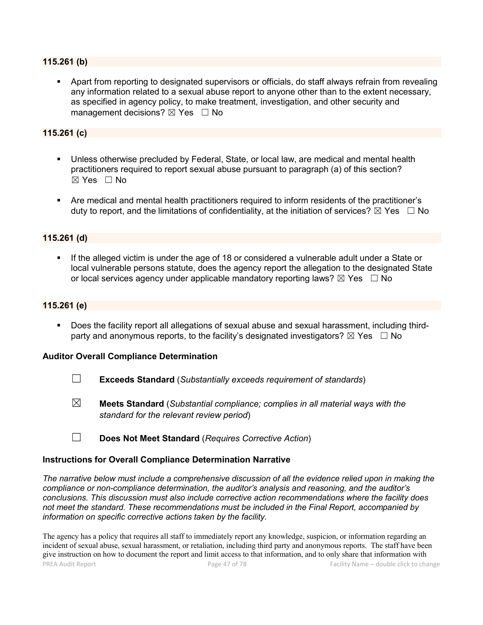#### 115.261 (b)

 Apart from reporting to designated supervisors or officials, do staff always refrain from revealing any information related to a sexual abuse report to anyone other than to the extent necessary, as specified in agency policy, to make treatment, investigation, and other security and management decisions?  $\boxtimes$  Yes  $\Box$  No

# 115.261 (c)

- Unless otherwise precluded by Federal, State, or local law, are medical and mental health practitioners required to report sexual abuse pursuant to paragraph (a) of this section?  $\boxtimes$  Yes  $\Box$  No
- Are medical and mental health practitioners required to inform residents of the practitioner's duty to report, and the limitations of confidentiality, at the initiation of services?  $\boxtimes$  Yes  $\Box$  No

#### 115.261 (d)

 If the alleged victim is under the age of 18 or considered a vulnerable adult under a State or local vulnerable persons statute, does the agency report the allegation to the designated State or local services agency under applicable mandatory reporting laws?  $\boxtimes$  Yes  $\Box$  No

#### 115.261 (e)

 Does the facility report all allegations of sexual abuse and sexual harassment, including thirdparty and anonymous reports, to the facility's designated investigators?  $\boxtimes$  Yes  $\Box$  No

#### Auditor Overall Compliance Determination

- ☐ Exceeds Standard (*Substantially exceeds requirement of standards*)
- ☒ Meets Standard (*Substantial compliance; complies in all material ways with the standard for the relevant review period*)
- ☐ Does Not Meet Standard (*Requires Corrective Action*)

#### Instructions for Overall Compliance Determination Narrative

*The narrative below must include a comprehensive discussion of all the evidence relied upon in making the compliance or non-compliance determination, the auditor's analysis and reasoning, and the auditor's conclusions. This discussion must also include corrective action recommendations where the facility does not meet the standard. These recommendations must be included in the Final Report, accompanied by information on specific corrective actions taken by the facility.*

PREA Audit Report **Page 47 of 78** Facility Name – double click to change The agency has a policy that requires all staff to immediately report any knowledge, suspicion, or information regarding an incident of sexual abuse, sexual harassment, or retaliation, including third party and anonymous reports. The staff have been give instruction on how to document the report and limit access to that information, and to only share that information with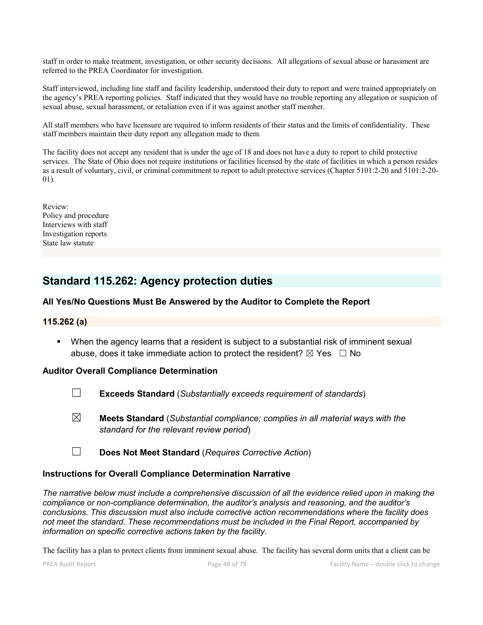staff in order to make treatment, investigation, or other security decisions. All allegations of sexual abuse or harassment are referred to the PREA Coordinator for investigation.

Staff interviewed, including line staff and facility leadership, understood their duty to report and were trained appropriately on the agency's PREA reporting policies. Staff indicated that they would have no trouble reporting any allegation or suspicion of sexual abuse, sexual harassment, or retaliation even if it was against another staff member.

All staff members who have licensure are required to inform residents of their status and the limits of confidentiality. These staff members maintain their duty report any allegation made to them.

The facility does not accept any resident that is under the age of 18 and does not have a duty to report to child protective services. The State of Ohio does not require institutions or facilities licensed by the state of facilities in which a person resides as a result of voluntary, civil, or criminal commitment to report to adult protective services (Chapter 5101:2-20 and 5101:2-20- 01).

Review: Policy and procedure Interviews with staff Investigation reports State law statute

# Standard 115.262: Agency protection duties

# All Yes/No Questions Must Be Answered by the Auditor to Complete the Report

#### 115.262 (a)

 When the agency learns that a resident is subject to a substantial risk of imminent sexual abuse, does it take immediate action to protect the resident?  $\boxtimes$  Yes  $\Box$  No

#### Auditor Overall Compliance Determination

- ☐ Exceeds Standard (*Substantially exceeds requirement of standards*)
- ☒ Meets Standard (*Substantial compliance; complies in all material ways with the standard for the relevant review period*)
- ☐ Does Not Meet Standard (*Requires Corrective Action*)

#### Instructions for Overall Compliance Determination Narrative

*The narrative below must include a comprehensive discussion of all the evidence relied upon in making the compliance or non-compliance determination, the auditor's analysis and reasoning, and the auditor's conclusions. This discussion must also include corrective action recommendations where the facility does not meet the standard. These recommendations must be included in the Final Report, accompanied by information on specific corrective actions taken by the facility.*

The facility has a plan to protect clients from imminent sexual abuse. The facility has several dorm units that a client can be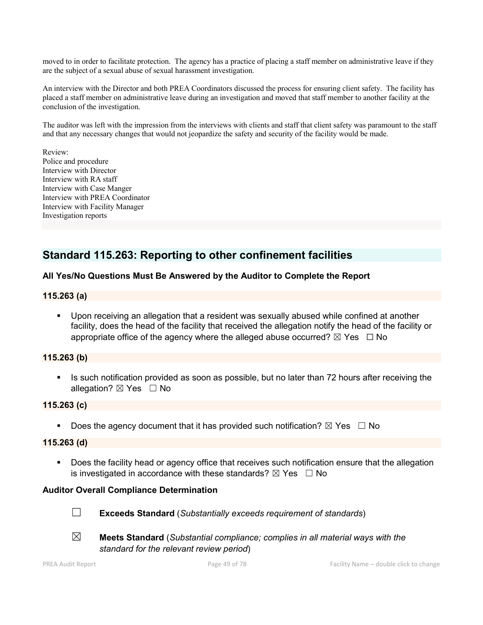moved to in order to facilitate protection. The agency has a practice of placing a staff member on administrative leave if they are the subject of a sexual abuse of sexual harassment investigation.

An interview with the Director and both PREA Coordinators discussed the process for ensuring client safety. The facility has placed a staff member on administrative leave during an investigation and moved that staff member to another facility at the conclusion of the investigation.

The auditor was left with the impression from the interviews with clients and staff that client safety was paramount to the staff and that any necessary changes that would not jeopardize the safety and security of the facility would be made.

Review: Police and procedure Interview with Director Interview with RA staff Interview with Case Manger Interview with PREA Coordinator Interview with Facility Manager Investigation reports

# Standard 115.263: Reporting to other confinement facilities

# All Yes/No Questions Must Be Answered by the Auditor to Complete the Report

#### 115.263 (a)

 Upon receiving an allegation that a resident was sexually abused while confined at another facility, does the head of the facility that received the allegation notify the head of the facility or appropriate office of the agency where the alleged abuse occurred?  $\boxtimes$  Yes  $\Box$  No

# 115.263 (b)

Is such notification provided as soon as possible, but no later than 72 hours after receiving the allegation? ⊠ Yes □ No

#### 115.263 (c)

Does the agency document that it has provided such notification?  $\boxtimes$  Yes  $\Box$  No

#### 115.263 (d)

 Does the facility head or agency office that receives such notification ensure that the allegation is investigated in accordance with these standards?  $\boxtimes$  Yes  $\Box$  No

#### Auditor Overall Compliance Determination



☐ Exceeds Standard (*Substantially exceeds requirement of standards*)



☒ Meets Standard (*Substantial compliance; complies in all material ways with the standard for the relevant review period*)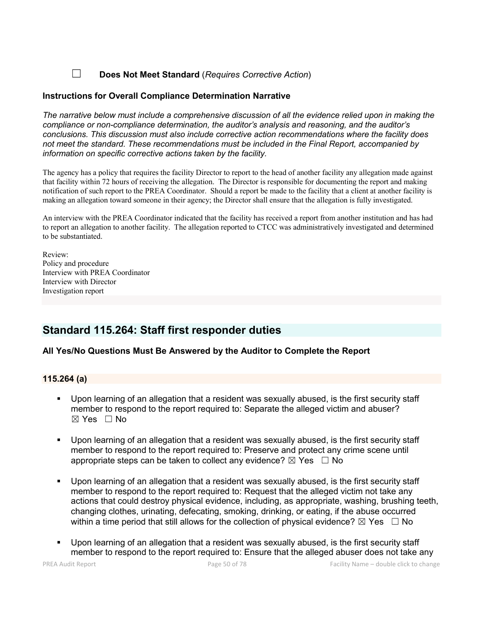# ☐ Does Not Meet Standard (*Requires Corrective Action*)

### Instructions for Overall Compliance Determination Narrative

*The narrative below must include a comprehensive discussion of all the evidence relied upon in making the compliance or non-compliance determination, the auditor's analysis and reasoning, and the auditor's conclusions. This discussion must also include corrective action recommendations where the facility does not meet the standard. These recommendations must be included in the Final Report, accompanied by information on specific corrective actions taken by the facility.*

The agency has a policy that requires the facility Director to report to the head of another facility any allegation made against that facility within 72 hours of receiving the allegation. The Director is responsible for documenting the report and making notification of such report to the PREA Coordinator. Should a report be made to the facility that a client at another facility is making an allegation toward someone in their agency; the Director shall ensure that the allegation is fully investigated.

An interview with the PREA Coordinator indicated that the facility has received a report from another institution and has had to report an allegation to another facility. The allegation reported to CTCC was administratively investigated and determined to be substantiated.

Review: Policy and procedure Interview with PREA Coordinator Interview with Director Investigation report

# Standard 115.264: Staff first responder duties

# All Yes/No Questions Must Be Answered by the Auditor to Complete the Report

#### 115.264 (a)

- Upon learning of an allegation that a resident was sexually abused, is the first security staff member to respond to the report required to: Separate the alleged victim and abuser?  $\boxtimes$  Yes  $\Box$  No
- Upon learning of an allegation that a resident was sexually abused, is the first security staff member to respond to the report required to: Preserve and protect any crime scene until appropriate steps can be taken to collect any evidence?  $\boxtimes$  Yes  $\Box$  No
- Upon learning of an allegation that a resident was sexually abused, is the first security staff member to respond to the report required to: Request that the alleged victim not take any actions that could destroy physical evidence, including, as appropriate, washing, brushing teeth, changing clothes, urinating, defecating, smoking, drinking, or eating, if the abuse occurred within a time period that still allows for the collection of physical evidence?  $\boxtimes$  Yes  $\;\;\Box$  No
- Upon learning of an allegation that a resident was sexually abused, is the first security staff member to respond to the report required to: Ensure that the alleged abuser does not take any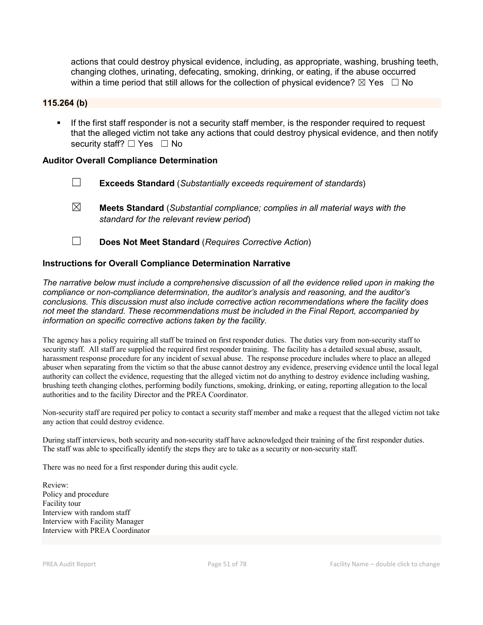actions that could destroy physical evidence, including, as appropriate, washing, brushing teeth, changing clothes, urinating, defecating, smoking, drinking, or eating, if the abuse occurred within a time period that still allows for the collection of physical evidence?  $\boxtimes$  Yes  $\;\;\Box$  No

#### 115.264 (b)

 If the first staff responder is not a security staff member, is the responder required to request that the alleged victim not take any actions that could destroy physical evidence, and then notify security staff? □ Yes □ No

#### Auditor Overall Compliance Determination

- ☐ Exceeds Standard (*Substantially exceeds requirement of standards*)
- ☒ Meets Standard (*Substantial compliance; complies in all material ways with the standard for the relevant review period*)
- ☐ Does Not Meet Standard (*Requires Corrective Action*)

#### Instructions for Overall Compliance Determination Narrative

*The narrative below must include a comprehensive discussion of all the evidence relied upon in making the compliance or non-compliance determination, the auditor's analysis and reasoning, and the auditor's conclusions. This discussion must also include corrective action recommendations where the facility does not meet the standard. These recommendations must be included in the Final Report, accompanied by information on specific corrective actions taken by the facility.*

The agency has a policy requiring all staff be trained on first responder duties. The duties vary from non-security staff to security staff. All staff are supplied the required first responder training. The facility has a detailed sexual abuse, assault, harassment response procedure for any incident of sexual abuse. The response procedure includes where to place an alleged abuser when separating from the victim so that the abuse cannot destroy any evidence, preserving evidence until the local legal authority can collect the evidence, requesting that the alleged victim not do anything to destroy evidence including washing, brushing teeth changing clothes, performing bodily functions, smoking, drinking, or eating, reporting allegation to the local authorities and to the facility Director and the PREA Coordinator.

Non-security staff are required per policy to contact a security staff member and make a request that the alleged victim not take any action that could destroy evidence.

During staff interviews, both security and non-security staff have acknowledged their training of the first responder duties. The staff was able to specifically identify the steps they are to take as a security or non-security staff.

There was no need for a first responder during this audit cycle.

Review: Policy and procedure Facility tour Interview with random staff Interview with Facility Manager Interview with PREA Coordinator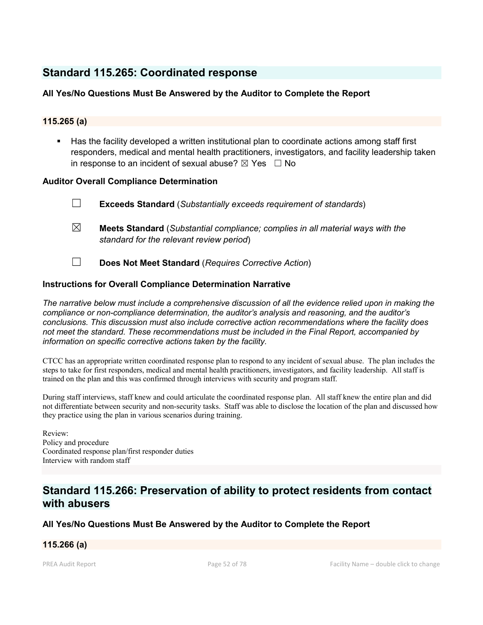# Standard 115.265: Coordinated response

# All Yes/No Questions Must Be Answered by the Auditor to Complete the Report

# 115.265 (a)

 Has the facility developed a written institutional plan to coordinate actions among staff first responders, medical and mental health practitioners, investigators, and facility leadership taken in response to an incident of sexual abuse?  $\boxtimes$  Yes  $\Box$  No

# Auditor Overall Compliance Determination

- ☐ Exceeds Standard (*Substantially exceeds requirement of standards*)
- ☒ Meets Standard (*Substantial compliance; complies in all material ways with the standard for the relevant review period*)
- ☐ Does Not Meet Standard (*Requires Corrective Action*)

# Instructions for Overall Compliance Determination Narrative

*The narrative below must include a comprehensive discussion of all the evidence relied upon in making the compliance or non-compliance determination, the auditor's analysis and reasoning, and the auditor's conclusions. This discussion must also include corrective action recommendations where the facility does not meet the standard. These recommendations must be included in the Final Report, accompanied by information on specific corrective actions taken by the facility.*

CTCC has an appropriate written coordinated response plan to respond to any incident of sexual abuse. The plan includes the steps to take for first responders, medical and mental health practitioners, investigators, and facility leadership. All staff is trained on the plan and this was confirmed through interviews with security and program staff.

During staff interviews, staff knew and could articulate the coordinated response plan. All staff knew the entire plan and did not differentiate between security and non-security tasks. Staff was able to disclose the location of the plan and discussed how they practice using the plan in various scenarios during training.

Review: Policy and procedure Coordinated response plan/first responder duties Interview with random staff

# Standard 115.266: Preservation of ability to protect residents from contact with abusers

# All Yes/No Questions Must Be Answered by the Auditor to Complete the Report

# 115.266 (a)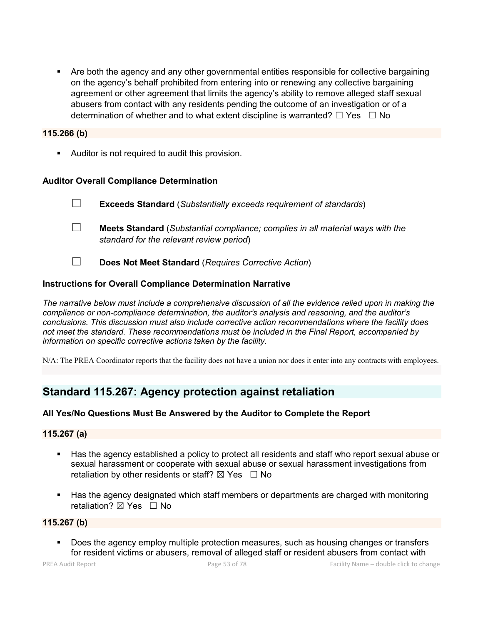Are both the agency and any other governmental entities responsible for collective bargaining on the agency's behalf prohibited from entering into or renewing any collective bargaining agreement or other agreement that limits the agency's ability to remove alleged staff sexual abusers from contact with any residents pending the outcome of an investigation or of a determination of whether and to what extent discipline is warranted?  $□$  Yes  $□$  No

#### 115.266 (b)

**Auditor is not required to audit this provision.** 

#### Auditor Overall Compliance Determination

- ☐ Exceeds Standard (*Substantially exceeds requirement of standards*)
- ☐ Meets Standard (*Substantial compliance; complies in all material ways with the standard for the relevant review period*)
- ☐ Does Not Meet Standard (*Requires Corrective Action*)

#### Instructions for Overall Compliance Determination Narrative

*The narrative below must include a comprehensive discussion of all the evidence relied upon in making the compliance or non-compliance determination, the auditor's analysis and reasoning, and the auditor's conclusions. This discussion must also include corrective action recommendations where the facility does not meet the standard. These recommendations must be included in the Final Report, accompanied by information on specific corrective actions taken by the facility.*

N/A: The PREA Coordinator reports that the facility does not have a union nor does it enter into any contracts with employees.

# Standard 115.267: Agency protection against retaliation

# All Yes/No Questions Must Be Answered by the Auditor to Complete the Report

#### 115.267 (a)

- Has the agency established a policy to protect all residents and staff who report sexual abuse or sexual harassment or cooperate with sexual abuse or sexual harassment investigations from retaliation by other residents or staff?  $\boxtimes$  Yes  $\Box$  No
- Has the agency designated which staff members or departments are charged with monitoring retaliation? ⊠ Yes □ No

#### 115.267 (b)

**Does the agency employ multiple protection measures, such as housing changes or transfers** for resident victims or abusers, removal of alleged staff or resident abusers from contact with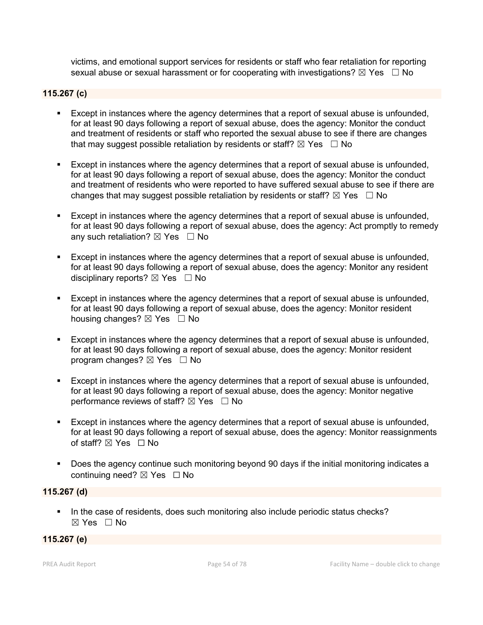victims, and emotional support services for residents or staff who fear retaliation for reporting sexual abuse or sexual harassment or for cooperating with investigations?  $\boxtimes$  Yes  $\Box$  No

# 115.267 (c)

- Except in instances where the agency determines that a report of sexual abuse is unfounded, for at least 90 days following a report of sexual abuse, does the agency: Monitor the conduct and treatment of residents or staff who reported the sexual abuse to see if there are changes that may suggest possible retaliation by residents or staff?  $\boxtimes$  Yes  $\Box$  No
- Except in instances where the agency determines that a report of sexual abuse is unfounded, for at least 90 days following a report of sexual abuse, does the agency: Monitor the conduct and treatment of residents who were reported to have suffered sexual abuse to see if there are changes that may suggest possible retaliation by residents or staff?  $\boxtimes$  Yes  $\Box$  No
- Except in instances where the agency determines that a report of sexual abuse is unfounded, for at least 90 days following a report of sexual abuse, does the agency: Act promptly to remedy any such retaliation?  $\boxtimes$  Yes  $\Box$  No
- Except in instances where the agency determines that a report of sexual abuse is unfounded, for at least 90 days following a report of sexual abuse, does the agency: Monitor any resident disciplinary reports?  $\boxtimes$  Yes  $\Box$  No
- **Except in instances where the agency determines that a report of sexual abuse is unfounded,** for at least 90 days following a report of sexual abuse, does the agency: Monitor resident housing changes? ⊠ Yes □ No
- Except in instances where the agency determines that a report of sexual abuse is unfounded, for at least 90 days following a report of sexual abuse, does the agency: Monitor resident program changes?  $\boxtimes$  Yes  $\Box$  No
- Except in instances where the agency determines that a report of sexual abuse is unfounded, for at least 90 days following a report of sexual abuse, does the agency: Monitor negative performance reviews of staff?  $\boxtimes$  Yes  $\Box$  No
- Except in instances where the agency determines that a report of sexual abuse is unfounded, for at least 90 days following a report of sexual abuse, does the agency: Monitor reassignments of staff? ⊠ Yes □ No
- Does the agency continue such monitoring beyond 90 days if the initial monitoring indicates a continuing need? ⊠ Yes □ No

# 115.267 (d)

In the case of residents, does such monitoring also include periodic status checks?  $\boxtimes$  Yes  $\Box$  No

# 115.267 (e)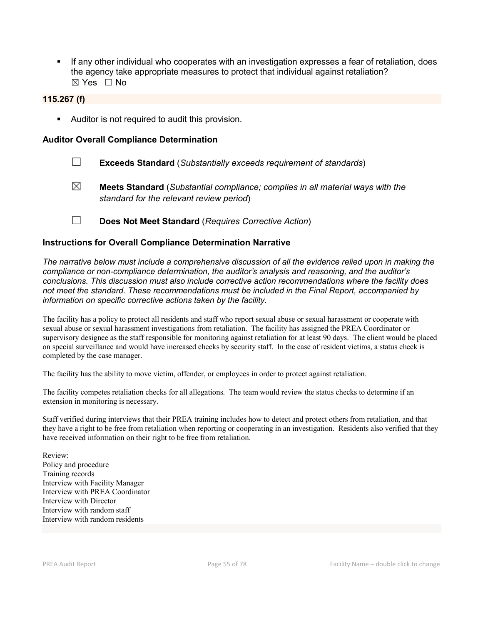If any other individual who cooperates with an investigation expresses a fear of retaliation, does the agency take appropriate measures to protect that individual against retaliation? ☒ Yes ☐ No

### 115.267 (f)

**Auditor is not required to audit this provision.** 

#### Auditor Overall Compliance Determination

- ☐ Exceeds Standard (*Substantially exceeds requirement of standards*)
- ☒ Meets Standard (*Substantial compliance; complies in all material ways with the standard for the relevant review period*)
- ☐ Does Not Meet Standard (*Requires Corrective Action*)

#### Instructions for Overall Compliance Determination Narrative

*The narrative below must include a comprehensive discussion of all the evidence relied upon in making the compliance or non-compliance determination, the auditor's analysis and reasoning, and the auditor's conclusions. This discussion must also include corrective action recommendations where the facility does not meet the standard. These recommendations must be included in the Final Report, accompanied by information on specific corrective actions taken by the facility.*

The facility has a policy to protect all residents and staff who report sexual abuse or sexual harassment or cooperate with sexual abuse or sexual harassment investigations from retaliation. The facility has assigned the PREA Coordinator or supervisory designee as the staff responsible for monitoring against retaliation for at least 90 days. The client would be placed on special surveillance and would have increased checks by security staff. In the case of resident victims, a status check is completed by the case manager.

The facility has the ability to move victim, offender, or employees in order to protect against retaliation.

The facility competes retaliation checks for all allegations. The team would review the status checks to determine if an extension in monitoring is necessary.

Staff verified during interviews that their PREA training includes how to detect and protect others from retaliation, and that they have a right to be free from retaliation when reporting or cooperating in an investigation. Residents also verified that they have received information on their right to be free from retaliation.

Review: Policy and procedure Training records Interview with Facility Manager Interview with PREA Coordinator Interview with Director Interview with random staff Interview with random residents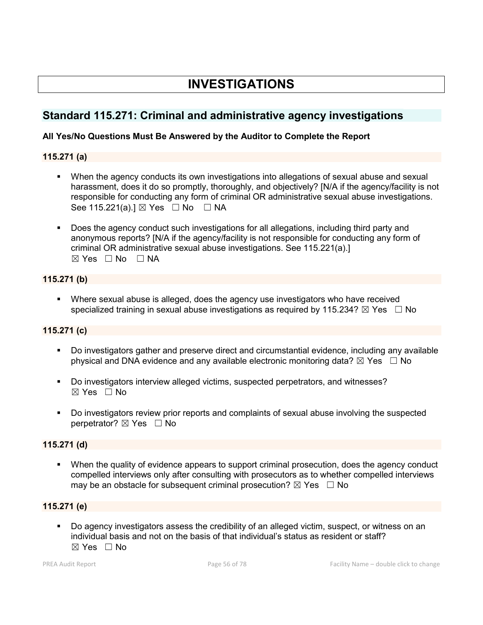# INVESTIGATIONS

# Standard 115.271: Criminal and administrative agency investigations

# All Yes/No Questions Must Be Answered by the Auditor to Complete the Report

# 115.271 (a)

- When the agency conducts its own investigations into allegations of sexual abuse and sexual harassment, does it do so promptly, thoroughly, and objectively? [N/A if the agency/facility is not responsible for conducting any form of criminal OR administrative sexual abuse investigations. See 115.221(a).]  $\boxtimes$  Yes  $\Box$  No  $\Box$  NA
- Does the agency conduct such investigations for all allegations, including third party and anonymous reports? [N/A if the agency/facility is not responsible for conducting any form of criminal OR administrative sexual abuse investigations. See 115.221(a).]  $\boxtimes$  Yes  $\Box$  No  $\Box$  NA

# 115.271 (b)

 Where sexual abuse is alleged, does the agency use investigators who have received specialized training in sexual abuse investigations as required by 115.234?  $\boxtimes$  Yes  $\Box$  No

# 115.271 (c)

- Do investigators gather and preserve direct and circumstantial evidence, including any available physical and DNA evidence and any available electronic monitoring data?  $\boxtimes$  Yes  $\Box$  No
- Do investigators interview alleged victims, suspected perpetrators, and witnesses?  $\boxtimes$  Yes  $\Box$  No
- Do investigators review prior reports and complaints of sexual abuse involving the suspected perpetrator? ⊠ Yes □ No

# 115.271 (d)

 When the quality of evidence appears to support criminal prosecution, does the agency conduct compelled interviews only after consulting with prosecutors as to whether compelled interviews may be an obstacle for subsequent criminal prosecution?  $\boxtimes$  Yes  $\Box$  No

# 115.271 (e)

 Do agency investigators assess the credibility of an alleged victim, suspect, or witness on an individual basis and not on the basis of that individual's status as resident or staff?  $\boxtimes$  Yes  $\Box$  No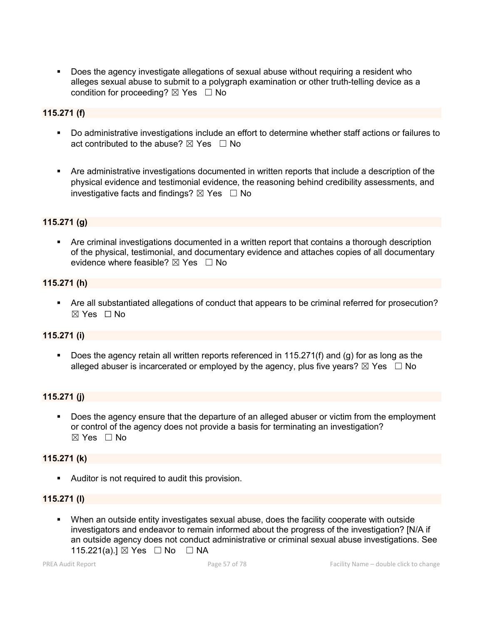Does the agency investigate allegations of sexual abuse without requiring a resident who alleges sexual abuse to submit to a polygraph examination or other truth-telling device as a condition for proceeding?  $\boxtimes$  Yes  $\Box$  No

# 115.271 (f)

- Do administrative investigations include an effort to determine whether staff actions or failures to act contributed to the abuse?  $\boxtimes$  Yes  $\Box$  No
- Are administrative investigations documented in written reports that include a description of the physical evidence and testimonial evidence, the reasoning behind credibility assessments, and investigative facts and findings?  $\boxtimes$  Yes  $\Box$  No

# 115.271 (g)

 Are criminal investigations documented in a written report that contains a thorough description of the physical, testimonial, and documentary evidence and attaches copies of all documentary evidence where feasible?  $\boxtimes$  Yes  $\Box$  No

#### 115.271 (h)

 Are all substantiated allegations of conduct that appears to be criminal referred for prosecution?  $\boxtimes$  Yes  $\Box$  No

#### 115.271 (i)

Does the agency retain all written reports referenced in 115.271(f) and (g) for as long as the alleged abuser is incarcerated or employed by the agency, plus five years?  $\boxtimes$  Yes  $\Box$  No

#### 115.271 (j)

 Does the agency ensure that the departure of an alleged abuser or victim from the employment or control of the agency does not provide a basis for terminating an investigation? ☒ Yes ☐ No

#### 115.271 (k)

**Auditor is not required to audit this provision.** 

#### 115.271 (l)

 When an outside entity investigates sexual abuse, does the facility cooperate with outside investigators and endeavor to remain informed about the progress of the investigation? [N/A if an outside agency does not conduct administrative or criminal sexual abuse investigations. See 115.221(a).] ⊠ Yes □ No □ NA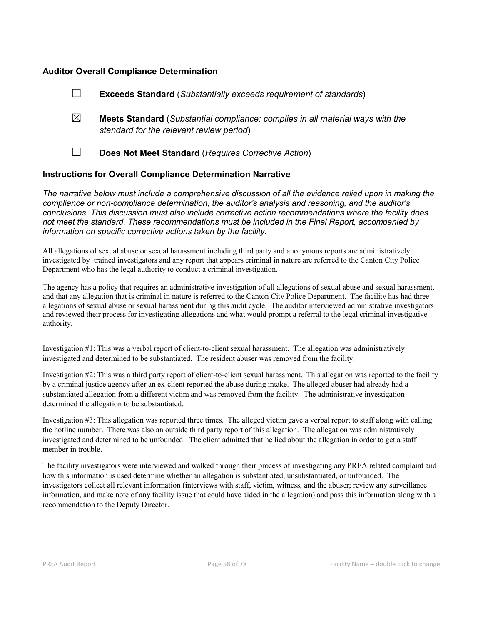#### Auditor Overall Compliance Determination

|                                                                    | <b>Exceeds Standard</b> (Substantially exceeds requirement of standards)                                                          |
|--------------------------------------------------------------------|-----------------------------------------------------------------------------------------------------------------------------------|
| ⊠                                                                  | <b>Meets Standard</b> (Substantial compliance; complies in all material ways with the<br>standard for the relevant review period) |
|                                                                    | Does Not Meet Standard (Requires Corrective Action)                                                                               |
| <b>Instructions for Overall Compliance Determination Narrative</b> |                                                                                                                                   |

*The narrative below must include a comprehensive discussion of all the evidence relied upon in making the compliance or non-compliance determination, the auditor's analysis and reasoning, and the auditor's conclusions. This discussion must also include corrective action recommendations where the facility does not meet the standard. These recommendations must be included in the Final Report, accompanied by information on specific corrective actions taken by the facility.*

All allegations of sexual abuse or sexual harassment including third party and anonymous reports are administratively investigated by trained investigators and any report that appears criminal in nature are referred to the Canton City Police Department who has the legal authority to conduct a criminal investigation.

The agency has a policy that requires an administrative investigation of all allegations of sexual abuse and sexual harassment, and that any allegation that is criminal in nature is referred to the Canton City Police Department. The facility has had three allegations of sexual abuse or sexual harassment during this audit cycle. The auditor interviewed administrative investigators and reviewed their process for investigating allegations and what would prompt a referral to the legal criminal investigative authority.

Investigation #1: This was a verbal report of client-to-client sexual harassment. The allegation was administratively investigated and determined to be substantiated. The resident abuser was removed from the facility.

Investigation #2: This was a third party report of client-to-client sexual harassment. This allegation was reported to the facility by a criminal justice agency after an ex-client reported the abuse during intake. The alleged abuser had already had a substantiated allegation from a different victim and was removed from the facility. The administrative investigation determined the allegation to be substantiated.

Investigation #3: This allegation was reported three times. The alleged victim gave a verbal report to staff along with calling the hotline number. There was also an outside third party report of this allegation. The allegation was administratively investigated and determined to be unfounded. The client admitted that he lied about the allegation in order to get a staff member in trouble.

The facility investigators were interviewed and walked through their process of investigating any PREA related complaint and how this information is used determine whether an allegation is substantiated, unsubstantiated, or unfounded. The investigators collect all relevant information (interviews with staff, victim, witness, and the abuser; review any surveillance information, and make note of any facility issue that could have aided in the allegation) and pass this information along with a recommendation to the Deputy Director.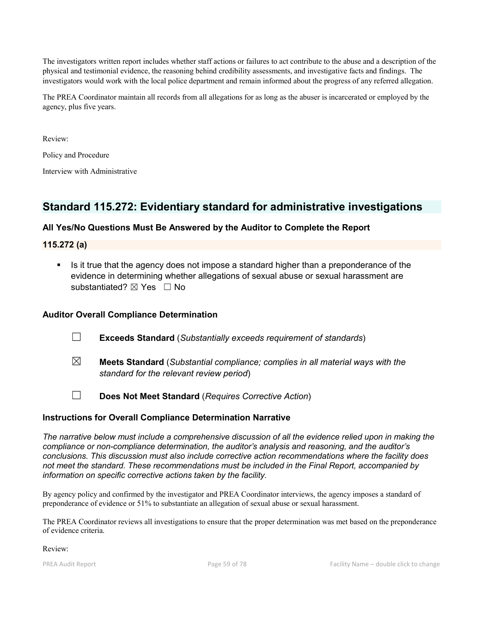The investigators written report includes whether staff actions or failures to act contribute to the abuse and a description of the physical and testimonial evidence, the reasoning behind credibility assessments, and investigative facts and findings. The investigators would work with the local police department and remain informed about the progress of any referred allegation.

The PREA Coordinator maintain all records from all allegations for as long as the abuser is incarcerated or employed by the agency, plus five years.

Review:

Policy and Procedure

Interview with Administrative

# Standard 115.272: Evidentiary standard for administrative investigations

# All Yes/No Questions Must Be Answered by the Auditor to Complete the Report

#### 115.272 (a)

 Is it true that the agency does not impose a standard higher than a preponderance of the evidence in determining whether allegations of sexual abuse or sexual harassment are substantiated? ⊠ Yes □ No

### Auditor Overall Compliance Determination

- ☐ Exceeds Standard (*Substantially exceeds requirement of standards*)
- ☒ Meets Standard (*Substantial compliance; complies in all material ways with the standard for the relevant review period*)
- ☐ Does Not Meet Standard (*Requires Corrective Action*)

#### Instructions for Overall Compliance Determination Narrative

*The narrative below must include a comprehensive discussion of all the evidence relied upon in making the compliance or non-compliance determination, the auditor's analysis and reasoning, and the auditor's conclusions. This discussion must also include corrective action recommendations where the facility does not meet the standard. These recommendations must be included in the Final Report, accompanied by information on specific corrective actions taken by the facility.*

By agency policy and confirmed by the investigator and PREA Coordinator interviews, the agency imposes a standard of preponderance of evidence or 51% to substantiate an allegation of sexual abuse or sexual harassment.

The PREA Coordinator reviews all investigations to ensure that the proper determination was met based on the preponderance of evidence criteria.

#### Review: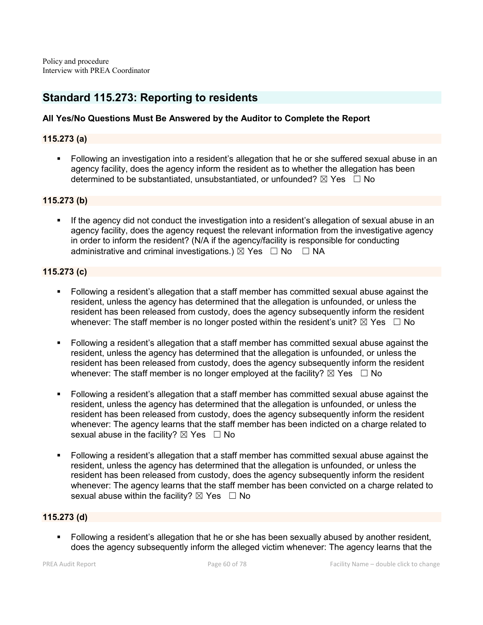# Standard 115.273: Reporting to residents

# All Yes/No Questions Must Be Answered by the Auditor to Complete the Report

# 115.273 (a)

 Following an investigation into a resident's allegation that he or she suffered sexual abuse in an agency facility, does the agency inform the resident as to whether the allegation has been determined to be substantiated, unsubstantiated, or unfounded?  $\boxtimes$  Yes  $\Box$  No

# 115.273 (b)

 If the agency did not conduct the investigation into a resident's allegation of sexual abuse in an agency facility, does the agency request the relevant information from the investigative agency in order to inform the resident? (N/A if the agency/facility is responsible for conducting administrative and criminal investigations.)  $\boxtimes$  Yes  $\Box$  No  $\Box$  NA

# 115.273 (c)

- Following a resident's allegation that a staff member has committed sexual abuse against the resident, unless the agency has determined that the allegation is unfounded, or unless the resident has been released from custody, does the agency subsequently inform the resident whenever: The staff member is no longer posted within the resident's unit?  $\boxtimes$  Yes  $\Box$  No
- Following a resident's allegation that a staff member has committed sexual abuse against the resident, unless the agency has determined that the allegation is unfounded, or unless the resident has been released from custody, does the agency subsequently inform the resident whenever: The staff member is no longer employed at the facility?  $\boxtimes$  Yes  $\Box$  No
- Following a resident's allegation that a staff member has committed sexual abuse against the resident, unless the agency has determined that the allegation is unfounded, or unless the resident has been released from custody, does the agency subsequently inform the resident whenever: The agency learns that the staff member has been indicted on a charge related to sexual abuse in the facility?  $\boxtimes$  Yes  $\Box$  No
- Following a resident's allegation that a staff member has committed sexual abuse against the resident, unless the agency has determined that the allegation is unfounded, or unless the resident has been released from custody, does the agency subsequently inform the resident whenever: The agency learns that the staff member has been convicted on a charge related to sexual abuse within the facility?  $\boxtimes$  Yes  $\Box$  No

# 115.273 (d)

 Following a resident's allegation that he or she has been sexually abused by another resident, does the agency subsequently inform the alleged victim whenever: The agency learns that the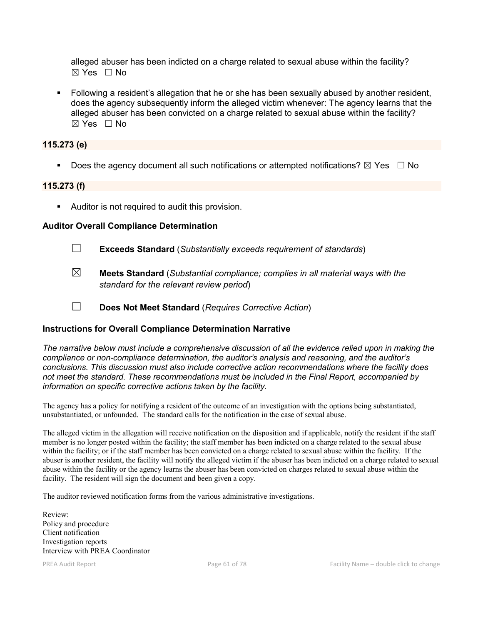alleged abuser has been indicted on a charge related to sexual abuse within the facility? ☒ Yes ☐ No

 Following a resident's allegation that he or she has been sexually abused by another resident, does the agency subsequently inform the alleged victim whenever: The agency learns that the alleged abuser has been convicted on a charge related to sexual abuse within the facility?  $\boxtimes$  Yes  $\Box$  No

# 115.273 (e)

Does the agency document all such notifications or attempted notifications?  $\boxtimes$  Yes  $\Box$  No

#### 115.273 (f)

Auditor is not required to audit this provision.

#### Auditor Overall Compliance Determination

- ☐ Exceeds Standard (*Substantially exceeds requirement of standards*)
- ☒ Meets Standard (*Substantial compliance; complies in all material ways with the standard for the relevant review period*)
- ☐ Does Not Meet Standard (*Requires Corrective Action*)

# Instructions for Overall Compliance Determination Narrative

*The narrative below must include a comprehensive discussion of all the evidence relied upon in making the compliance or non-compliance determination, the auditor's analysis and reasoning, and the auditor's conclusions. This discussion must also include corrective action recommendations where the facility does not meet the standard. These recommendations must be included in the Final Report, accompanied by information on specific corrective actions taken by the facility.*

The agency has a policy for notifying a resident of the outcome of an investigation with the options being substantiated, unsubstantiated, or unfounded. The standard calls for the notification in the case of sexual abuse.

The alleged victim in the allegation will receive notification on the disposition and if applicable, notify the resident if the staff member is no longer posted within the facility; the staff member has been indicted on a charge related to the sexual abuse within the facility; or if the staff member has been convicted on a charge related to sexual abuse within the facility. If the abuser is another resident, the facility will notify the alleged victim if the abuser has been indicted on a charge related to sexual abuse within the facility or the agency learns the abuser has been convicted on charges related to sexual abuse within the facility. The resident will sign the document and been given a copy.

The auditor reviewed notification forms from the various administrative investigations.

Review: Policy and procedure Client notification Investigation reports Interview with PREA Coordinator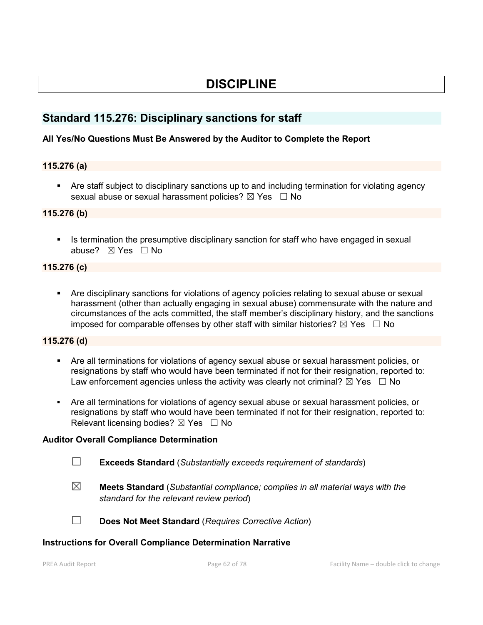# DISCIPLINE

# Standard 115.276: Disciplinary sanctions for staff

# All Yes/No Questions Must Be Answered by the Auditor to Complete the Report

#### 115.276 (a)

 Are staff subject to disciplinary sanctions up to and including termination for violating agency sexual abuse or sexual harassment policies?  $\boxtimes$  Yes  $\Box$  No

#### 115.276 (b)

Is termination the presumptive disciplinary sanction for staff who have engaged in sexual abuse? ⊠ Yes □ No

#### 115.276 (c)

 Are disciplinary sanctions for violations of agency policies relating to sexual abuse or sexual harassment (other than actually engaging in sexual abuse) commensurate with the nature and circumstances of the acts committed, the staff member's disciplinary history, and the sanctions imposed for comparable offenses by other staff with similar histories?  $\boxtimes$  Yes  $\Box$  No

### 115.276 (d)

- Are all terminations for violations of agency sexual abuse or sexual harassment policies, or resignations by staff who would have been terminated if not for their resignation, reported to: Law enforcement agencies unless the activity was clearly not criminal?  $\boxtimes$  Yes  $\Box$  No
- Are all terminations for violations of agency sexual abuse or sexual harassment policies, or resignations by staff who would have been terminated if not for their resignation, reported to: Relevant licensing bodies?  $\boxtimes$  Yes  $\Box$  No

# Auditor Overall Compliance Determination

- ☐ Exceeds Standard (*Substantially exceeds requirement of standards*)
- ☒ Meets Standard (*Substantial compliance; complies in all material ways with the standard for the relevant review period*)
- 
- ☐ Does Not Meet Standard (*Requires Corrective Action*)

#### Instructions for Overall Compliance Determination Narrative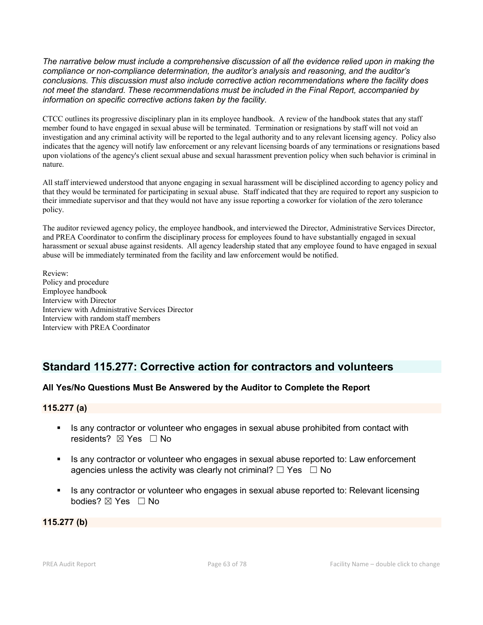*The narrative below must include a comprehensive discussion of all the evidence relied upon in making the compliance or non-compliance determination, the auditor's analysis and reasoning, and the auditor's conclusions. This discussion must also include corrective action recommendations where the facility does not meet the standard. These recommendations must be included in the Final Report, accompanied by information on specific corrective actions taken by the facility.*

CTCC outlines its progressive disciplinary plan in its employee handbook. A review of the handbook states that any staff member found to have engaged in sexual abuse will be terminated. Termination or resignations by staff will not void an investigation and any criminal activity will be reported to the legal authority and to any relevant licensing agency. Policy also indicates that the agency will notify law enforcement or any relevant licensing boards of any terminations or resignations based upon violations of the agency's client sexual abuse and sexual harassment prevention policy when such behavior is criminal in nature.

All staff interviewed understood that anyone engaging in sexual harassment will be disciplined according to agency policy and that they would be terminated for participating in sexual abuse. Staff indicated that they are required to report any suspicion to their immediate supervisor and that they would not have any issue reporting a coworker for violation of the zero tolerance policy.

The auditor reviewed agency policy, the employee handbook, and interviewed the Director, Administrative Services Director, and PREA Coordinator to confirm the disciplinary process for employees found to have substantially engaged in sexual harassment or sexual abuse against residents. All agency leadership stated that any employee found to have engaged in sexual abuse will be immediately terminated from the facility and law enforcement would be notified.

Review: Policy and procedure Employee handbook Interview with Director Interview with Administrative Services Director Interview with random staff members Interview with PREA Coordinator

# Standard 115.277: Corrective action for contractors and volunteers

# All Yes/No Questions Must Be Answered by the Auditor to Complete the Report

# 115.277 (a)

- Is any contractor or volunteer who engages in sexual abuse prohibited from contact with residents? ⊠ Yes □ No
- If any contractor or volunteer who engages in sexual abuse reported to: Law enforcement agencies unless the activity was clearly not criminal?  $\Box$  Yes  $\Box$  No
- Is any contractor or volunteer who engages in sexual abuse reported to: Relevant licensing bodies? ⊠ Yes □ No

115.277 (b)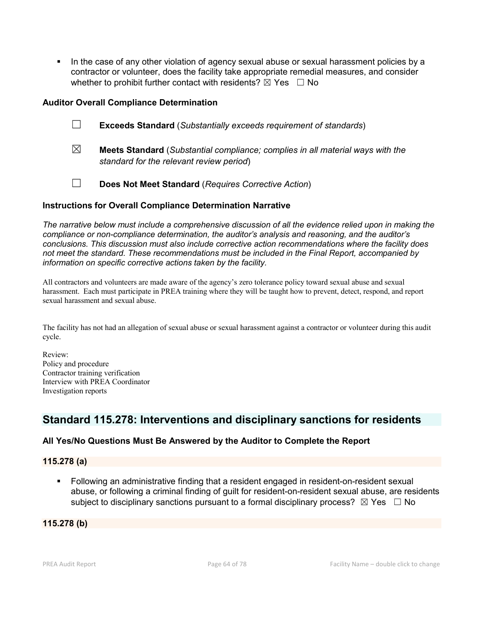In the case of any other violation of agency sexual abuse or sexual harassment policies by a contractor or volunteer, does the facility take appropriate remedial measures, and consider whether to prohibit further contact with residents?  $\boxtimes$  Yes  $\Box$  No

# Auditor Overall Compliance Determination

- ☐ Exceeds Standard (*Substantially exceeds requirement of standards*)
- ☒ Meets Standard (*Substantial compliance; complies in all material ways with the standard for the relevant review period*)
- ☐ Does Not Meet Standard (*Requires Corrective Action*)

# Instructions for Overall Compliance Determination Narrative

*The narrative below must include a comprehensive discussion of all the evidence relied upon in making the compliance or non-compliance determination, the auditor's analysis and reasoning, and the auditor's conclusions. This discussion must also include corrective action recommendations where the facility does not meet the standard. These recommendations must be included in the Final Report, accompanied by information on specific corrective actions taken by the facility.*

All contractors and volunteers are made aware of the agency's zero tolerance policy toward sexual abuse and sexual harassment. Each must participate in PREA training where they will be taught how to prevent, detect, respond, and report sexual harassment and sexual abuse.

The facility has not had an allegation of sexual abuse or sexual harassment against a contractor or volunteer during this audit cycle.

Review: Policy and procedure Contractor training verification Interview with PREA Coordinator Investigation reports

# Standard 115.278: Interventions and disciplinary sanctions for residents

# All Yes/No Questions Must Be Answered by the Auditor to Complete the Report

# 115.278 (a)

 Following an administrative finding that a resident engaged in resident-on-resident sexual abuse, or following a criminal finding of guilt for resident-on-resident sexual abuse, are residents subject to disciplinary sanctions pursuant to a formal disciplinary process?  $\boxtimes$  Yes  $\Box$  No

# 115.278 (b)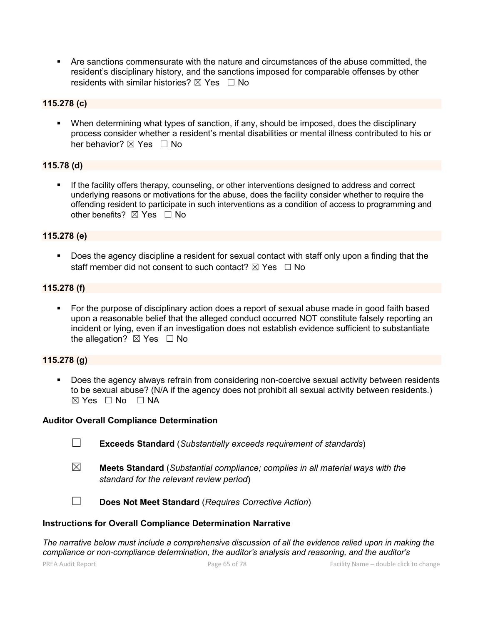Are sanctions commensurate with the nature and circumstances of the abuse committed, the resident's disciplinary history, and the sanctions imposed for comparable offenses by other residents with similar histories?  $\boxtimes$  Yes  $\Box$  No

# 115.278 (c)

 When determining what types of sanction, if any, should be imposed, does the disciplinary process consider whether a resident's mental disabilities or mental illness contributed to his or her behavior?  $\boxtimes$  Yes  $\Box$  No

# 115.78 (d)

**If the facility offers therapy, counseling, or other interventions designed to address and correct** underlying reasons or motivations for the abuse, does the facility consider whether to require the offending resident to participate in such interventions as a condition of access to programming and other benefits?  $\boxtimes$  Yes  $\Box$  No

# 115.278 (e)

**Does the agency discipline a resident for sexual contact with staff only upon a finding that the** staff member did not consent to such contact?  $\boxtimes$  Yes  $\Box$  No

# 115.278 (f)

 For the purpose of disciplinary action does a report of sexual abuse made in good faith based upon a reasonable belief that the alleged conduct occurred NOT constitute falsely reporting an incident or lying, even if an investigation does not establish evidence sufficient to substantiate the allegation?  $\boxtimes$  Yes  $\Box$  No

# 115.278 (g)

 Does the agency always refrain from considering non-coercive sexual activity between residents to be sexual abuse? (N/A if the agency does not prohibit all sexual activity between residents.)  $\boxtimes$  Yes  $\Box$  No  $\Box$  NA

# Auditor Overall Compliance Determination

- ☐ Exceeds Standard (*Substantially exceeds requirement of standards*)
- ☒ Meets Standard (*Substantial compliance; complies in all material ways with the standard for the relevant review period*)

☐ Does Not Meet Standard (*Requires Corrective Action*)

# Instructions for Overall Compliance Determination Narrative

*The narrative below must include a comprehensive discussion of all the evidence relied upon in making the compliance or non-compliance determination, the auditor's analysis and reasoning, and the auditor's*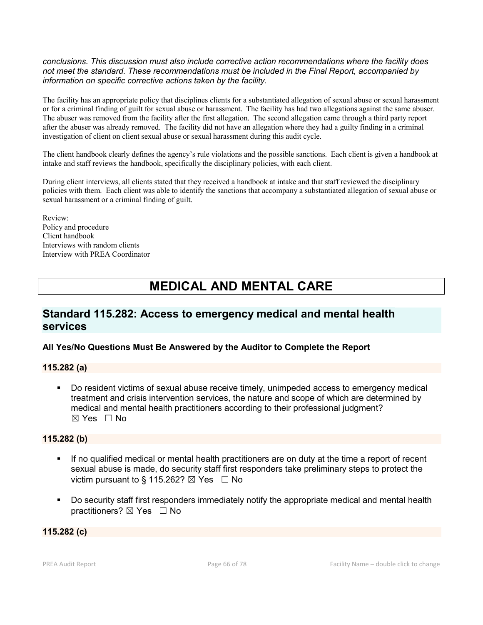#### *conclusions. This discussion must also include corrective action recommendations where the facility does not meet the standard. These recommendations must be included in the Final Report, accompanied by information on specific corrective actions taken by the facility.*

The facility has an appropriate policy that disciplines clients for a substantiated allegation of sexual abuse or sexual harassment or for a criminal finding of guilt for sexual abuse or harassment. The facility has had two allegations against the same abuser. The abuser was removed from the facility after the first allegation. The second allegation came through a third party report after the abuser was already removed. The facility did not have an allegation where they had a guilty finding in a criminal investigation of client on client sexual abuse or sexual harassment during this audit cycle.

The client handbook clearly defines the agency's rule violations and the possible sanctions. Each client is given a handbook at intake and staff reviews the handbook, specifically the disciplinary policies, with each client.

During client interviews, all clients stated that they received a handbook at intake and that staff reviewed the disciplinary policies with them. Each client was able to identify the sanctions that accompany a substantiated allegation of sexual abuse or sexual harassment or a criminal finding of guilt.

Review: Policy and procedure Client handbook Interviews with random clients Interview with PREA Coordinator

# MEDICAL AND MENTAL CARE

# Standard 115.282: Access to emergency medical and mental health services

# All Yes/No Questions Must Be Answered by the Auditor to Complete the Report

#### 115.282 (a)

 Do resident victims of sexual abuse receive timely, unimpeded access to emergency medical treatment and crisis intervention services, the nature and scope of which are determined by medical and mental health practitioners according to their professional judgment?  $\boxtimes$  Yes  $\Box$  No

#### 115.282 (b)

- If no qualified medical or mental health practitioners are on duty at the time a report of recent sexual abuse is made, do security staff first responders take preliminary steps to protect the victim pursuant to § 115.262?  $\boxtimes$  Yes  $\Box$  No
- Do security staff first responders immediately notify the appropriate medical and mental health practitioners? ⊠ Yes □ No

# 115.282 (c)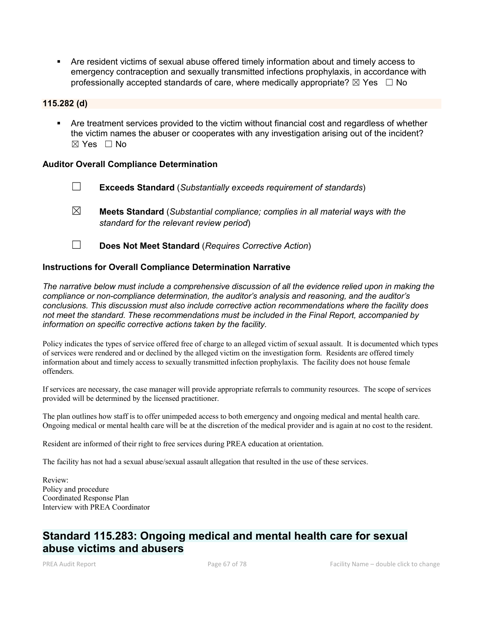Are resident victims of sexual abuse offered timely information about and timely access to emergency contraception and sexually transmitted infections prophylaxis, in accordance with professionally accepted standards of care, where medically appropriate?  $\boxtimes$  Yes  $\Box$  No

#### 115.282 (d)

 Are treatment services provided to the victim without financial cost and regardless of whether the victim names the abuser or cooperates with any investigation arising out of the incident?  $\boxtimes$  Yes  $\Box$  No

#### Auditor Overall Compliance Determination

- ☐ Exceeds Standard (*Substantially exceeds requirement of standards*)
- ☒ Meets Standard (*Substantial compliance; complies in all material ways with the standard for the relevant review period*)
- ☐ Does Not Meet Standard (*Requires Corrective Action*)

#### Instructions for Overall Compliance Determination Narrative

*The narrative below must include a comprehensive discussion of all the evidence relied upon in making the compliance or non-compliance determination, the auditor's analysis and reasoning, and the auditor's conclusions. This discussion must also include corrective action recommendations where the facility does not meet the standard. These recommendations must be included in the Final Report, accompanied by information on specific corrective actions taken by the facility.*

Policy indicates the types of service offered free of charge to an alleged victim of sexual assault. It is documented which types of services were rendered and or declined by the alleged victim on the investigation form. Residents are offered timely information about and timely access to sexually transmitted infection prophylaxis. The facility does not house female offenders.

If services are necessary, the case manager will provide appropriate referrals to community resources. The scope of services provided will be determined by the licensed practitioner.

The plan outlines how staff is to offer unimpeded access to both emergency and ongoing medical and mental health care. Ongoing medical or mental health care will be at the discretion of the medical provider and is again at no cost to the resident.

Resident are informed of their right to free services during PREA education at orientation.

The facility has not had a sexual abuse/sexual assault allegation that resulted in the use of these services.

Review: Policy and procedure Coordinated Response Plan Interview with PREA Coordinator

# Standard 115.283: Ongoing medical and mental health care for sexual abuse victims and abusers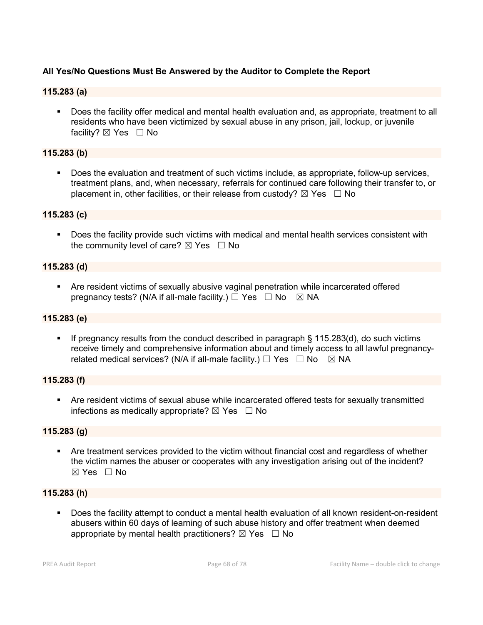# All Yes/No Questions Must Be Answered by the Auditor to Complete the Report

# 115.283 (a)

 Does the facility offer medical and mental health evaluation and, as appropriate, treatment to all residents who have been victimized by sexual abuse in any prison, jail, lockup, or juvenile facility?  $\boxtimes$  Yes  $\Box$  No

#### 115.283 (b)

 Does the evaluation and treatment of such victims include, as appropriate, follow-up services, treatment plans, and, when necessary, referrals for continued care following their transfer to, or placement in, other facilities, or their release from custody?  $\boxtimes$  Yes  $\Box$  No

#### 115.283 (c)

 Does the facility provide such victims with medical and mental health services consistent with the community level of care?  $\boxtimes$  Yes  $\Box$  No

#### 115.283 (d)

 Are resident victims of sexually abusive vaginal penetration while incarcerated offered pregnancy tests? (N/A if all-male facility.)  $\Box$  Yes  $\Box$  No  $\boxtimes$  NA

#### 115.283 (e)

 If pregnancy results from the conduct described in paragraph § 115.283(d), do such victims receive timely and comprehensive information about and timely access to all lawful pregnancyrelated medical services? (N/A if all-male facility.)  $\Box$  Yes  $\Box$  No  $\boxtimes$  NA

#### 115.283 (f)

 Are resident victims of sexual abuse while incarcerated offered tests for sexually transmitted infections as medically appropriate?  $\boxtimes$  Yes  $\Box$  No

# 115.283 (g)

 Are treatment services provided to the victim without financial cost and regardless of whether the victim names the abuser or cooperates with any investigation arising out of the incident? ☒ Yes ☐ No

#### 115.283 (h)

 Does the facility attempt to conduct a mental health evaluation of all known resident-on-resident abusers within 60 days of learning of such abuse history and offer treatment when deemed appropriate by mental health practitioners?  $\boxtimes$  Yes  $\Box$  No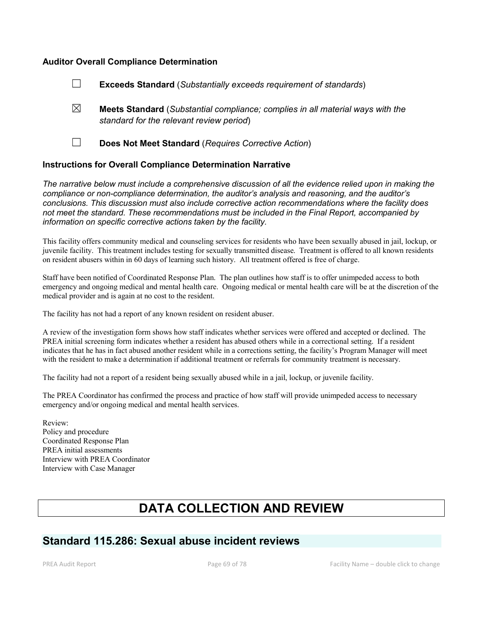#### Auditor Overall Compliance Determination

- ☐ Exceeds Standard (*Substantially exceeds requirement of standards*)
- ☒ Meets Standard (*Substantial compliance; complies in all material ways with the standard for the relevant review period*)
- 

☐ Does Not Meet Standard (*Requires Corrective Action*)

#### Instructions for Overall Compliance Determination Narrative

*The narrative below must include a comprehensive discussion of all the evidence relied upon in making the compliance or non-compliance determination, the auditor's analysis and reasoning, and the auditor's conclusions. This discussion must also include corrective action recommendations where the facility does not meet the standard. These recommendations must be included in the Final Report, accompanied by information on specific corrective actions taken by the facility.*

This facility offers community medical and counseling services for residents who have been sexually abused in jail, lockup, or juvenile facility. This treatment includes testing for sexually transmitted disease. Treatment is offered to all known residents on resident abusers within in 60 days of learning such history. All treatment offered is free of charge.

Staff have been notified of Coordinated Response Plan. The plan outlines how staff is to offer unimpeded access to both emergency and ongoing medical and mental health care. Ongoing medical or mental health care will be at the discretion of the medical provider and is again at no cost to the resident.

The facility has not had a report of any known resident on resident abuser.

A review of the investigation form shows how staff indicates whether services were offered and accepted or declined. The PREA initial screening form indicates whether a resident has abused others while in a correctional setting. If a resident indicates that he has in fact abused another resident while in a corrections setting, the facility's Program Manager will meet with the resident to make a determination if additional treatment or referrals for community treatment is necessary.

The facility had not a report of a resident being sexually abused while in a jail, lockup, or juvenile facility.

The PREA Coordinator has confirmed the process and practice of how staff will provide unimpeded access to necessary emergency and/or ongoing medical and mental health services.

Review: Policy and procedure Coordinated Response Plan PREA initial assessments Interview with PREA Coordinator Interview with Case Manager

# DATA COLLECTION AND REVIEW

# Standard 115.286: Sexual abuse incident reviews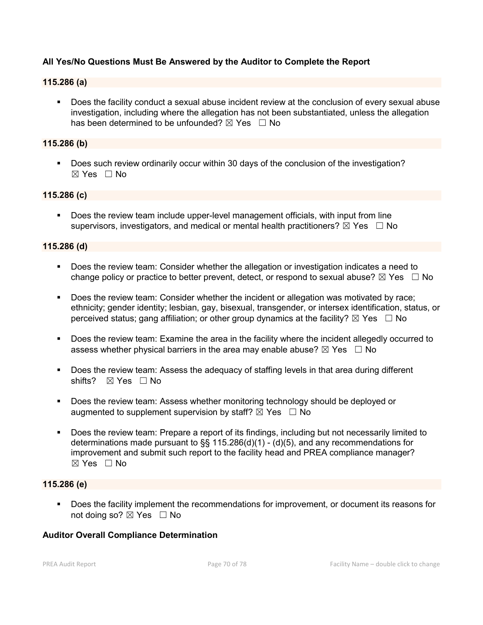# All Yes/No Questions Must Be Answered by the Auditor to Complete the Report

#### 115.286 (a)

 Does the facility conduct a sexual abuse incident review at the conclusion of every sexual abuse investigation, including where the allegation has not been substantiated, unless the allegation has been determined to be unfounded?  $\boxtimes$  Yes  $\Box$  No

### 115.286 (b)

Does such review ordinarily occur within 30 days of the conclusion of the investigation? ☒ Yes ☐ No

#### 115.286 (c)

 Does the review team include upper-level management officials, with input from line supervisors, investigators, and medical or mental health practitioners?  $\boxtimes$  Yes  $\Box$  No

#### 115.286 (d)

- Does the review team: Consider whether the allegation or investigation indicates a need to change policy or practice to better prevent, detect, or respond to sexual abuse?  $\boxtimes$  Yes  $\Box$  No
- Does the review team: Consider whether the incident or allegation was motivated by race; ethnicity; gender identity; lesbian, gay, bisexual, transgender, or intersex identification, status, or perceived status; gang affiliation; or other group dynamics at the facility?  $\boxtimes$  Yes  $\Box$  No
- Does the review team: Examine the area in the facility where the incident allegedly occurred to assess whether physical barriers in the area may enable abuse?  $\boxtimes$  Yes  $\Box$  No
- Does the review team: Assess the adequacy of staffing levels in that area during different shifts? ⊠ Yes □ No
- Does the review team: Assess whether monitoring technology should be deployed or augmented to supplement supervision by staff?  $\boxtimes$  Yes  $\Box$  No
- Does the review team: Prepare a report of its findings, including but not necessarily limited to determinations made pursuant to  $\S$  115.286(d)(1) - (d)(5), and any recommendations for improvement and submit such report to the facility head and PREA compliance manager?  $\boxtimes$  Yes  $\Box$  No

### 115.286 (e)

 Does the facility implement the recommendations for improvement, or document its reasons for not doing so? ⊠ Yes □ No

#### Auditor Overall Compliance Determination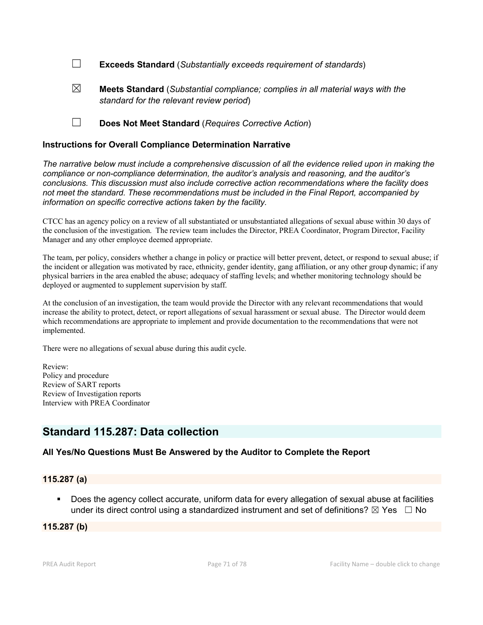☐ Exceeds Standard (*Substantially exceeds requirement of standards*)

- ☒ Meets Standard (*Substantial compliance; complies in all material ways with the standard for the relevant review period*)
- ☐ Does Not Meet Standard (*Requires Corrective Action*)

#### Instructions for Overall Compliance Determination Narrative

*The narrative below must include a comprehensive discussion of all the evidence relied upon in making the compliance or non-compliance determination, the auditor's analysis and reasoning, and the auditor's conclusions. This discussion must also include corrective action recommendations where the facility does not meet the standard. These recommendations must be included in the Final Report, accompanied by information on specific corrective actions taken by the facility.*

CTCC has an agency policy on a review of all substantiated or unsubstantiated allegations of sexual abuse within 30 days of the conclusion of the investigation. The review team includes the Director, PREA Coordinator, Program Director, Facility Manager and any other employee deemed appropriate.

The team, per policy, considers whether a change in policy or practice will better prevent, detect, or respond to sexual abuse; if the incident or allegation was motivated by race, ethnicity, gender identity, gang affiliation, or any other group dynamic; if any physical barriers in the area enabled the abuse; adequacy of staffing levels; and whether monitoring technology should be deployed or augmented to supplement supervision by staff.

At the conclusion of an investigation, the team would provide the Director with any relevant recommendations that would increase the ability to protect, detect, or report allegations of sexual harassment or sexual abuse. The Director would deem which recommendations are appropriate to implement and provide documentation to the recommendations that were not implemented.

There were no allegations of sexual abuse during this audit cycle.

Review: Policy and procedure Review of SART reports Review of Investigation reports Interview with PREA Coordinator

# Standard 115.287: Data collection

# All Yes/No Questions Must Be Answered by the Auditor to Complete the Report

#### 115.287 (a)

 Does the agency collect accurate, uniform data for every allegation of sexual abuse at facilities under its direct control using a standardized instrument and set of definitions?  $\boxtimes$  Yes  $\Box$  No

#### 115.287 (b)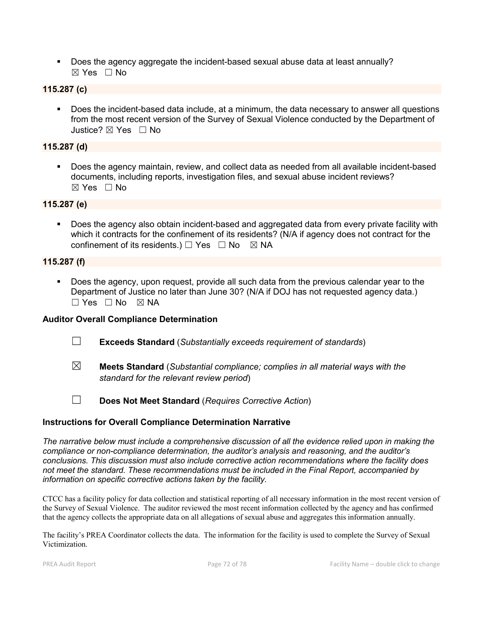Does the agency aggregate the incident-based sexual abuse data at least annually? ☒ Yes ☐ No

# 115.287 (c)

 Does the incident-based data include, at a minimum, the data necessary to answer all questions from the most recent version of the Survey of Sexual Violence conducted by the Department of Justice? ☒ Yes ☐ No

### 115.287 (d)

 Does the agency maintain, review, and collect data as needed from all available incident-based documents, including reports, investigation files, and sexual abuse incident reviews? ☒ Yes ☐ No

#### 115.287 (e)

 Does the agency also obtain incident-based and aggregated data from every private facility with which it contracts for the confinement of its residents? (N/A if agency does not contract for the confinement of its residents.)  $\Box$  Yes  $\Box$  No  $\boxtimes$  NA

#### 115.287 (f)

 Does the agency, upon request, provide all such data from the previous calendar year to the Department of Justice no later than June 30? (N/A if DOJ has not requested agency data.)  $\Box$  Yes  $\Box$  No  $\boxtimes$  NA

#### Auditor Overall Compliance Determination

- ☐ Exceeds Standard (*Substantially exceeds requirement of standards*)
- ☒ Meets Standard (*Substantial compliance; complies in all material ways with the standard for the relevant review period*)
- ☐ Does Not Meet Standard (*Requires Corrective Action*)

# Instructions for Overall Compliance Determination Narrative

*The narrative below must include a comprehensive discussion of all the evidence relied upon in making the compliance or non-compliance determination, the auditor's analysis and reasoning, and the auditor's conclusions. This discussion must also include corrective action recommendations where the facility does not meet the standard. These recommendations must be included in the Final Report, accompanied by information on specific corrective actions taken by the facility.*

CTCC has a facility policy for data collection and statistical reporting of all necessary information in the most recent version of the Survey of Sexual Violence. The auditor reviewed the most recent information collected by the agency and has confirmed that the agency collects the appropriate data on all allegations of sexual abuse and aggregates this information annually.

The facility's PREA Coordinator collects the data. The information for the facility is used to complete the Survey of Sexual Victimization.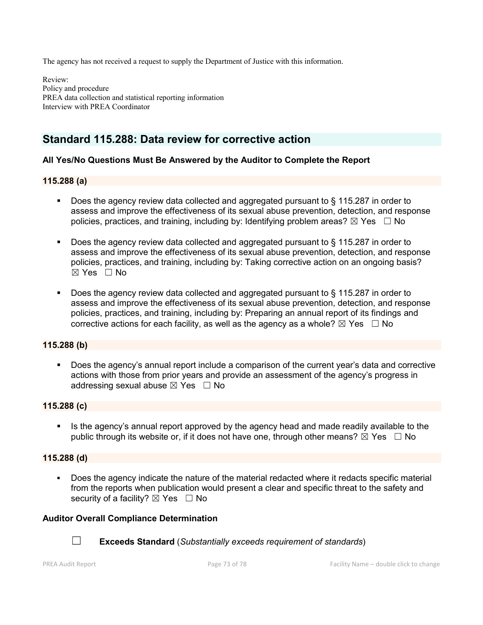The agency has not received a request to supply the Department of Justice with this information.

Review: Policy and procedure PREA data collection and statistical reporting information Interview with PREA Coordinator

# Standard 115.288: Data review for corrective action

# All Yes/No Questions Must Be Answered by the Auditor to Complete the Report

# 115.288 (a)

- Does the agency review data collected and aggregated pursuant to § 115.287 in order to assess and improve the effectiveness of its sexual abuse prevention, detection, and response policies, practices, and training, including by: Identifying problem areas?  $\boxtimes$  Yes  $\Box$  No
- Does the agency review data collected and aggregated pursuant to § 115.287 in order to assess and improve the effectiveness of its sexual abuse prevention, detection, and response policies, practices, and training, including by: Taking corrective action on an ongoing basis? ☒ Yes ☐ No
- Does the agency review data collected and aggregated pursuant to § 115.287 in order to assess and improve the effectiveness of its sexual abuse prevention, detection, and response policies, practices, and training, including by: Preparing an annual report of its findings and corrective actions for each facility, as well as the agency as a whole?  $\boxtimes$  Yes  $\Box$  No

# 115.288 (b)

 Does the agency's annual report include a comparison of the current year's data and corrective actions with those from prior years and provide an assessment of the agency's progress in addressing sexual abuse  $\boxtimes$  Yes  $\Box$  No

#### 115.288 (c)

 Is the agency's annual report approved by the agency head and made readily available to the public through its website or, if it does not have one, through other means?  $\boxtimes$  Yes  $\Box$  No

#### 115.288 (d)

 Does the agency indicate the nature of the material redacted where it redacts specific material from the reports when publication would present a clear and specific threat to the safety and security of a facility?  $\boxtimes$  Yes  $\Box$  No

# Auditor Overall Compliance Determination



☐ Exceeds Standard (*Substantially exceeds requirement of standards*)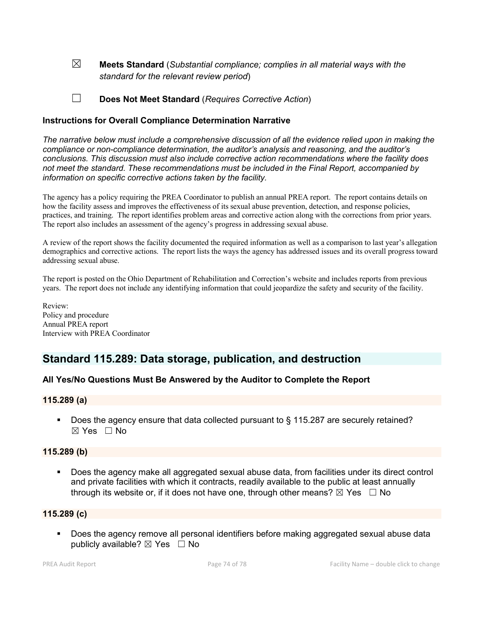☒ Meets Standard (*Substantial compliance; complies in all material ways with the standard for the relevant review period*)

☐ Does Not Meet Standard (*Requires Corrective Action*)

## Instructions for Overall Compliance Determination Narrative

*The narrative below must include a comprehensive discussion of all the evidence relied upon in making the compliance or non-compliance determination, the auditor's analysis and reasoning, and the auditor's conclusions. This discussion must also include corrective action recommendations where the facility does not meet the standard. These recommendations must be included in the Final Report, accompanied by information on specific corrective actions taken by the facility.*

The agency has a policy requiring the PREA Coordinator to publish an annual PREA report. The report contains details on how the facility assess and improves the effectiveness of its sexual abuse prevention, detection, and response policies, practices, and training. The report identifies problem areas and corrective action along with the corrections from prior years. The report also includes an assessment of the agency's progress in addressing sexual abuse.

A review of the report shows the facility documented the required information as well as a comparison to last year's allegation demographics and corrective actions. The report lists the ways the agency has addressed issues and its overall progress toward addressing sexual abuse.

The report is posted on the Ohio Department of Rehabilitation and Correction's website and includes reports from previous years. The report does not include any identifying information that could jeopardize the safety and security of the facility.

Review: Policy and procedure Annual PREA report Interview with PREA Coordinator

# Standard 115.289: Data storage, publication, and destruction

# All Yes/No Questions Must Be Answered by the Auditor to Complete the Report

#### 115.289 (a)

Does the agency ensure that data collected pursuant to § 115.287 are securely retained? ☒ Yes ☐ No

#### 115.289 (b)

 Does the agency make all aggregated sexual abuse data, from facilities under its direct control and private facilities with which it contracts, readily available to the public at least annually through its website or, if it does not have one, through other means?  $\boxtimes$  Yes  $\Box$  No

#### 115.289 (c)

 Does the agency remove all personal identifiers before making aggregated sexual abuse data publicly available?  $\boxtimes$  Yes  $\Box$  No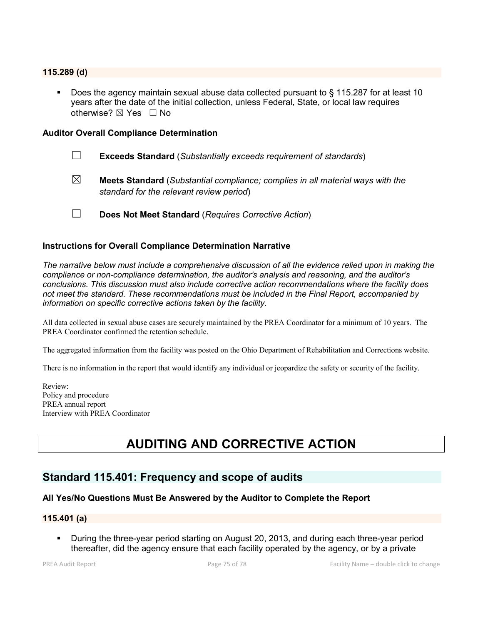#### 115.289 (d)

 Does the agency maintain sexual abuse data collected pursuant to § 115.287 for at least 10 years after the date of the initial collection, unless Federal, State, or local law requires otherwise?  $\boxtimes$  Yes  $\Box$  No

#### Auditor Overall Compliance Determination

- ☐ Exceeds Standard (*Substantially exceeds requirement of standards*)
- ☒ Meets Standard (*Substantial compliance; complies in all material ways with the standard for the relevant review period*)
- ☐ Does Not Meet Standard (*Requires Corrective Action*)

#### Instructions for Overall Compliance Determination Narrative

*The narrative below must include a comprehensive discussion of all the evidence relied upon in making the compliance or non-compliance determination, the auditor's analysis and reasoning, and the auditor's conclusions. This discussion must also include corrective action recommendations where the facility does not meet the standard. These recommendations must be included in the Final Report, accompanied by information on specific corrective actions taken by the facility.*

All data collected in sexual abuse cases are securely maintained by the PREA Coordinator for a minimum of 10 years. The PREA Coordinator confirmed the retention schedule.

The aggregated information from the facility was posted on the Ohio Department of Rehabilitation and Corrections website.

There is no information in the report that would identify any individual or jeopardize the safety or security of the facility.

Review: Policy and procedure PREA annual report Interview with PREA Coordinator

# AUDITING AND CORRECTIVE ACTION

# Standard 115.401: Frequency and scope of audits

# All Yes/No Questions Must Be Answered by the Auditor to Complete the Report

#### 115.401 (a)

 During the three-year period starting on August 20, 2013, and during each three-year period thereafter, did the agency ensure that each facility operated by the agency, or by a private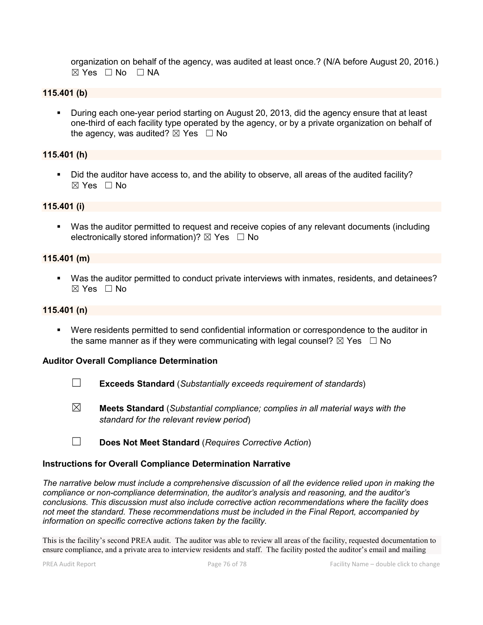organization on behalf of the agency, was audited at least once.? (N/A before August 20, 2016.)  $⊠ Yes ⊡ No ⊡ NA$ 

# 115.401 (b)

**During each one-year period starting on August 20, 2013, did the agency ensure that at least** one-third of each facility type operated by the agency, or by a private organization on behalf of the agency, was audited?  $\boxtimes$  Yes  $\Box$  No

#### 115.401 (h)

 Did the auditor have access to, and the ability to observe, all areas of the audited facility?  $\boxtimes$  Yes  $\Box$  No

#### 115.401 (i)

 Was the auditor permitted to request and receive copies of any relevant documents (including electronically stored information)?  $\boxtimes$  Yes  $\Box$  No

#### 115.401 (m)

 Was the auditor permitted to conduct private interviews with inmates, residents, and detainees?  $\boxtimes$  Yes  $\Box$  No

#### 115.401 (n)

 Were residents permitted to send confidential information or correspondence to the auditor in the same manner as if they were communicating with legal counsel?  $\boxtimes$  Yes  $\Box$  No

#### Auditor Overall Compliance Determination

- ☐ Exceeds Standard (*Substantially exceeds requirement of standards*)
- ☒ Meets Standard (*Substantial compliance; complies in all material ways with the standard for the relevant review period*)
- ☐ Does Not Meet Standard (*Requires Corrective Action*)

#### Instructions for Overall Compliance Determination Narrative

*The narrative below must include a comprehensive discussion of all the evidence relied upon in making the compliance or non-compliance determination, the auditor's analysis and reasoning, and the auditor's conclusions. This discussion must also include corrective action recommendations where the facility does not meet the standard. These recommendations must be included in the Final Report, accompanied by information on specific corrective actions taken by the facility.*

This is the facility's second PREA audit. The auditor was able to review all areas of the facility, requested documentation to ensure compliance, and a private area to interview residents and staff. The facility posted the auditor's email and mailing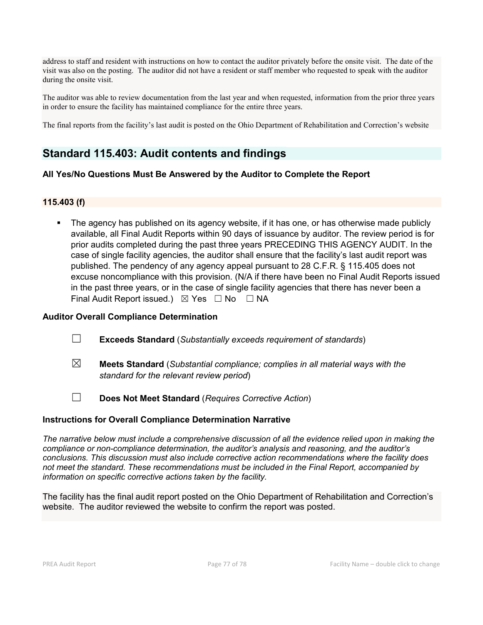address to staff and resident with instructions on how to contact the auditor privately before the onsite visit. The date of the visit was also on the posting. The auditor did not have a resident or staff member who requested to speak with the auditor during the onsite visit.

The auditor was able to review documentation from the last year and when requested, information from the prior three years in order to ensure the facility has maintained compliance for the entire three years.

The final reports from the facility's last audit is posted on the Ohio Department of Rehabilitation and Correction's website

# Standard 115.403: Audit contents and findings

# All Yes/No Questions Must Be Answered by the Auditor to Complete the Report

# 115.403 (f)

 The agency has published on its agency website, if it has one, or has otherwise made publicly available, all Final Audit Reports within 90 days of issuance by auditor. The review period is for prior audits completed during the past three years PRECEDING THIS AGENCY AUDIT. In the case of single facility agencies, the auditor shall ensure that the facility's last audit report was published. The pendency of any agency appeal pursuant to 28 C.F.R. § 115.405 does not excuse noncompliance with this provision. (N/A if there have been no Final Audit Reports issued in the past three years, or in the case of single facility agencies that there has never been a Final Audit Report issued.)  $\boxtimes$  Yes  $\Box$  No  $\Box$  NA

## Auditor Overall Compliance Determination

- ☐ Exceeds Standard (*Substantially exceeds requirement of standards*)
- ☒ Meets Standard (*Substantial compliance; complies in all material ways with the standard for the relevant review period*)
- ☐ Does Not Meet Standard (*Requires Corrective Action*)

# Instructions for Overall Compliance Determination Narrative

*The narrative below must include a comprehensive discussion of all the evidence relied upon in making the compliance or non-compliance determination, the auditor's analysis and reasoning, and the auditor's conclusions. This discussion must also include corrective action recommendations where the facility does not meet the standard. These recommendations must be included in the Final Report, accompanied by information on specific corrective actions taken by the facility.*

The facility has the final audit report posted on the Ohio Department of Rehabilitation and Correction's website. The auditor reviewed the website to confirm the report was posted.